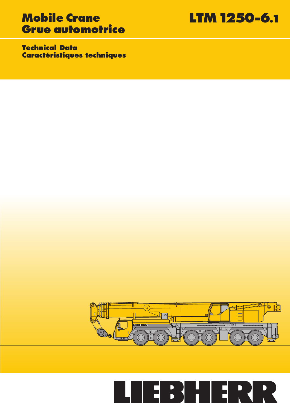# **Mobile Crane LTM 1250-6.1 Grue automotrice**

**Technical Data Caractéristiques techniques**



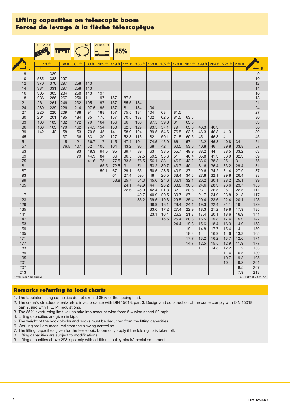### **Lifting capacities on telescopic boom** Forces de levage à la flèche télescopique

|                        | $51 - 236$ ft    |            |            |            | 360°<br>Ē  | 214900 lbs | 85%                                                                                                       |              |            |              |              |              |              |              |              |              |              |                      |
|------------------------|------------------|------------|------------|------------|------------|------------|-----------------------------------------------------------------------------------------------------------|--------------|------------|--------------|--------------|--------------|--------------|--------------|--------------|--------------|--------------|----------------------|
|                        |                  |            |            |            |            |            |                                                                                                           |              |            |              |              |              |              |              |              |              |              |                      |
|                        | 51 <sub>ft</sub> |            | 68 ft      | 85 ft      | 88 ft      |            | 102 ft   119 ft   125 ft   136 ft   153 ft   162 ft   170 ft   187 ft   199 ft   204 ft   221 ft   236 ft |              |            |              |              |              |              |              |              |              |              |                      |
| ft                     | $\star$          |            |            |            |            |            |                                                                                                           |              |            |              |              |              |              |              |              |              |              | $\leftrightarrow$ ft |
| 9                      |                  | 389        |            |            |            |            |                                                                                                           |              |            |              |              |              |              |              |              |              |              | $\boldsymbol{9}$     |
| 10                     | 585              | 388        | 297        |            |            |            |                                                                                                           |              |            |              |              |              |              |              |              |              |              | 10                   |
| 12                     | 370              | 370        | 297        | 258        | 113        |            |                                                                                                           |              |            |              |              |              |              |              |              |              |              | 12                   |
| 14                     | 331              | 331        | 297        | 258        | 113        |            |                                                                                                           |              |            |              |              |              |              |              |              |              |              | 14                   |
| 16                     | 305              | 305        | 284        | 258        | 113        | 197        |                                                                                                           |              |            |              |              |              |              |              |              |              |              | 16                   |
| 18<br>21               | 286<br>261       | 286        | 267<br>246 | 250<br>232 | 111<br>105 | 197<br>197 | 157<br>157                                                                                                | 87.5<br>85.5 |            |              |              |              |              |              |              |              |              | 18<br>21             |
| 24                     | 239              | 261<br>239 | 226        | 214        | 97.5       | 195        | 157                                                                                                       | 81           | 134<br>134 | 104          |              |              |              |              |              |              |              | 24                   |
| 27                     | 220              | 220        | 209        | 198        | 91         | 188        | 157                                                                                                       | 75.5         | 134        | 104          | 63           | 81.5         |              |              |              |              |              | 27                   |
| 30                     | 201              | 201        | 195        | 184        | 85         | 175        | 157                                                                                                       | 70.5         | 132        | 102          | 62.5         | 81.5         | 63.5         |              |              |              |              | 30                   |
| 33                     | 183              | 183        | 182        | 172        | 79         | 164        | 156                                                                                                       | 66           | 130        | 97.5         | 59.8         | 81           | 63.5         |              |              |              |              | 33                   |
| 36                     | 163              | 163        | 170        | 162        | 74.5       | 154        | 150                                                                                                       | 62.5         | 129        | 93.5         | 57.1         | 79           | 63.5         | 46.3         | 46.3         |              |              | 36                   |
| 39                     | 142              | 142        | 158        | 153        | 70.5       | 145        | 141                                                                                                       | 58.9         | 124        | 89.5         | 54.6         | 76.5         | 63.5         | 46.3         | 46.3         | 41.3         |              | 39                   |
| 45                     |                  |            | 137        | 136        | 63         | 130        | 127                                                                                                       | 52.8         | 113        | 82           | 50.1         | 71.5         | 60.5         | 45.1         | 46.3         | 41.1         |              | 45                   |
| 51                     |                  |            | 115        | 121        | 56.7       | 117        | 115                                                                                                       | 47.4         | 104        | 74.5         | 45.9         | 66           | 57.4         | 43.2         | 46.3         | 40.8         | 34           | 51                   |
| 57                     |                  |            | 76.5       | 107        | 52         | 105        | 104                                                                                                       | 43.2         | 96         | 68           | 42           | 60.5         | 53.6         | 40.8         | 46           | 39.8         | 33.8         | 57                   |
| 63                     |                  |            |            | 93         | 48.3       | 94.5       | 95                                                                                                        | 39.7         | 89         | 63           | 38.5         | 55.7         | 49.9         | 38.2         | 44           | 38.5         | 33.2         | 63                   |
| 69                     |                  |            |            | 79         | 44.9       | 84         | 86                                                                                                        | 36.5         | 82.5       | 59.2         | 35.6         | 51           | 46.4         | 35.8         | 41.3         | 36.9         | 32.3         | 69                   |
| 75<br>81               |                  |            |            |            | 41.6       | 75<br>65.5 | 77.5<br>72.5                                                                                              | 33.5<br>31   | 76.5<br>71 | 56.1<br>53.2 | 33<br>30.7   | 46.9<br>43.7 | 43.2<br>40   | 33.6<br>31.6 | 38.8<br>36.4 | 35.1<br>33.2 | 31<br>29.4   | 75<br>81             |
| 87                     |                  |            |            |            |            | 59.1       | 67                                                                                                        | 29.1         | 65         | 50.5         | 28.5         | 40.9         | 37           | 29.6         | 34.2         | 31.4         | 27.9         | 87                   |
| 93                     |                  |            |            |            |            |            | 61                                                                                                        | 27.4         | 59.4       | 48           | 26.5         | 38.4         | 34.5         | 27.8         | 32.1         | 29.8         | 26.4         | 93                   |
| 99                     |                  |            |            |            |            |            | 53.8                                                                                                      | 25.7         | 54.3       | 45.6         | 24.6         | 36.1         | 32.1         | 26.2         | 30.1         | 28.2         | 25.1         | 99                   |
| 105                    |                  |            |            |            |            |            |                                                                                                           | 24.1         | 49.9       | 44           | 23.2         | 33.8         | 30.3         | 24.6         | 28.3         | 26.6         | 23.7         | 105                  |
| 111                    |                  |            |            |            |            |            |                                                                                                           | 22.6         | 45.9       | 42.4         | 21.8         | 32           | 28.6         | 23.1         | 26.5         | 25.1         | 22.5         | 111                  |
| 117                    |                  |            |            |            |            |            |                                                                                                           |              | 40.7       | 40.9         | 20.5         | 30.7         | 27           | 21.7         | 24.9         | 23.8         | 21.3         | 117                  |
| 123                    |                  |            |            |            |            |            |                                                                                                           |              | 36.2       | 39.5         | 19.3         | 29.5         | 25.4         | 20.4         | 23.6         | 22.4         | 20.1         | 123                  |
| 129                    |                  |            |            |            |            |            |                                                                                                           |              |            | 36.9         | 18.1         | 28.4         | 24.1         | 19.3         | 22.4         | 21.1         | 19           | 129                  |
| 135                    |                  |            |            |            |            |            |                                                                                                           |              |            | 33.6         | 17.2         | 27.4         | 22.9         | 18.3         | 21.2         | 19.8         | 17.9         | 135                  |
| 141<br>147             |                  |            |            |            |            |            |                                                                                                           |              |            | 23.1         | 16.4<br>15.6 | 26.3<br>25.4 | 21.8<br>20.8 | 17.4<br>16.5 | 20.1<br>19.3 | 18.6<br>17.4 | 16.9<br>15.9 | 141<br>147           |
| 153                    |                  |            |            |            |            |            |                                                                                                           |              |            |              |              | 24.4         | 19.8         | 15.6         | 18.4         | 16.3         | 14.9         | 153                  |
| 159                    |                  |            |            |            |            |            |                                                                                                           |              |            |              |              |              | 19           | 14.8         | 17.7         | 15.4         | 14           | 159                  |
| 165                    |                  |            |            |            |            |            |                                                                                                           |              |            |              |              |              | 18.3         | 14           | 16.9         | 14.6         | 13.3         | 165                  |
| 171                    |                  |            |            |            |            |            |                                                                                                           |              |            |              |              |              | 17.7         | 13.2         | 16.2         | 13.7         | 12.6         | 171                  |
| 177                    |                  |            |            |            |            |            |                                                                                                           |              |            |              |              |              | 14.7         | 12.5         | 15.5         | 12.9         | 11.9         | 177                  |
| 183                    |                  |            |            |            |            |            |                                                                                                           |              |            |              |              |              |              | 11.7         | 14.8         | 12.2         | 11.2         | 183                  |
| 189                    |                  |            |            |            |            |            |                                                                                                           |              |            |              |              |              |              |              |              | 11.4         | 10.5         | 189                  |
| 195                    |                  |            |            |            |            |            |                                                                                                           |              |            |              |              |              |              |              |              | 10.7         | 9.8          | 195                  |
| 201                    |                  |            |            |            |            |            |                                                                                                           |              |            |              |              |              |              |              |              | 10           | 9.2          | 201                  |
| 207<br>213             |                  |            |            |            |            |            |                                                                                                           |              |            |              |              |              |              |              |              |              | 8.5<br>7.9   | 207<br>213           |
| over rear / en arrière |                  |            |            |            |            |            |                                                                                                           |              |            |              |              |              |              |              |              |              |              | TAB 131201 / 131351  |

#### **Remarks referring to load charts**

- 1. The tabulated lifting capacities do not exceed 85% of the tipping load.
- 2. The crane's structural steelwork is in accordance with DIN 15018, part 3. Design and construction of the crane comply with DIN 15018, part 2, and with F. E. M. regulations.
- 3. The 85% overturning limit values take into account wind force 5 = wind speed 20 mph.
- 4. Lifting capacities are given in kips.
- 5. The weight of the hook blocks and hooks must be deducted from the lifting capacities.
- 6. Working radii are measured from the slewing centreline.
- 7. The lifting capacities given for the telescopic boom only apply if the folding jib is taken off.
- 8. Lifting capacities are subject to modifications.
- 9. Lifting capacities above 298 kips only with additional pulley block/special equipment.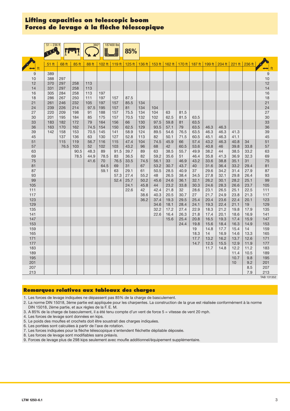#### **Lifting capacities on telescopic boom Forces de levage à la fl èche télescopique**

|            | $51 - 236$ ft    |             |            | 360°        |            | 187400 lbs |              |              |              |              |                                                                                         |              |              |              |              |              |                      |
|------------|------------------|-------------|------------|-------------|------------|------------|--------------|--------------|--------------|--------------|-----------------------------------------------------------------------------------------|--------------|--------------|--------------|--------------|--------------|----------------------|
|            |                  |             |            |             |            |            | 85%          |              |              |              |                                                                                         |              |              |              |              |              |                      |
|            |                  |             |            |             |            |            |              |              |              |              | 125 ft   136 ft   153 ft   162 ft   170 ft   187 ft   199 ft   204 ft   221 ft   236 ft |              |              |              |              |              |                      |
| ft         | 51 <sub>ft</sub> | 68 ft       | 85 ft      | 88 ft       | 102 ft     | 119 $ft$   |              |              |              |              |                                                                                         |              |              |              |              |              | $\leftrightarrow$ ft |
| 9          | 389              |             |            |             |            |            |              |              |              |              |                                                                                         |              |              |              |              |              | $\boldsymbol{9}$     |
| 10<br>12   | 388<br>370       | 297<br>297  | 258        | 113         |            |            |              |              |              |              |                                                                                         |              |              |              |              |              | 10<br>12             |
| 14         | 331              | 297         | 258        | 113         |            |            |              |              |              |              |                                                                                         |              |              |              |              |              | 14                   |
| 16         | 305              | 284         | 258        | 113         | 197        |            |              |              |              |              |                                                                                         |              |              |              |              |              | 16                   |
| 18         | 286              | 267         | 250        | 111         | 197        | 157        | 87.5         |              |              |              |                                                                                         |              |              |              |              |              | 18                   |
| 21<br>24   | 261<br>239       | 246<br>226  | 232<br>214 | 105<br>97.5 | 197<br>195 | 157<br>157 | 85.5<br>81   | 134<br>134   | 104          |              |                                                                                         |              |              |              |              |              | 21<br>24             |
| 27         | 220              | 209         | 198        | 91          | 188        | 157        | 75.5         | 134          | 104          | 63           | 81.5                                                                                    |              |              |              |              |              | 27                   |
| 30         | 201              | 195         | 184        | 85          | 175        | 157        | 70.5         | 132          | 102          | 62.5         | 81.5                                                                                    | 63.5         |              |              |              |              | 30                   |
| 33<br>36   | 183<br>163       | 182<br>170  | 172<br>162 | 79<br>74.5  | 164<br>154 | 156<br>150 | 66<br>62.5   | 130<br>129   | 97.5<br>93.5 | 59.8<br>57.1 | 81<br>79                                                                                | 63.5<br>63.5 | 46.3         | 46.3         |              |              | 33<br>36             |
| 39         | 142              | 158         | 153        | 70.5        | 145        | 141        | 58.9         | 124          | 89.5         | 54.6         | 76.5                                                                                    | 63.5         | 46.3         | 46.3         | 41.3         |              | 39                   |
| 45         |                  | 137         | 136        | 63          | 130        | 127        | 52.8         | 113          | 82           | 50.1         | 71.5                                                                                    | 60.5         | 45.1         | 46.3         | 41.1         |              | 45                   |
| 51<br>57   |                  | 115<br>76.5 | 119<br>103 | 56.7<br>52  | 116<br>102 | 115<br>103 | 47.4<br>43.2 | 104<br>96    | 74.5<br>68   | 45.9<br>42   | 66<br>60.5                                                                              | 57.4<br>53.6 | 43.2<br>40.8 | 46.3<br>46   | 40.8<br>39.8 | 34<br>33.8   | 51<br>57             |
| 63         |                  |             | 90.5       | 48.3        | 89         | 91.5       | 39.7         | 89           | 63           | 38.5         | 55.7                                                                                    | 49.9         | 38.2         | 44           | 38.5         | 33.2         | 63                   |
| 69         |                  |             | 78.5       | 44.9        | 78.5       | 83         | 36.5         | 82           | 59.2         | 35.6         | 51                                                                                      | 46.4         | 35.8         | 41.3         | 36.9         | 32.3         | 69                   |
| 75<br>81   |                  |             |            | 41.6        | 70<br>64.5 | 76.5<br>69 | 33.5<br>31   | 74.5<br>67   | 56.1<br>53.2 | 33<br>30.7   | 46.9<br>43.7                                                                            | 43.2<br>40   | 33.6<br>31.6 | 38.8<br>36.4 | 35.1<br>33.2 | 31<br>29.4   | 75<br>81             |
| 87         |                  |             |            |             | 59.1       | 63         | 29.1         | 61           | 50.5         | 28.5         | 40.9                                                                                    | 37           | 29.6         | 34.2         | 31.4         | 27.9         | 87                   |
| 93         |                  |             |            |             |            | 57.3       | 27.4         | 55.2         | 48           | 26.5         | 38.4                                                                                    | 34.5         | 27.8         | 32.1         | 29.8         | 26.4         | 93                   |
| 99<br>105  |                  |             |            |             |            | 52.4       | 25.7<br>24.1 | 50.2<br>45.8 | 45.6<br>44   | 24.6<br>23.2 | 36.1<br>33.8                                                                            | 32.1<br>30.3 | 26.2<br>24.6 | 30.1<br>28.3 | 28.2<br>26.6 | 25.1<br>23.7 | 99<br>105            |
| 111        |                  |             |            |             |            |            | 22.6         | 42           | 42.4         | 21.8         | 32                                                                                      | 28.6         | 23.1         | 26.5         | 25.1         | 22.5         | 111                  |
| 117        |                  |             |            |             |            |            |              | 38.6         | 40.3         | 20.5         | 30.7                                                                                    | 27           | 21.7         | 24.9         | 23.8         | 21.3         | 117                  |
| 123<br>129 |                  |             |            |             |            |            |              | 36.2         | 37.4<br>34.6 | 19.3         | 29.5<br>28.4                                                                            | 25.4<br>24.1 | 20.4<br>19.3 | 23.6<br>22.4 | 22.4<br>21.1 | 20.1<br>19   | 123<br>129           |
| 135        |                  |             |            |             |            |            |              |              | 32.2         | 18.1<br>17.2 | 27.4                                                                                    | 22.9         | 18.3         | 21.2         | 19.8         | 17.9         | 135                  |
| 141        |                  |             |            |             |            |            |              |              | 22.6         | 16.4         | 26.3                                                                                    | 21.8         | 17.4         | 20.1         | 18.6         | 16.9         | 141                  |
| 147        |                  |             |            |             |            |            |              |              |              | 15.6         | 25.4                                                                                    | 20.8         | 16.5         | 19.3         | 17.4         | 15.9         | 147<br>153           |
| 153<br>159 |                  |             |            |             |            |            |              |              |              |              | 24.4                                                                                    | 19.8<br>19   | 15.6<br>14.8 | 18.4<br>17.7 | 16.3<br>15.4 | 14.9<br>14   | 159                  |
| 165        |                  |             |            |             |            |            |              |              |              |              |                                                                                         | 18.3         | 14           | 16.9         | 14.6         | 13.3         | 165                  |
| 171        |                  |             |            |             |            |            |              |              |              |              |                                                                                         | 17.7         | 13.2         | 16.2         | 13.7         | 12.6         | 171                  |
| 177<br>183 |                  |             |            |             |            |            |              |              |              |              |                                                                                         | 14.7         | 12.5<br>11.7 | 15.5<br>14.8 | 12.9<br>12.2 | 11.9<br>11.2 | 177<br>183           |
| 189        |                  |             |            |             |            |            |              |              |              |              |                                                                                         |              |              |              | 11.4         | 10.5         | 189                  |
| 195        |                  |             |            |             |            |            |              |              |              |              |                                                                                         |              |              |              | 10.7         | 9.8          | 195                  |
| 201<br>207 |                  |             |            |             |            |            |              |              |              |              |                                                                                         |              |              |              | 10           | 9.2<br>8.5   | 201<br>207           |
| 213        |                  |             |            |             |            |            |              |              |              |              |                                                                                         |              |              |              |              | 7.9          | 213                  |
|            |                  |             |            |             |            |            |              |              |              |              |                                                                                         |              |              |              |              |              | TAB 131352           |

#### **Remarques relatives aux tableaux des charges**

1. Les forces de levage indiquées ne dépassent pas 85% de la charge de basculement.

2. La norme DIN 15018, 3ème partie est appliquée pour les charpentes. La construction de la grue est réalisée conformément à la norme DIN 15018, 2ème partie, et aux règles de la F. E. M.

3. A 85% de la charge de basculement, il a été tenu compte d'un vent de force 5 = vitesse de vent 20 mph.

4. Les forces de levage sont données en kips.

5. Le poids des moufles et crochets doit être soustrait des charges indiquées.

6. Les portées sont calculées à partir de l'axe de rotation.

7. Les forces indiquées pour la flèche télescopique s'entendent fléchette dépliable déposée.

8. Les forces de levage sont modifiables sans préavis.

9. Forces de levage plus de 298 kips seulement avec moufle additionnel/équipement supplémentaire.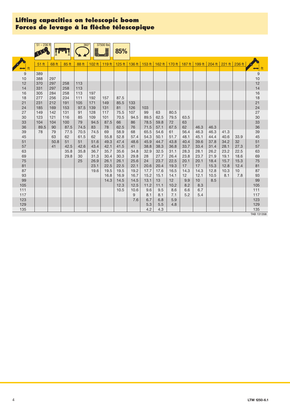#### **Lifting capacities on telescopic boom Forces de levage à la fl èche télescopique**

|            | $51 - 236$ ft    |       |       | $360^\circ$ | L    | 37500 lbs       | 85%  |           |                                                              |             |            |            |                 |      |                                |      |                      |
|------------|------------------|-------|-------|-------------|------|-----------------|------|-----------|--------------------------------------------------------------|-------------|------------|------------|-----------------|------|--------------------------------|------|----------------------|
|            | 51 <sub>ft</sub> | 68 ft | 85 ft | 88 ft       |      | 102 ft   119 ft |      |           | 125 ft   136 ft   153 ft   162 ft   170 ft   187 ft   199 ft |             |            |            |                 |      | $204 \text{ ft}$ 221 ft 236 ft |      | $\leftrightarrow$ ft |
| 9          | 389              |       |       |             |      |                 |      |           |                                                              |             |            |            |                 |      |                                |      | $9$                  |
| 10         | 388              | 297   |       |             |      |                 |      |           |                                                              |             |            |            |                 |      |                                |      | 10                   |
| 12         | 370              | 297   | 258   | 113         |      |                 |      |           |                                                              |             |            |            |                 |      |                                |      | 12                   |
| 14         | 331              | 297   | 258   | 113         |      |                 |      |           |                                                              |             |            |            |                 |      |                                |      | 14                   |
| 16         | 305              | 284   | 258   | 113         | 197  |                 |      |           |                                                              |             |            |            |                 |      |                                |      | 16                   |
| 18         | 277              | 256   | 234   | 111         | 192  | 157             | 87.5 |           |                                                              |             |            |            |                 |      |                                |      | 18                   |
| 21         | 231              | 212   | 191   | 105         | 171  | 149             | 85.5 | 133       |                                                              |             |            |            |                 |      |                                |      | 21                   |
| 24         | 185              | 169   | 153   | 97.5        | 139  | 131             | 81   | 126       | 103                                                          |             |            |            |                 |      |                                |      | 24                   |
| 27         | 149              | 142   | 131   | 91          | 128  | 117             | 75.5 | 107       | 99                                                           | 63          | 80.5       |            |                 |      |                                |      | 27                   |
| 30         | 123              | 121   | 116   | 85          | 109  | 101             | 70.5 | 94.5      | 89.5                                                         | 62.5        | 79.5       | 63.5       |                 |      |                                |      | 30                   |
| 33         | 104              | 104   | 100   | 79          | 94.5 | 87.5            | 66   | 86        | 78.5                                                         | 59.8        | 72         | 63         |                 |      |                                |      | 33                   |
| 36         | 89.5             | 90    | 87.5  | 74.5        | 83   | 78              | 62.5 | 76        | 71.5                                                         | 57.1        | 67.5       | 62         | 46.3            | 46.3 |                                |      | 36                   |
| 39         | 78               | 79    | 77.5  | 70.5        | 74.5 | 69              | 58.9 | 68        | 65.5                                                         | 54.6        | 61         | 56.4       | 46.3            | 46.3 | 41.3                           |      | 39                   |
| 45         |                  | 63    | 62    | 61.5        | 62   | 55.8            | 52.8 | 57.4      | 54.3                                                         | 50.1        | 51.7       | 48.1       | 45.1            | 44.4 | 40.6                           | 33.9 | 45                   |
| 51         |                  | 50.8  | 51    | 51          | 51.6 | 49.3            | 47.4 | 48.6      | 45.9                                                         | 44.7        | 43.8       | 40.4       | 39.6            | 37.8 | 34.2                           | 32   | 51                   |
| 57         |                  | 41    | 42.5  | 42.6        | 43.4 | 42.1            | 41.5 | 41        | 38.8                                                         | 38.3        | 36.8       | 33.7       | 33.4            | 31.4 | 28.1                           | 27.3 | 57                   |
| 63         |                  |       | 35.8  | 35.8        | 36.7 | 35.7            | 35.6 | 34.8      | 32.9                                                         | 32.5        | 31.1       | 28.3       | 28.1            | 26.2 | 23.2                           | 22.5 | 63                   |
| 69         |                  |       | 29.8  | 30          | 31.3 | 30.4            | 30.3 | 29.8      | 28                                                           | 27.7        | 26.4       | 23.8       | 23.7            | 21.9 | 19.1                           | 18.6 | 69                   |
| 75         |                  |       |       | 25          | 26.9 | 26.1            | 26.1 | 25.6      | 24                                                           | 23.7        | 22.5       | 20.1       | 20.1            | 18.4 | 15.7                           | 15.3 | 75                   |
| 81         |                  |       |       |             | 23.1 | 22.5            | 22.5 | 22.1      | 20.6                                                         | 20.4        | 19.3       | 17         | 17              | 15.3 | 12.8                           | 12.4 | 81                   |
| 87         |                  |       |       |             | 19.6 | 19.5            | 19.5 | 19.2      | 17.7                                                         | 17.6        | 16.5       | 14.3       | 14.3            | 12.8 | 10.3                           | 10   | 87                   |
| 93         |                  |       |       |             |      | 16.8            | 16.9 | 16.7      | 15.2                                                         | 15.1        | 14.1       | 12         | 12.1            | 10.5 | 8.1                            | 7.8  | 93                   |
| 99         |                  |       |       |             |      | 14.3            | 14.5 | 14.5      | 13.1                                                         | 13          | 12         | 9.9        | 10 <sup>1</sup> | 8.5  |                                |      | 99                   |
| 105        |                  |       |       |             |      |                 | 12.3 | 12.5      | 11.2                                                         | 11.1<br>9.5 | 10.2       | 8.2        | 8.3             |      |                                |      | 105                  |
| 111<br>117 |                  |       |       |             |      |                 | 10.5 | 10.6<br>9 | 9.6<br>8.1                                                   | 8.1         | 8.6<br>7.1 | 6.6<br>5.2 | 6.7<br>5.4      |      |                                |      | 111<br>117           |
| 123        |                  |       |       |             |      |                 |      | 7.6       | 6.7                                                          | 6.8         | 5.9        |            |                 |      |                                |      | 123                  |
| 129        |                  |       |       |             |      |                 |      |           | 5.3                                                          | 5.5         | 4.8        |            |                 |      |                                |      | 129                  |
| 135        |                  |       |       |             |      |                 |      |           | 4.2                                                          | 4.3         |            |            |                 |      |                                |      | 135                  |
|            |                  |       |       |             |      |                 |      |           |                                                              |             |            |            |                 |      |                                |      |                      |

TAB 131358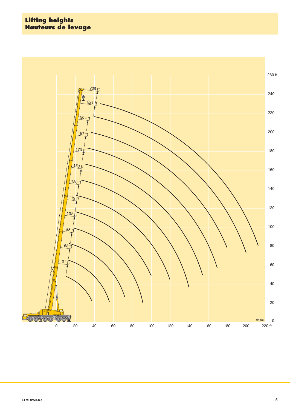#### **Lifting heights Hauteurs de levage**

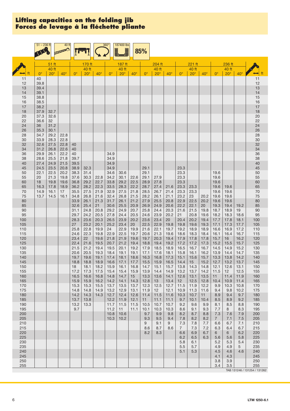|              | $51 - 236$ ft     |              | 40 ft        |              |                 |              | $360^\circ$  | 187400 lbs<br>LJ |              | 85%          |              |                     |                       |              |              |                |              |              |            |
|--------------|-------------------|--------------|--------------|--------------|-----------------|--------------|--------------|------------------|--------------|--------------|--------------|---------------------|-----------------------|--------------|--------------|----------------|--------------|--------------|------------|
|              |                   | 51 ft        |              |              |                 |              |              |                  |              |              | 204 ft       |                     |                       | 221 ft       |              |                | 236 ft       |              |            |
|              |                   | 40 ft        |              |              | 170 ft<br>40 ft |              |              | 187 ft<br>40 ft  |              |              | 40 ft        |                     |                       | 40 ft        |              |                | 40 ft        |              |            |
| 11           | $0^{\circ}$<br>40 | $20^\circ$   | $40^{\circ}$ | $0^{\circ}$  | $20^\circ$      | $40^{\circ}$ | $0^{\circ}$  | $20^\circ$       | $40^{\circ}$ | $0^{\circ}$  | $20^\circ$   | $40^{\circ}$        | $\Omega^{\circ}$      | $20^\circ$   | $40^{\circ}$ | $0^{\circ}$    | $20^\circ$   | $40^\circ$   | 11         |
| 12           | 39.8              |              |              |              |                 |              |              |                  |              |              |              |                     |                       |              |              |                |              |              | 12         |
| 13<br>14     | 39.4<br>39.1      |              |              |              |                 |              |              |                  |              |              |              |                     |                       |              |              |                |              |              | 13<br>14   |
| 15           | 38.8              |              |              |              |                 |              |              |                  |              |              |              |                     |                       |              |              |                |              |              | 15         |
| 16           | 38.5              |              |              |              |                 |              |              |                  |              |              |              |                     |                       |              |              |                |              |              | 16         |
| 17<br>18     | 38.2<br>37.9      | 32.7         |              |              |                 |              |              |                  |              |              |              |                     |                       |              |              |                |              |              | 17<br>18   |
| 20           | 37.3              | 32.6         |              |              |                 |              |              |                  |              |              |              |                     |                       |              |              |                |              |              | 20         |
| 22<br>24     | 36.6<br>36        | 32<br>31.2   |              |              |                 |              |              |                  |              |              |              |                     |                       |              |              |                |              |              | 22<br>24   |
| 26           | 35.3              | 30.1         |              |              |                 |              |              |                  |              |              |              |                     |                       |              |              |                |              |              | 26         |
| 28           | 34.7              | 29.2         | 22.8         |              |                 |              |              |                  |              |              |              |                     |                       |              |              |                |              |              | 28         |
| 30<br>32     | 33.9<br>32.6      | 28.3<br>27.5 | 22.8<br>22.8 | 40           |                 |              |              |                  |              |              |              |                     |                       |              |              |                |              |              | 30<br>32   |
| 34           | 31.2              | 26.8         | 22.6         | 40           |                 |              |              |                  |              |              |              |                     |                       |              |              |                |              |              | 34         |
| 36<br>38     | 29.9<br>28.6      | 26.1<br>25.5 | 22.2<br>21.8 | 40<br>39.7   |                 |              | 34.9<br>34.9 |                  |              |              |              |                     |                       |              |              |                |              |              | 36<br>38   |
| 40           | 27.4              | 24.9         | 21.5         | 39.5         |                 |              | 34.9         |                  |              |              |              |                     |                       |              |              |                |              |              | 40         |
| 45<br>50     | 24.5<br>22.1      | 23.5<br>22.5 | 20.8<br>20.2 | 38.9<br>38.3 | 32.3<br>31.4    |              | 34.9<br>34.6 | 30.6             |              | 29.1<br>29.1 |              |                     | 23.3<br>23.3          |              |              |                |              |              | 45<br>50   |
| 55           | 20                | 21.3         | 19.8         | 37.6         | 30.3            | 22.8         | 34.2         | 30.1             | 22.6         | 29.1         | 27.9         |                     | 23.3                  |              |              | 19.6<br>19.6   |              |              | 55         |
| 60           | 18                | 19.8         | 19.6         | 36.8         | 29.2            | 22.7         | 33.8         | 29.2             | 22.5         | 28.9         | 27.8         |                     | 23.3                  |              |              | 19.6           |              |              | 60         |
| 65<br>70     | 16.3<br>14.9      | 17.8<br>16.1 | 18.9<br>17   | 36.2<br>35.5 | 28.2<br>27.5    | 22.3<br>21.9 | 33.5<br>32.9 | 28.3<br>27.5     | 22.2<br>21.8 | 28.7<br>28.5 | 27.4<br>26.7 | 21.6<br>21.4        | 23.3<br>23.3          | 23.3<br>23.3 |              | 19.6<br>19.6   | 19.6<br>19.6 |              | 65<br>70   |
| 75           | 13.7              | 14.5         | 16.1         | 34.8         | 26.8            | 21.6         | 32.4         | 26.8             | 21.5         | 28.2         | 26.1         | 21.1                | 23.2                  | 23           | 20.2         | 19.6           | 19.6         |              | 75         |
| 80<br>85     |                   |              |              | 33.9<br>32.6 | 26.1<br>25.4    | 21.3<br>21   | 31.7<br>30.6 | 26.1<br>25.5     | 21.2<br>20.9 | 27.9<br>26.9 | 25.5<br>24.9 | 20.8<br>20.6        | 22.9<br>22.2          | 22.5<br>22.1 | 20.2<br>20   | 19.6<br>19.3   | 19.6<br>19.4 | 19.2         | 80<br>85   |
| $90\,$       |                   |              |              | 31.1         | 24.8            | 20.8         | 29.2         | 24.9             | 20.7         | 25.8         | 24.4         | 20.3                | 21.6                  | 21.5         | 19.8         | 18.7           | 18.9         | 19           | $90\,$     |
| 95<br>100    |                   |              |              | 29.7<br>28.3 | 24.2<br>23.6    | 20.5<br>20.3 | 27.8<br>26.5 | 24.4<br>23.9     | 20.5<br>20.2 | 24.6<br>23.6 | 23.9<br>23.4 | 20.2<br>20          | 21<br>20.4            | 20.8<br>20.2 | 19.6<br>19.4 | 18.2<br>17.7   | 18.3<br>17.8 | 18.6<br>18.1 | 95<br>100  |
| 105          |                   |              |              | 27           | 23.2            | 20.1         | 25.2         | 23.4             | 20           | 22.5         | 22.9         | 19.8                | 19.8                  | 19.6         | 19.3         | 17.1           | 17.3         | 17.7         | 105        |
| 110          |                   |              |              | 25.8         | 22.8            | 19.9         | 24           | 22.9             | 19.9         | 21.6         | 22.1         | 19.7                | 19.2                  | 18.9         | 18.9         | 16.6           | 16.9         | 17.2         | 110        |
| 115<br>120   |                   |              |              | 24.6<br>23.4 | 22.3<br>22      | 19.8<br>19.6 | 22.9<br>21.8 | 22.5<br>21.9     | 19.7<br>19.6 | 20.6<br>19.7 | 21.3<br>20.3 | 19.6<br>19.4        | 18.6<br>17.9          | 18.3<br>17.8 | 18.4<br>17.8 | 16.1<br>15.7   | 16.4<br>16   | 16.7<br>16.2 | 115<br>120 |
| 125          |                   |              |              | 22.4         | 21.6            | 19.5         | 20.7         | 21.2             | 19.4         | 18.8         | 19.4         | 19.2                | 17.2                  | 17.2         | 17.3         | 15.2           | 15.5         | 15.7         | 125        |
| 130<br>135   |                   |              |              | 21.5<br>20.6 | 21.2<br>20.5    | 19.4<br>19.3 | 19.5<br>18.4 | 20.1<br>19.1     | 19.2<br>19.1 | 17.9<br>17.1 | 18.5<br>17.6 | 18.9<br>18.1        | 16.5<br>15.8          | 16.7<br>16.1 | 16.7<br>16.2 | 14.5<br>13.9   | 14.9<br>14.4 | 15.2<br>14.7 | 130<br>135 |
| 140          |                   |              |              | 19.7         | 19.6            | 19.1         | 17.4         | 18.1             | 18.6         | 16.3         | 16.8         | 17.3                | 15.1                  | 15.6         | 15.7         | 13.3           | 13.8         | 14.2         | 140        |
| $145$<br>150 |                   |              |              | 18.8<br>18   | 18.8<br>18.1    | 18.9<br>18.2 | 16.6<br>15.9 | 17.1<br>16.1     | 17.7<br>16.8 | 15.5<br>14.7 | 15.1         | $15.9$ 16.5<br>15.7 | 14.4<br>13.8          | 15<br>14.3   | 15.2<br>14.8 | 12.7<br>12.1   | 13.2<br>12.6 | 13.7<br>13.1 | 145<br>150 |
| 155          |                   |              |              | 17.2         | 17.3            | 17.5         | 15.4         | 15.4             | 15.9         | 13.9         | 14.4         | 14.9                | 13.2                  | 13.7         | 14.2         | 11.5           | 12           | 12.5         | 155        |
| 160<br>165   |                   |              |              | 16.5         | 16.6            | 16.8         | 14.8         | 14.7             | 15           | 13.3         | 13.6         | 14.1                | 12.6                  | 13.1         | 13.5         | 11             | 11.4         | 11.9         | 160        |
| 170          |                   |              |              | 15.9<br>15.3 | 15.9<br>15.3    | 16.2<br>15.5 | 14.2<br>13.7 | 14.1<br>13.5     | 14.3<br>13.7 | 12.8<br>12.3 | 13<br>12.5   | 13.4<br>12.7        | 12<br>11.5            | 12.5<br>11.9 | 12.8<br>12.2 | 10.4<br>9.9    | 10.9<br>10.3 | 11.4<br>10.8 | 165<br>170 |
| 175          |                   |              |              | 14.8         | 14.8            | 14.9         | 13.2         | 12.9             | 13.1         | 11.9         | 12           | 12.1                | 10.9                  | 11.3         | 11.6         | 9.4            | 9.8          | 10.2         | 175        |
| 180<br>185   |                   |              |              | 14.2<br>13.7 | 14.3<br>13.8    | 14.3         | 12.7<br>12.2 | 12.4<br>11.9     | 12.6<br>12.1 | 11.4<br>11   | 11.5<br>11.1 | 11.6<br>11.1        | 10.3<br>9.7           | 10.7<br>10.1 | 11<br>10.4   | 8.9<br>8.5     | 9.4<br>8.9   | 9.7<br>9.2   | 180<br>185 |
| 190          |                   |              |              | 13.2         | 13.3            |              | 11.7         | 11.5             | 11.5         | 10.5         | 10.7         | 10.7                | 9.2                   | 9.6          | 9.9          | 8.1            | 8.5          | 8.8          | 190        |
| 195<br>200   |                   |              |              | 9.7          |                 |              | 11.2<br>10.8 | 11<br>10.6       | 11.1         | 10.1<br>9.7  | 10.3<br>9.9  | 10.3<br>9.8         | 8.6<br>8.2            | 9.1<br>8.7   | 9.3<br>8.8   | 7.7<br>7.3     | 8<br>7.6     | 8.3<br>7.9   | 195<br>200 |
| 205          |                   |              |              |              |                 |              | 10.3         | 10.2             |              | 9.3          | 9.5          | 9.4                 | 7.8                   | 8.2          | 8.2          | 7 <sup>7</sup> | 7.1          | 7.5          | 205        |
| 210<br>215   |                   |              |              |              |                 |              |              |                  |              | 9<br>8.6     | 9.1<br>8.7   | 9<br>8.6            | 7.3<br>7 <sup>7</sup> | 7.8          | 7.7<br>7.2   | 6.6<br>6.3     | 6.7<br>6.4   | 7.1<br>6.7   | 210        |
| 220          |                   |              |              |              |                 |              |              |                  |              | 8.2          | 8.3          |                     | 6.6                   | 7.3<br>6.9   | 6.7          | 6              | 6            | 6.2          | 215<br>220 |
| 225          |                   |              |              |              |                 |              |              |                  |              |              |              |                     | 6.2                   | 6.5          | 6.3          | 5.6            | 5.6          | 5.8          | 225        |
| 230<br>235   |                   |              |              |              |                 |              |              |                  |              |              |              |                     | 5.8<br>5.5            | 6.1<br>5.7   |              | 5.2<br>4.9     | 5.3<br>4.9   | 5.4<br>5     | 230<br>235 |
| 240          |                   |              |              |              |                 |              |              |                  |              |              |              |                     | 5.1                   | 5.3          |              | 4.5            | 4.6          | 4.6          | 240        |
| 245<br>250   |                   |              |              |              |                 |              |              |                  |              |              |              |                     |                       |              |              | 4.1<br>3.8     | 4.3<br>3.9   |              | 245<br>250 |
| 255          |                   |              |              |              |                 |              |              |                  |              |              |              |                     |                       |              |              | 3.4            | 3.5          |              | 255        |

TAB 131246 / 131254 / 131262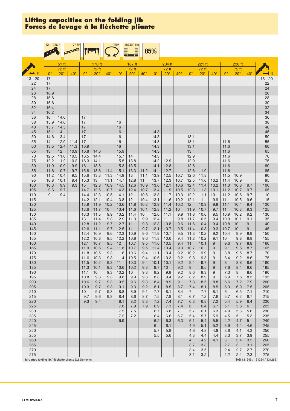| 51 ft<br>170 ft<br>204 ft<br>221 ft<br>236 ft<br>187 ft<br>72 ft<br>72 ft<br>$72$ ft<br>72 ft<br>72 ft<br>72 ft<br>$20^{\circ}$<br>$20^{\circ}$<br>$20^\circ$<br>$0^{\circ}$<br>$20^\circ$<br>$40^{\circ}$<br>$0^{\circ}$<br>$40^\circ$<br>$0^{\circ}$<br>$40^\circ$<br>$0^{\circ}$<br>$20^\circ$<br>$40^\circ$<br>$20^{\circ}$<br>$40^{\circ}$<br>$40^{\circ}$<br>$0^{\circ}$<br>$0^{\circ}$<br>$13 - 20$<br>17<br>$13 - 20$<br>22<br>17<br>22<br>24<br>24<br>17<br>26<br>26<br>16.9<br>28<br>28<br>16.8<br>30<br>30<br>16.6<br>32<br>32<br>16.4<br>34<br>34<br>16.2<br>36<br>36<br>16<br>17<br>14.6<br>38<br>38<br>15.9<br>14.6<br>17<br>16<br>40<br>40<br>15.7<br>17<br>16<br>14.5<br>17<br>45<br>45<br>16<br>15.1<br>14<br>14.3<br>14.6<br>17<br>14.3<br>13.1<br>50<br>50<br>13.4<br>16<br>14.3<br>55<br>55<br>14<br>12.9<br>17<br>16<br>13.1<br>11.4<br>11.6<br>60<br>60<br>13.5<br>11.3<br>16.9<br>16<br>14.3<br>13.1<br>12.4<br>11.6<br>65<br>65<br>13<br>12 <sup>2</sup><br>10.9<br>16.8<br>14.6<br>15.9<br>14.3<br>13<br>11.6<br>12.9<br>$70$<br>70<br>12.5<br>16.5<br>14.3<br>11.6<br>11.6<br>10.5<br>14.4<br>15.7<br>14<br>75<br>75<br>12.2<br>11.2<br>10.2<br>14.1<br>15.5<br>13.8<br>14.2<br>12.9<br>11.6<br>16.3<br>12.9<br>15.3<br>80<br>80<br>11.9<br>10.9<br>9.9<br>16<br>13.8<br>13.5<br>14.1<br>12.8<br>12.8<br>11.6<br>85<br>85<br>10.7<br>15.8<br>15.1<br>13.3<br>11.2<br>12.7<br>12.6<br>11.6<br>11.6<br>9.7<br>13.6<br>11.4<br>14<br>11.9<br>$90\,$<br>90<br>13.3<br>10.7<br>12.6<br>11.5<br>11.2<br>10.4<br>9.5<br>15.6<br>11.3<br>14.9<br>13<br>11.1<br>13.9<br>12.5<br>11.8<br>10.9<br>95<br>95<br>10.8<br>15.3<br>13<br>14.7<br>12.8<br>11<br>13.7<br>12.3<br>10.7<br>12.5<br>11.6<br>11.4<br>10.1<br>9.4<br>11.1<br>10.2<br>10.9<br>12.8<br>100<br>100<br>10.3<br>9.9<br>9.3<br>15<br>14.5<br>12.6<br>10.9<br>13.6<br>12.1<br>10.6<br>12.4<br>11.4<br>10.2<br>11.3<br>10.9<br>10.8<br>9.7<br>105<br>105<br>9.6<br>12.5<br>12.4<br>9.7<br>14.7<br>10.7<br>14.3<br>10.7<br>13.4<br>11.9<br>10.5<br>12.3<br>11.3<br>10.1<br>11.2<br>10.7<br>9.7<br>110<br>14.4<br>12.3<br>10.5<br>14.1<br>12.1<br>13.3<br>11.7<br>10.3<br>12.2<br>11.1<br>11.2<br>110<br>9<br>9.4<br>10.6<br>10<br>10.6<br>9.7<br>115<br>14.2<br>12.1<br>13.8<br>12<br>10.4<br>13.1<br>10.2<br>12.1<br>9.9<br>10.5<br>115<br>10.4<br>11.6<br>11<br>11.1<br>9.6<br>120<br>11.9<br>10.2<br>13.6<br>11.8<br>10.2<br>12.9<br>11.4<br>10.2<br>9.8<br>10.4<br>120<br>13.9<br>12<br>10.9<br>11.1<br>9.4<br>125<br>125<br>13.6<br>11.7<br>13.4<br>11.6<br>10.1<br>12.8<br>11.2<br>11.9<br>10.7<br>9.7<br>11<br>10.3<br>9.3<br>10 <sup>1</sup><br>10 <sup>°</sup><br>130<br>130<br>13.3<br>11.5<br>9.9<br>13.2<br>11.4<br>12.6<br>11.1<br>9.9<br>11.8<br>9.5<br>10.9<br>10.2<br>10 <sup>1</sup><br>10.6<br>9.2<br>135<br>135<br>9.4<br>10.9<br>13.1<br>11.4<br>12.9<br>11.3<br>9.9<br>12.4<br>11<br>9.8<br>11.7<br>10.5<br>10.1<br>9.1<br>9.8<br>140<br>11.2<br>12.8<br>9.7<br>12.7<br>11.1<br>9.8<br>12.3<br>10.8<br>9.6<br>11.6<br>10.4<br>9.4<br>10.8<br>10<br>9<br>140<br>145<br>12.6<br>9.5<br>9.3<br>145<br>11.1<br>9.7<br>12.5<br>11<br>9.7<br>12.1<br>10.7<br>11.4<br>10.3<br>10.7<br>9<br>10<br>150<br>10.9<br>9.5<br>9.2<br>150<br>12.4<br>10.9<br>9.6<br>12.3<br>9.6<br>11.9<br>10.7<br>11.3<br>10.2<br>10.4<br>9.9<br>8.9<br>155<br>12.2<br>10.8<br>9.5<br>12.2<br>10.8<br>9.6<br>11.8<br>10.6<br>9.4<br>11.2<br>10.2<br>9.1<br>155<br>10 <sup>1</sup><br>9.8<br>8.8<br>160<br>12.1<br>10.7<br>12<br>10.7<br>9.5<br>9.4<br>160<br>9.5<br>11.6<br>10.5<br>11<br>10.1<br>9<br>9.6<br>9.7<br>8.8<br>165<br>165<br>10.7<br>9.3<br>10.7<br>11.9<br>10.6<br>9.4<br>11.8<br>9.5<br>11.4<br>10.4<br>10<br>9<br>9.1<br>9.6<br>8.7<br>170<br>9.3<br>9.2<br>11.8<br>10.5<br>11.6<br>10.6<br>9.4<br>11.1<br>10.4<br>10.2<br>9.9<br>9<br>8.8<br>9.5<br>170<br>8.7<br>9.2<br>9<br>175<br>11.6<br>10.3<br>9.3<br>11.4<br>10.5<br>9.4<br>10.6<br>10.3<br>9.8<br>8.4<br>9.2<br>175<br>9.8<br>8.6<br>11.5<br>9.7<br>$\overline{9}$<br>10.2<br>10.3<br>9.4<br>10.1<br>10.1<br>9.2<br>8.8<br>9.3<br>$11 -$<br>9.4<br>8 <sup>1</sup><br>8.6<br>180<br>180<br>185<br>11.3<br>10.1<br>9.3<br>10.6<br>10.2<br>9.3<br>9.7<br>10<br>9.2<br>9<br>9.5<br>9<br>7.6<br>8.4<br>185<br>8.6<br>190<br>9.3<br>9.2<br>11.1<br>10.2<br>10<br>9.3<br>9.2<br>9.8<br>8.6<br>9.3<br>9<br>7.3<br>190<br>10 <sup>°</sup><br>8<br>8.6<br>195<br>9.3<br>9.9<br>9.3<br>9.2<br>8.2<br>9<br>195<br>10.8<br>9.8<br>9.8<br>8.8<br>9.4<br>8.9<br>6.9<br>7.6<br>8.3<br>9.7<br>9.3<br>7.8<br>8.8<br>200<br>200<br>10.6<br>9.3<br>9.5<br>9.6<br>8.4<br>8.9<br>8.5<br>6.6<br>7.2<br>7.9<br>9<br>205<br>9.3<br>9.2<br>6.3<br>205<br>10.3<br>9.7<br>9.3<br>8.1<br>8.7<br>7.4<br>8.1<br>8.5<br>6.9<br>7.5<br>9.1<br>8.5<br>210<br>10 <sup>°</sup><br>9.7<br>9.3<br>8.8<br>8.9<br>9.1<br>7.7<br>8.1<br>8.4<br>$\overline{7}$<br>8.1<br>6.5<br>7.1<br>210<br>7.7<br>6<br>215<br>9.7<br>9.3<br>215<br>9.6<br>8.4<br>8.6<br>8.7<br>7.5<br>7.8<br>8.1<br>6.7<br>7.2<br>7.6<br>5.7<br>6.2<br>6.7<br>220<br>8.2<br>5.9<br>220<br>9.3<br>9.4<br>8.1<br>8.3<br>7.2<br>7.7<br>6.3<br>6.8<br>7.2<br>6.4<br>7.4<br>5.4<br>225<br>225<br>7.8<br>7.9<br>7.9<br>6.9<br>7.1<br>7.4<br>6.4<br>6.7<br>5.1<br>5.6<br>6<br>6<br>230<br>$7.5\,$<br>230<br>7.5<br>6.7<br>6.8<br>$\overline{7}$<br>5.7<br>6.3<br>5.3<br>6.1<br>4.9<br>5.6<br>235<br>235<br>7.2<br>7.2<br>6.4<br>6.7<br>5.4<br>5.7<br>5.9<br>4.5<br>5.3<br>6.6<br>5<br>6.9<br>6.3<br>5.1<br>5.5<br>4.2<br>4.7<br>5 <sup>5</sup><br>240<br>6.2<br>6.3<br>5.4<br>240<br>245<br>245<br>6<br>6.1<br>4.9<br>5.1<br>5.2<br>3.9<br>4.4<br>4.6<br>250<br>5.7<br>5.8<br>4.8<br>3.6<br>4.1<br>4.3<br>250<br>4.6<br>4.8<br>255<br>5.5<br>4.4<br>255<br>5.6<br>4.3<br>4.4<br>3.3<br>3.7<br>3.9<br>260<br>260<br>$\overline{4}$<br>4.2<br>4.1<br>3 <sup>1</sup><br>3.4<br>3.5<br>265<br>265<br>3.7<br>3.1<br>3.8<br>2.7<br>3<br>270<br>3.4<br>3.5<br>2.4<br>2.7<br>2.7<br>270<br>275<br>3.1<br>3.2<br>2.2<br>2.4<br>2.3<br>275<br>TAB 131246 / 131254 / 131262<br>* bi-parted folding jib / fléchette pliante à 2 éléments | $51 - 236$ ft | 72 ft* |  | $360^\circ$ | 187400 lbs<br>J | 85% |  |  |  |  |  |
|------------------------------------------------------------------------------------------------------------------------------------------------------------------------------------------------------------------------------------------------------------------------------------------------------------------------------------------------------------------------------------------------------------------------------------------------------------------------------------------------------------------------------------------------------------------------------------------------------------------------------------------------------------------------------------------------------------------------------------------------------------------------------------------------------------------------------------------------------------------------------------------------------------------------------------------------------------------------------------------------------------------------------------------------------------------------------------------------------------------------------------------------------------------------------------------------------------------------------------------------------------------------------------------------------------------------------------------------------------------------------------------------------------------------------------------------------------------------------------------------------------------------------------------------------------------------------------------------------------------------------------------------------------------------------------------------------------------------------------------------------------------------------------------------------------------------------------------------------------------------------------------------------------------------------------------------------------------------------------------------------------------------------------------------------------------------------------------------------------------------------------------------------------------------------------------------------------------------------------------------------------------------------------------------------------------------------------------------------------------------------------------------------------------------------------------------------------------------------------------------------------------------------------------------------------------------------------------------------------------------------------------------------------------------------------------------------------------------------------------------------------------------------------------------------------------------------------------------------------------------------------------------------------------------------------------------------------------------------------------------------------------------------------------------------------------------------------------------------------------------------------------------------------------------------------------------------------------------------------------------------------------------------------------------------------------------------------------------------------------------------------------------------------------------------------------------------------------------------------------------------------------------------------------------------------------------------------------------------------------------------------------------------------------------------------------------------------------------------------------------------------------------------------------------------------------------------------------------------------------------------------------------------------------------------------------------------------------------------------------------------------------------------------------------------------------------------------------------------------------------------------------------------------------------------------------------------------------------------------------------------------------------------------------------------------------------------------------------------------------------------------------------------------------------------------------------------------------------------------------------------------------------------------------------------------------------------------------------------------------------------------------------------------------------------------------------------------------------------------------------------------------------------------------------------------------------------------------------------------------------------------------------------------------------------------------------------------------------------------------------------------------------------------------------------------------------------------------------------------------------------------------------------------------------------------------------------------------------------------------------------------------------------------------------------------------------------------------------------------------------------------------------------------------------------------------------------------------------------------------------------------------------------------------------------------------------------------------------------------------------------------------------------------------------------------------------------------------------------------------------------------------------------------------------------------------------------------------------------------------------------------------------------------------------------------------------------------------------------------------------------------------------------------------------------------------------------------------|---------------|--------|--|-------------|-----------------|-----|--|--|--|--|--|
|                                                                                                                                                                                                                                                                                                                                                                                                                                                                                                                                                                                                                                                                                                                                                                                                                                                                                                                                                                                                                                                                                                                                                                                                                                                                                                                                                                                                                                                                                                                                                                                                                                                                                                                                                                                                                                                                                                                                                                                                                                                                                                                                                                                                                                                                                                                                                                                                                                                                                                                                                                                                                                                                                                                                                                                                                                                                                                                                                                                                                                                                                                                                                                                                                                                                                                                                                                                                                                                                                                                                                                                                                                                                                                                                                                                                                                                                                                                                                                                                                                                                                                                                                                                                                                                                                                                                                                                                                                                                                                                                                                                                                                                                                                                                                                                                                                                                                                                                                                                                                                                                                                                                                                                                                                                                                                                                                                                                                                                                                                                                                                                                                                                                                                                                                                                                                                                                                                                                                                                                                                                                                          |               |        |  |             |                 |     |  |  |  |  |  |
|                                                                                                                                                                                                                                                                                                                                                                                                                                                                                                                                                                                                                                                                                                                                                                                                                                                                                                                                                                                                                                                                                                                                                                                                                                                                                                                                                                                                                                                                                                                                                                                                                                                                                                                                                                                                                                                                                                                                                                                                                                                                                                                                                                                                                                                                                                                                                                                                                                                                                                                                                                                                                                                                                                                                                                                                                                                                                                                                                                                                                                                                                                                                                                                                                                                                                                                                                                                                                                                                                                                                                                                                                                                                                                                                                                                                                                                                                                                                                                                                                                                                                                                                                                                                                                                                                                                                                                                                                                                                                                                                                                                                                                                                                                                                                                                                                                                                                                                                                                                                                                                                                                                                                                                                                                                                                                                                                                                                                                                                                                                                                                                                                                                                                                                                                                                                                                                                                                                                                                                                                                                                                          |               |        |  |             |                 |     |  |  |  |  |  |
|                                                                                                                                                                                                                                                                                                                                                                                                                                                                                                                                                                                                                                                                                                                                                                                                                                                                                                                                                                                                                                                                                                                                                                                                                                                                                                                                                                                                                                                                                                                                                                                                                                                                                                                                                                                                                                                                                                                                                                                                                                                                                                                                                                                                                                                                                                                                                                                                                                                                                                                                                                                                                                                                                                                                                                                                                                                                                                                                                                                                                                                                                                                                                                                                                                                                                                                                                                                                                                                                                                                                                                                                                                                                                                                                                                                                                                                                                                                                                                                                                                                                                                                                                                                                                                                                                                                                                                                                                                                                                                                                                                                                                                                                                                                                                                                                                                                                                                                                                                                                                                                                                                                                                                                                                                                                                                                                                                                                                                                                                                                                                                                                                                                                                                                                                                                                                                                                                                                                                                                                                                                                                          |               |        |  |             |                 |     |  |  |  |  |  |
|                                                                                                                                                                                                                                                                                                                                                                                                                                                                                                                                                                                                                                                                                                                                                                                                                                                                                                                                                                                                                                                                                                                                                                                                                                                                                                                                                                                                                                                                                                                                                                                                                                                                                                                                                                                                                                                                                                                                                                                                                                                                                                                                                                                                                                                                                                                                                                                                                                                                                                                                                                                                                                                                                                                                                                                                                                                                                                                                                                                                                                                                                                                                                                                                                                                                                                                                                                                                                                                                                                                                                                                                                                                                                                                                                                                                                                                                                                                                                                                                                                                                                                                                                                                                                                                                                                                                                                                                                                                                                                                                                                                                                                                                                                                                                                                                                                                                                                                                                                                                                                                                                                                                                                                                                                                                                                                                                                                                                                                                                                                                                                                                                                                                                                                                                                                                                                                                                                                                                                                                                                                                                          |               |        |  |             |                 |     |  |  |  |  |  |
|                                                                                                                                                                                                                                                                                                                                                                                                                                                                                                                                                                                                                                                                                                                                                                                                                                                                                                                                                                                                                                                                                                                                                                                                                                                                                                                                                                                                                                                                                                                                                                                                                                                                                                                                                                                                                                                                                                                                                                                                                                                                                                                                                                                                                                                                                                                                                                                                                                                                                                                                                                                                                                                                                                                                                                                                                                                                                                                                                                                                                                                                                                                                                                                                                                                                                                                                                                                                                                                                                                                                                                                                                                                                                                                                                                                                                                                                                                                                                                                                                                                                                                                                                                                                                                                                                                                                                                                                                                                                                                                                                                                                                                                                                                                                                                                                                                                                                                                                                                                                                                                                                                                                                                                                                                                                                                                                                                                                                                                                                                                                                                                                                                                                                                                                                                                                                                                                                                                                                                                                                                                                                          |               |        |  |             |                 |     |  |  |  |  |  |
|                                                                                                                                                                                                                                                                                                                                                                                                                                                                                                                                                                                                                                                                                                                                                                                                                                                                                                                                                                                                                                                                                                                                                                                                                                                                                                                                                                                                                                                                                                                                                                                                                                                                                                                                                                                                                                                                                                                                                                                                                                                                                                                                                                                                                                                                                                                                                                                                                                                                                                                                                                                                                                                                                                                                                                                                                                                                                                                                                                                                                                                                                                                                                                                                                                                                                                                                                                                                                                                                                                                                                                                                                                                                                                                                                                                                                                                                                                                                                                                                                                                                                                                                                                                                                                                                                                                                                                                                                                                                                                                                                                                                                                                                                                                                                                                                                                                                                                                                                                                                                                                                                                                                                                                                                                                                                                                                                                                                                                                                                                                                                                                                                                                                                                                                                                                                                                                                                                                                                                                                                                                                                          |               |        |  |             |                 |     |  |  |  |  |  |
|                                                                                                                                                                                                                                                                                                                                                                                                                                                                                                                                                                                                                                                                                                                                                                                                                                                                                                                                                                                                                                                                                                                                                                                                                                                                                                                                                                                                                                                                                                                                                                                                                                                                                                                                                                                                                                                                                                                                                                                                                                                                                                                                                                                                                                                                                                                                                                                                                                                                                                                                                                                                                                                                                                                                                                                                                                                                                                                                                                                                                                                                                                                                                                                                                                                                                                                                                                                                                                                                                                                                                                                                                                                                                                                                                                                                                                                                                                                                                                                                                                                                                                                                                                                                                                                                                                                                                                                                                                                                                                                                                                                                                                                                                                                                                                                                                                                                                                                                                                                                                                                                                                                                                                                                                                                                                                                                                                                                                                                                                                                                                                                                                                                                                                                                                                                                                                                                                                                                                                                                                                                                                          |               |        |  |             |                 |     |  |  |  |  |  |
|                                                                                                                                                                                                                                                                                                                                                                                                                                                                                                                                                                                                                                                                                                                                                                                                                                                                                                                                                                                                                                                                                                                                                                                                                                                                                                                                                                                                                                                                                                                                                                                                                                                                                                                                                                                                                                                                                                                                                                                                                                                                                                                                                                                                                                                                                                                                                                                                                                                                                                                                                                                                                                                                                                                                                                                                                                                                                                                                                                                                                                                                                                                                                                                                                                                                                                                                                                                                                                                                                                                                                                                                                                                                                                                                                                                                                                                                                                                                                                                                                                                                                                                                                                                                                                                                                                                                                                                                                                                                                                                                                                                                                                                                                                                                                                                                                                                                                                                                                                                                                                                                                                                                                                                                                                                                                                                                                                                                                                                                                                                                                                                                                                                                                                                                                                                                                                                                                                                                                                                                                                                                                          |               |        |  |             |                 |     |  |  |  |  |  |
|                                                                                                                                                                                                                                                                                                                                                                                                                                                                                                                                                                                                                                                                                                                                                                                                                                                                                                                                                                                                                                                                                                                                                                                                                                                                                                                                                                                                                                                                                                                                                                                                                                                                                                                                                                                                                                                                                                                                                                                                                                                                                                                                                                                                                                                                                                                                                                                                                                                                                                                                                                                                                                                                                                                                                                                                                                                                                                                                                                                                                                                                                                                                                                                                                                                                                                                                                                                                                                                                                                                                                                                                                                                                                                                                                                                                                                                                                                                                                                                                                                                                                                                                                                                                                                                                                                                                                                                                                                                                                                                                                                                                                                                                                                                                                                                                                                                                                                                                                                                                                                                                                                                                                                                                                                                                                                                                                                                                                                                                                                                                                                                                                                                                                                                                                                                                                                                                                                                                                                                                                                                                                          |               |        |  |             |                 |     |  |  |  |  |  |
|                                                                                                                                                                                                                                                                                                                                                                                                                                                                                                                                                                                                                                                                                                                                                                                                                                                                                                                                                                                                                                                                                                                                                                                                                                                                                                                                                                                                                                                                                                                                                                                                                                                                                                                                                                                                                                                                                                                                                                                                                                                                                                                                                                                                                                                                                                                                                                                                                                                                                                                                                                                                                                                                                                                                                                                                                                                                                                                                                                                                                                                                                                                                                                                                                                                                                                                                                                                                                                                                                                                                                                                                                                                                                                                                                                                                                                                                                                                                                                                                                                                                                                                                                                                                                                                                                                                                                                                                                                                                                                                                                                                                                                                                                                                                                                                                                                                                                                                                                                                                                                                                                                                                                                                                                                                                                                                                                                                                                                                                                                                                                                                                                                                                                                                                                                                                                                                                                                                                                                                                                                                                                          |               |        |  |             |                 |     |  |  |  |  |  |
|                                                                                                                                                                                                                                                                                                                                                                                                                                                                                                                                                                                                                                                                                                                                                                                                                                                                                                                                                                                                                                                                                                                                                                                                                                                                                                                                                                                                                                                                                                                                                                                                                                                                                                                                                                                                                                                                                                                                                                                                                                                                                                                                                                                                                                                                                                                                                                                                                                                                                                                                                                                                                                                                                                                                                                                                                                                                                                                                                                                                                                                                                                                                                                                                                                                                                                                                                                                                                                                                                                                                                                                                                                                                                                                                                                                                                                                                                                                                                                                                                                                                                                                                                                                                                                                                                                                                                                                                                                                                                                                                                                                                                                                                                                                                                                                                                                                                                                                                                                                                                                                                                                                                                                                                                                                                                                                                                                                                                                                                                                                                                                                                                                                                                                                                                                                                                                                                                                                                                                                                                                                                                          |               |        |  |             |                 |     |  |  |  |  |  |
|                                                                                                                                                                                                                                                                                                                                                                                                                                                                                                                                                                                                                                                                                                                                                                                                                                                                                                                                                                                                                                                                                                                                                                                                                                                                                                                                                                                                                                                                                                                                                                                                                                                                                                                                                                                                                                                                                                                                                                                                                                                                                                                                                                                                                                                                                                                                                                                                                                                                                                                                                                                                                                                                                                                                                                                                                                                                                                                                                                                                                                                                                                                                                                                                                                                                                                                                                                                                                                                                                                                                                                                                                                                                                                                                                                                                                                                                                                                                                                                                                                                                                                                                                                                                                                                                                                                                                                                                                                                                                                                                                                                                                                                                                                                                                                                                                                                                                                                                                                                                                                                                                                                                                                                                                                                                                                                                                                                                                                                                                                                                                                                                                                                                                                                                                                                                                                                                                                                                                                                                                                                                                          |               |        |  |             |                 |     |  |  |  |  |  |
|                                                                                                                                                                                                                                                                                                                                                                                                                                                                                                                                                                                                                                                                                                                                                                                                                                                                                                                                                                                                                                                                                                                                                                                                                                                                                                                                                                                                                                                                                                                                                                                                                                                                                                                                                                                                                                                                                                                                                                                                                                                                                                                                                                                                                                                                                                                                                                                                                                                                                                                                                                                                                                                                                                                                                                                                                                                                                                                                                                                                                                                                                                                                                                                                                                                                                                                                                                                                                                                                                                                                                                                                                                                                                                                                                                                                                                                                                                                                                                                                                                                                                                                                                                                                                                                                                                                                                                                                                                                                                                                                                                                                                                                                                                                                                                                                                                                                                                                                                                                                                                                                                                                                                                                                                                                                                                                                                                                                                                                                                                                                                                                                                                                                                                                                                                                                                                                                                                                                                                                                                                                                                          |               |        |  |             |                 |     |  |  |  |  |  |
|                                                                                                                                                                                                                                                                                                                                                                                                                                                                                                                                                                                                                                                                                                                                                                                                                                                                                                                                                                                                                                                                                                                                                                                                                                                                                                                                                                                                                                                                                                                                                                                                                                                                                                                                                                                                                                                                                                                                                                                                                                                                                                                                                                                                                                                                                                                                                                                                                                                                                                                                                                                                                                                                                                                                                                                                                                                                                                                                                                                                                                                                                                                                                                                                                                                                                                                                                                                                                                                                                                                                                                                                                                                                                                                                                                                                                                                                                                                                                                                                                                                                                                                                                                                                                                                                                                                                                                                                                                                                                                                                                                                                                                                                                                                                                                                                                                                                                                                                                                                                                                                                                                                                                                                                                                                                                                                                                                                                                                                                                                                                                                                                                                                                                                                                                                                                                                                                                                                                                                                                                                                                                          |               |        |  |             |                 |     |  |  |  |  |  |
|                                                                                                                                                                                                                                                                                                                                                                                                                                                                                                                                                                                                                                                                                                                                                                                                                                                                                                                                                                                                                                                                                                                                                                                                                                                                                                                                                                                                                                                                                                                                                                                                                                                                                                                                                                                                                                                                                                                                                                                                                                                                                                                                                                                                                                                                                                                                                                                                                                                                                                                                                                                                                                                                                                                                                                                                                                                                                                                                                                                                                                                                                                                                                                                                                                                                                                                                                                                                                                                                                                                                                                                                                                                                                                                                                                                                                                                                                                                                                                                                                                                                                                                                                                                                                                                                                                                                                                                                                                                                                                                                                                                                                                                                                                                                                                                                                                                                                                                                                                                                                                                                                                                                                                                                                                                                                                                                                                                                                                                                                                                                                                                                                                                                                                                                                                                                                                                                                                                                                                                                                                                                                          |               |        |  |             |                 |     |  |  |  |  |  |
|                                                                                                                                                                                                                                                                                                                                                                                                                                                                                                                                                                                                                                                                                                                                                                                                                                                                                                                                                                                                                                                                                                                                                                                                                                                                                                                                                                                                                                                                                                                                                                                                                                                                                                                                                                                                                                                                                                                                                                                                                                                                                                                                                                                                                                                                                                                                                                                                                                                                                                                                                                                                                                                                                                                                                                                                                                                                                                                                                                                                                                                                                                                                                                                                                                                                                                                                                                                                                                                                                                                                                                                                                                                                                                                                                                                                                                                                                                                                                                                                                                                                                                                                                                                                                                                                                                                                                                                                                                                                                                                                                                                                                                                                                                                                                                                                                                                                                                                                                                                                                                                                                                                                                                                                                                                                                                                                                                                                                                                                                                                                                                                                                                                                                                                                                                                                                                                                                                                                                                                                                                                                                          |               |        |  |             |                 |     |  |  |  |  |  |
|                                                                                                                                                                                                                                                                                                                                                                                                                                                                                                                                                                                                                                                                                                                                                                                                                                                                                                                                                                                                                                                                                                                                                                                                                                                                                                                                                                                                                                                                                                                                                                                                                                                                                                                                                                                                                                                                                                                                                                                                                                                                                                                                                                                                                                                                                                                                                                                                                                                                                                                                                                                                                                                                                                                                                                                                                                                                                                                                                                                                                                                                                                                                                                                                                                                                                                                                                                                                                                                                                                                                                                                                                                                                                                                                                                                                                                                                                                                                                                                                                                                                                                                                                                                                                                                                                                                                                                                                                                                                                                                                                                                                                                                                                                                                                                                                                                                                                                                                                                                                                                                                                                                                                                                                                                                                                                                                                                                                                                                                                                                                                                                                                                                                                                                                                                                                                                                                                                                                                                                                                                                                                          |               |        |  |             |                 |     |  |  |  |  |  |
|                                                                                                                                                                                                                                                                                                                                                                                                                                                                                                                                                                                                                                                                                                                                                                                                                                                                                                                                                                                                                                                                                                                                                                                                                                                                                                                                                                                                                                                                                                                                                                                                                                                                                                                                                                                                                                                                                                                                                                                                                                                                                                                                                                                                                                                                                                                                                                                                                                                                                                                                                                                                                                                                                                                                                                                                                                                                                                                                                                                                                                                                                                                                                                                                                                                                                                                                                                                                                                                                                                                                                                                                                                                                                                                                                                                                                                                                                                                                                                                                                                                                                                                                                                                                                                                                                                                                                                                                                                                                                                                                                                                                                                                                                                                                                                                                                                                                                                                                                                                                                                                                                                                                                                                                                                                                                                                                                                                                                                                                                                                                                                                                                                                                                                                                                                                                                                                                                                                                                                                                                                                                                          |               |        |  |             |                 |     |  |  |  |  |  |
|                                                                                                                                                                                                                                                                                                                                                                                                                                                                                                                                                                                                                                                                                                                                                                                                                                                                                                                                                                                                                                                                                                                                                                                                                                                                                                                                                                                                                                                                                                                                                                                                                                                                                                                                                                                                                                                                                                                                                                                                                                                                                                                                                                                                                                                                                                                                                                                                                                                                                                                                                                                                                                                                                                                                                                                                                                                                                                                                                                                                                                                                                                                                                                                                                                                                                                                                                                                                                                                                                                                                                                                                                                                                                                                                                                                                                                                                                                                                                                                                                                                                                                                                                                                                                                                                                                                                                                                                                                                                                                                                                                                                                                                                                                                                                                                                                                                                                                                                                                                                                                                                                                                                                                                                                                                                                                                                                                                                                                                                                                                                                                                                                                                                                                                                                                                                                                                                                                                                                                                                                                                                                          |               |        |  |             |                 |     |  |  |  |  |  |
|                                                                                                                                                                                                                                                                                                                                                                                                                                                                                                                                                                                                                                                                                                                                                                                                                                                                                                                                                                                                                                                                                                                                                                                                                                                                                                                                                                                                                                                                                                                                                                                                                                                                                                                                                                                                                                                                                                                                                                                                                                                                                                                                                                                                                                                                                                                                                                                                                                                                                                                                                                                                                                                                                                                                                                                                                                                                                                                                                                                                                                                                                                                                                                                                                                                                                                                                                                                                                                                                                                                                                                                                                                                                                                                                                                                                                                                                                                                                                                                                                                                                                                                                                                                                                                                                                                                                                                                                                                                                                                                                                                                                                                                                                                                                                                                                                                                                                                                                                                                                                                                                                                                                                                                                                                                                                                                                                                                                                                                                                                                                                                                                                                                                                                                                                                                                                                                                                                                                                                                                                                                                                          |               |        |  |             |                 |     |  |  |  |  |  |
|                                                                                                                                                                                                                                                                                                                                                                                                                                                                                                                                                                                                                                                                                                                                                                                                                                                                                                                                                                                                                                                                                                                                                                                                                                                                                                                                                                                                                                                                                                                                                                                                                                                                                                                                                                                                                                                                                                                                                                                                                                                                                                                                                                                                                                                                                                                                                                                                                                                                                                                                                                                                                                                                                                                                                                                                                                                                                                                                                                                                                                                                                                                                                                                                                                                                                                                                                                                                                                                                                                                                                                                                                                                                                                                                                                                                                                                                                                                                                                                                                                                                                                                                                                                                                                                                                                                                                                                                                                                                                                                                                                                                                                                                                                                                                                                                                                                                                                                                                                                                                                                                                                                                                                                                                                                                                                                                                                                                                                                                                                                                                                                                                                                                                                                                                                                                                                                                                                                                                                                                                                                                                          |               |        |  |             |                 |     |  |  |  |  |  |
|                                                                                                                                                                                                                                                                                                                                                                                                                                                                                                                                                                                                                                                                                                                                                                                                                                                                                                                                                                                                                                                                                                                                                                                                                                                                                                                                                                                                                                                                                                                                                                                                                                                                                                                                                                                                                                                                                                                                                                                                                                                                                                                                                                                                                                                                                                                                                                                                                                                                                                                                                                                                                                                                                                                                                                                                                                                                                                                                                                                                                                                                                                                                                                                                                                                                                                                                                                                                                                                                                                                                                                                                                                                                                                                                                                                                                                                                                                                                                                                                                                                                                                                                                                                                                                                                                                                                                                                                                                                                                                                                                                                                                                                                                                                                                                                                                                                                                                                                                                                                                                                                                                                                                                                                                                                                                                                                                                                                                                                                                                                                                                                                                                                                                                                                                                                                                                                                                                                                                                                                                                                                                          |               |        |  |             |                 |     |  |  |  |  |  |
|                                                                                                                                                                                                                                                                                                                                                                                                                                                                                                                                                                                                                                                                                                                                                                                                                                                                                                                                                                                                                                                                                                                                                                                                                                                                                                                                                                                                                                                                                                                                                                                                                                                                                                                                                                                                                                                                                                                                                                                                                                                                                                                                                                                                                                                                                                                                                                                                                                                                                                                                                                                                                                                                                                                                                                                                                                                                                                                                                                                                                                                                                                                                                                                                                                                                                                                                                                                                                                                                                                                                                                                                                                                                                                                                                                                                                                                                                                                                                                                                                                                                                                                                                                                                                                                                                                                                                                                                                                                                                                                                                                                                                                                                                                                                                                                                                                                                                                                                                                                                                                                                                                                                                                                                                                                                                                                                                                                                                                                                                                                                                                                                                                                                                                                                                                                                                                                                                                                                                                                                                                                                                          |               |        |  |             |                 |     |  |  |  |  |  |
|                                                                                                                                                                                                                                                                                                                                                                                                                                                                                                                                                                                                                                                                                                                                                                                                                                                                                                                                                                                                                                                                                                                                                                                                                                                                                                                                                                                                                                                                                                                                                                                                                                                                                                                                                                                                                                                                                                                                                                                                                                                                                                                                                                                                                                                                                                                                                                                                                                                                                                                                                                                                                                                                                                                                                                                                                                                                                                                                                                                                                                                                                                                                                                                                                                                                                                                                                                                                                                                                                                                                                                                                                                                                                                                                                                                                                                                                                                                                                                                                                                                                                                                                                                                                                                                                                                                                                                                                                                                                                                                                                                                                                                                                                                                                                                                                                                                                                                                                                                                                                                                                                                                                                                                                                                                                                                                                                                                                                                                                                                                                                                                                                                                                                                                                                                                                                                                                                                                                                                                                                                                                                          |               |        |  |             |                 |     |  |  |  |  |  |
|                                                                                                                                                                                                                                                                                                                                                                                                                                                                                                                                                                                                                                                                                                                                                                                                                                                                                                                                                                                                                                                                                                                                                                                                                                                                                                                                                                                                                                                                                                                                                                                                                                                                                                                                                                                                                                                                                                                                                                                                                                                                                                                                                                                                                                                                                                                                                                                                                                                                                                                                                                                                                                                                                                                                                                                                                                                                                                                                                                                                                                                                                                                                                                                                                                                                                                                                                                                                                                                                                                                                                                                                                                                                                                                                                                                                                                                                                                                                                                                                                                                                                                                                                                                                                                                                                                                                                                                                                                                                                                                                                                                                                                                                                                                                                                                                                                                                                                                                                                                                                                                                                                                                                                                                                                                                                                                                                                                                                                                                                                                                                                                                                                                                                                                                                                                                                                                                                                                                                                                                                                                                                          |               |        |  |             |                 |     |  |  |  |  |  |
|                                                                                                                                                                                                                                                                                                                                                                                                                                                                                                                                                                                                                                                                                                                                                                                                                                                                                                                                                                                                                                                                                                                                                                                                                                                                                                                                                                                                                                                                                                                                                                                                                                                                                                                                                                                                                                                                                                                                                                                                                                                                                                                                                                                                                                                                                                                                                                                                                                                                                                                                                                                                                                                                                                                                                                                                                                                                                                                                                                                                                                                                                                                                                                                                                                                                                                                                                                                                                                                                                                                                                                                                                                                                                                                                                                                                                                                                                                                                                                                                                                                                                                                                                                                                                                                                                                                                                                                                                                                                                                                                                                                                                                                                                                                                                                                                                                                                                                                                                                                                                                                                                                                                                                                                                                                                                                                                                                                                                                                                                                                                                                                                                                                                                                                                                                                                                                                                                                                                                                                                                                                                                          |               |        |  |             |                 |     |  |  |  |  |  |
|                                                                                                                                                                                                                                                                                                                                                                                                                                                                                                                                                                                                                                                                                                                                                                                                                                                                                                                                                                                                                                                                                                                                                                                                                                                                                                                                                                                                                                                                                                                                                                                                                                                                                                                                                                                                                                                                                                                                                                                                                                                                                                                                                                                                                                                                                                                                                                                                                                                                                                                                                                                                                                                                                                                                                                                                                                                                                                                                                                                                                                                                                                                                                                                                                                                                                                                                                                                                                                                                                                                                                                                                                                                                                                                                                                                                                                                                                                                                                                                                                                                                                                                                                                                                                                                                                                                                                                                                                                                                                                                                                                                                                                                                                                                                                                                                                                                                                                                                                                                                                                                                                                                                                                                                                                                                                                                                                                                                                                                                                                                                                                                                                                                                                                                                                                                                                                                                                                                                                                                                                                                                                          |               |        |  |             |                 |     |  |  |  |  |  |
|                                                                                                                                                                                                                                                                                                                                                                                                                                                                                                                                                                                                                                                                                                                                                                                                                                                                                                                                                                                                                                                                                                                                                                                                                                                                                                                                                                                                                                                                                                                                                                                                                                                                                                                                                                                                                                                                                                                                                                                                                                                                                                                                                                                                                                                                                                                                                                                                                                                                                                                                                                                                                                                                                                                                                                                                                                                                                                                                                                                                                                                                                                                                                                                                                                                                                                                                                                                                                                                                                                                                                                                                                                                                                                                                                                                                                                                                                                                                                                                                                                                                                                                                                                                                                                                                                                                                                                                                                                                                                                                                                                                                                                                                                                                                                                                                                                                                                                                                                                                                                                                                                                                                                                                                                                                                                                                                                                                                                                                                                                                                                                                                                                                                                                                                                                                                                                                                                                                                                                                                                                                                                          |               |        |  |             |                 |     |  |  |  |  |  |
|                                                                                                                                                                                                                                                                                                                                                                                                                                                                                                                                                                                                                                                                                                                                                                                                                                                                                                                                                                                                                                                                                                                                                                                                                                                                                                                                                                                                                                                                                                                                                                                                                                                                                                                                                                                                                                                                                                                                                                                                                                                                                                                                                                                                                                                                                                                                                                                                                                                                                                                                                                                                                                                                                                                                                                                                                                                                                                                                                                                                                                                                                                                                                                                                                                                                                                                                                                                                                                                                                                                                                                                                                                                                                                                                                                                                                                                                                                                                                                                                                                                                                                                                                                                                                                                                                                                                                                                                                                                                                                                                                                                                                                                                                                                                                                                                                                                                                                                                                                                                                                                                                                                                                                                                                                                                                                                                                                                                                                                                                                                                                                                                                                                                                                                                                                                                                                                                                                                                                                                                                                                                                          |               |        |  |             |                 |     |  |  |  |  |  |
|                                                                                                                                                                                                                                                                                                                                                                                                                                                                                                                                                                                                                                                                                                                                                                                                                                                                                                                                                                                                                                                                                                                                                                                                                                                                                                                                                                                                                                                                                                                                                                                                                                                                                                                                                                                                                                                                                                                                                                                                                                                                                                                                                                                                                                                                                                                                                                                                                                                                                                                                                                                                                                                                                                                                                                                                                                                                                                                                                                                                                                                                                                                                                                                                                                                                                                                                                                                                                                                                                                                                                                                                                                                                                                                                                                                                                                                                                                                                                                                                                                                                                                                                                                                                                                                                                                                                                                                                                                                                                                                                                                                                                                                                                                                                                                                                                                                                                                                                                                                                                                                                                                                                                                                                                                                                                                                                                                                                                                                                                                                                                                                                                                                                                                                                                                                                                                                                                                                                                                                                                                                                                          |               |        |  |             |                 |     |  |  |  |  |  |
|                                                                                                                                                                                                                                                                                                                                                                                                                                                                                                                                                                                                                                                                                                                                                                                                                                                                                                                                                                                                                                                                                                                                                                                                                                                                                                                                                                                                                                                                                                                                                                                                                                                                                                                                                                                                                                                                                                                                                                                                                                                                                                                                                                                                                                                                                                                                                                                                                                                                                                                                                                                                                                                                                                                                                                                                                                                                                                                                                                                                                                                                                                                                                                                                                                                                                                                                                                                                                                                                                                                                                                                                                                                                                                                                                                                                                                                                                                                                                                                                                                                                                                                                                                                                                                                                                                                                                                                                                                                                                                                                                                                                                                                                                                                                                                                                                                                                                                                                                                                                                                                                                                                                                                                                                                                                                                                                                                                                                                                                                                                                                                                                                                                                                                                                                                                                                                                                                                                                                                                                                                                                                          |               |        |  |             |                 |     |  |  |  |  |  |
|                                                                                                                                                                                                                                                                                                                                                                                                                                                                                                                                                                                                                                                                                                                                                                                                                                                                                                                                                                                                                                                                                                                                                                                                                                                                                                                                                                                                                                                                                                                                                                                                                                                                                                                                                                                                                                                                                                                                                                                                                                                                                                                                                                                                                                                                                                                                                                                                                                                                                                                                                                                                                                                                                                                                                                                                                                                                                                                                                                                                                                                                                                                                                                                                                                                                                                                                                                                                                                                                                                                                                                                                                                                                                                                                                                                                                                                                                                                                                                                                                                                                                                                                                                                                                                                                                                                                                                                                                                                                                                                                                                                                                                                                                                                                                                                                                                                                                                                                                                                                                                                                                                                                                                                                                                                                                                                                                                                                                                                                                                                                                                                                                                                                                                                                                                                                                                                                                                                                                                                                                                                                                          |               |        |  |             |                 |     |  |  |  |  |  |
|                                                                                                                                                                                                                                                                                                                                                                                                                                                                                                                                                                                                                                                                                                                                                                                                                                                                                                                                                                                                                                                                                                                                                                                                                                                                                                                                                                                                                                                                                                                                                                                                                                                                                                                                                                                                                                                                                                                                                                                                                                                                                                                                                                                                                                                                                                                                                                                                                                                                                                                                                                                                                                                                                                                                                                                                                                                                                                                                                                                                                                                                                                                                                                                                                                                                                                                                                                                                                                                                                                                                                                                                                                                                                                                                                                                                                                                                                                                                                                                                                                                                                                                                                                                                                                                                                                                                                                                                                                                                                                                                                                                                                                                                                                                                                                                                                                                                                                                                                                                                                                                                                                                                                                                                                                                                                                                                                                                                                                                                                                                                                                                                                                                                                                                                                                                                                                                                                                                                                                                                                                                                                          |               |        |  |             |                 |     |  |  |  |  |  |
|                                                                                                                                                                                                                                                                                                                                                                                                                                                                                                                                                                                                                                                                                                                                                                                                                                                                                                                                                                                                                                                                                                                                                                                                                                                                                                                                                                                                                                                                                                                                                                                                                                                                                                                                                                                                                                                                                                                                                                                                                                                                                                                                                                                                                                                                                                                                                                                                                                                                                                                                                                                                                                                                                                                                                                                                                                                                                                                                                                                                                                                                                                                                                                                                                                                                                                                                                                                                                                                                                                                                                                                                                                                                                                                                                                                                                                                                                                                                                                                                                                                                                                                                                                                                                                                                                                                                                                                                                                                                                                                                                                                                                                                                                                                                                                                                                                                                                                                                                                                                                                                                                                                                                                                                                                                                                                                                                                                                                                                                                                                                                                                                                                                                                                                                                                                                                                                                                                                                                                                                                                                                                          |               |        |  |             |                 |     |  |  |  |  |  |
|                                                                                                                                                                                                                                                                                                                                                                                                                                                                                                                                                                                                                                                                                                                                                                                                                                                                                                                                                                                                                                                                                                                                                                                                                                                                                                                                                                                                                                                                                                                                                                                                                                                                                                                                                                                                                                                                                                                                                                                                                                                                                                                                                                                                                                                                                                                                                                                                                                                                                                                                                                                                                                                                                                                                                                                                                                                                                                                                                                                                                                                                                                                                                                                                                                                                                                                                                                                                                                                                                                                                                                                                                                                                                                                                                                                                                                                                                                                                                                                                                                                                                                                                                                                                                                                                                                                                                                                                                                                                                                                                                                                                                                                                                                                                                                                                                                                                                                                                                                                                                                                                                                                                                                                                                                                                                                                                                                                                                                                                                                                                                                                                                                                                                                                                                                                                                                                                                                                                                                                                                                                                                          |               |        |  |             |                 |     |  |  |  |  |  |
|                                                                                                                                                                                                                                                                                                                                                                                                                                                                                                                                                                                                                                                                                                                                                                                                                                                                                                                                                                                                                                                                                                                                                                                                                                                                                                                                                                                                                                                                                                                                                                                                                                                                                                                                                                                                                                                                                                                                                                                                                                                                                                                                                                                                                                                                                                                                                                                                                                                                                                                                                                                                                                                                                                                                                                                                                                                                                                                                                                                                                                                                                                                                                                                                                                                                                                                                                                                                                                                                                                                                                                                                                                                                                                                                                                                                                                                                                                                                                                                                                                                                                                                                                                                                                                                                                                                                                                                                                                                                                                                                                                                                                                                                                                                                                                                                                                                                                                                                                                                                                                                                                                                                                                                                                                                                                                                                                                                                                                                                                                                                                                                                                                                                                                                                                                                                                                                                                                                                                                                                                                                                                          |               |        |  |             |                 |     |  |  |  |  |  |
|                                                                                                                                                                                                                                                                                                                                                                                                                                                                                                                                                                                                                                                                                                                                                                                                                                                                                                                                                                                                                                                                                                                                                                                                                                                                                                                                                                                                                                                                                                                                                                                                                                                                                                                                                                                                                                                                                                                                                                                                                                                                                                                                                                                                                                                                                                                                                                                                                                                                                                                                                                                                                                                                                                                                                                                                                                                                                                                                                                                                                                                                                                                                                                                                                                                                                                                                                                                                                                                                                                                                                                                                                                                                                                                                                                                                                                                                                                                                                                                                                                                                                                                                                                                                                                                                                                                                                                                                                                                                                                                                                                                                                                                                                                                                                                                                                                                                                                                                                                                                                                                                                                                                                                                                                                                                                                                                                                                                                                                                                                                                                                                                                                                                                                                                                                                                                                                                                                                                                                                                                                                                                          |               |        |  |             |                 |     |  |  |  |  |  |
|                                                                                                                                                                                                                                                                                                                                                                                                                                                                                                                                                                                                                                                                                                                                                                                                                                                                                                                                                                                                                                                                                                                                                                                                                                                                                                                                                                                                                                                                                                                                                                                                                                                                                                                                                                                                                                                                                                                                                                                                                                                                                                                                                                                                                                                                                                                                                                                                                                                                                                                                                                                                                                                                                                                                                                                                                                                                                                                                                                                                                                                                                                                                                                                                                                                                                                                                                                                                                                                                                                                                                                                                                                                                                                                                                                                                                                                                                                                                                                                                                                                                                                                                                                                                                                                                                                                                                                                                                                                                                                                                                                                                                                                                                                                                                                                                                                                                                                                                                                                                                                                                                                                                                                                                                                                                                                                                                                                                                                                                                                                                                                                                                                                                                                                                                                                                                                                                                                                                                                                                                                                                                          |               |        |  |             |                 |     |  |  |  |  |  |
|                                                                                                                                                                                                                                                                                                                                                                                                                                                                                                                                                                                                                                                                                                                                                                                                                                                                                                                                                                                                                                                                                                                                                                                                                                                                                                                                                                                                                                                                                                                                                                                                                                                                                                                                                                                                                                                                                                                                                                                                                                                                                                                                                                                                                                                                                                                                                                                                                                                                                                                                                                                                                                                                                                                                                                                                                                                                                                                                                                                                                                                                                                                                                                                                                                                                                                                                                                                                                                                                                                                                                                                                                                                                                                                                                                                                                                                                                                                                                                                                                                                                                                                                                                                                                                                                                                                                                                                                                                                                                                                                                                                                                                                                                                                                                                                                                                                                                                                                                                                                                                                                                                                                                                                                                                                                                                                                                                                                                                                                                                                                                                                                                                                                                                                                                                                                                                                                                                                                                                                                                                                                                          |               |        |  |             |                 |     |  |  |  |  |  |
|                                                                                                                                                                                                                                                                                                                                                                                                                                                                                                                                                                                                                                                                                                                                                                                                                                                                                                                                                                                                                                                                                                                                                                                                                                                                                                                                                                                                                                                                                                                                                                                                                                                                                                                                                                                                                                                                                                                                                                                                                                                                                                                                                                                                                                                                                                                                                                                                                                                                                                                                                                                                                                                                                                                                                                                                                                                                                                                                                                                                                                                                                                                                                                                                                                                                                                                                                                                                                                                                                                                                                                                                                                                                                                                                                                                                                                                                                                                                                                                                                                                                                                                                                                                                                                                                                                                                                                                                                                                                                                                                                                                                                                                                                                                                                                                                                                                                                                                                                                                                                                                                                                                                                                                                                                                                                                                                                                                                                                                                                                                                                                                                                                                                                                                                                                                                                                                                                                                                                                                                                                                                                          |               |        |  |             |                 |     |  |  |  |  |  |
|                                                                                                                                                                                                                                                                                                                                                                                                                                                                                                                                                                                                                                                                                                                                                                                                                                                                                                                                                                                                                                                                                                                                                                                                                                                                                                                                                                                                                                                                                                                                                                                                                                                                                                                                                                                                                                                                                                                                                                                                                                                                                                                                                                                                                                                                                                                                                                                                                                                                                                                                                                                                                                                                                                                                                                                                                                                                                                                                                                                                                                                                                                                                                                                                                                                                                                                                                                                                                                                                                                                                                                                                                                                                                                                                                                                                                                                                                                                                                                                                                                                                                                                                                                                                                                                                                                                                                                                                                                                                                                                                                                                                                                                                                                                                                                                                                                                                                                                                                                                                                                                                                                                                                                                                                                                                                                                                                                                                                                                                                                                                                                                                                                                                                                                                                                                                                                                                                                                                                                                                                                                                                          |               |        |  |             |                 |     |  |  |  |  |  |
|                                                                                                                                                                                                                                                                                                                                                                                                                                                                                                                                                                                                                                                                                                                                                                                                                                                                                                                                                                                                                                                                                                                                                                                                                                                                                                                                                                                                                                                                                                                                                                                                                                                                                                                                                                                                                                                                                                                                                                                                                                                                                                                                                                                                                                                                                                                                                                                                                                                                                                                                                                                                                                                                                                                                                                                                                                                                                                                                                                                                                                                                                                                                                                                                                                                                                                                                                                                                                                                                                                                                                                                                                                                                                                                                                                                                                                                                                                                                                                                                                                                                                                                                                                                                                                                                                                                                                                                                                                                                                                                                                                                                                                                                                                                                                                                                                                                                                                                                                                                                                                                                                                                                                                                                                                                                                                                                                                                                                                                                                                                                                                                                                                                                                                                                                                                                                                                                                                                                                                                                                                                                                          |               |        |  |             |                 |     |  |  |  |  |  |
|                                                                                                                                                                                                                                                                                                                                                                                                                                                                                                                                                                                                                                                                                                                                                                                                                                                                                                                                                                                                                                                                                                                                                                                                                                                                                                                                                                                                                                                                                                                                                                                                                                                                                                                                                                                                                                                                                                                                                                                                                                                                                                                                                                                                                                                                                                                                                                                                                                                                                                                                                                                                                                                                                                                                                                                                                                                                                                                                                                                                                                                                                                                                                                                                                                                                                                                                                                                                                                                                                                                                                                                                                                                                                                                                                                                                                                                                                                                                                                                                                                                                                                                                                                                                                                                                                                                                                                                                                                                                                                                                                                                                                                                                                                                                                                                                                                                                                                                                                                                                                                                                                                                                                                                                                                                                                                                                                                                                                                                                                                                                                                                                                                                                                                                                                                                                                                                                                                                                                                                                                                                                                          |               |        |  |             |                 |     |  |  |  |  |  |
|                                                                                                                                                                                                                                                                                                                                                                                                                                                                                                                                                                                                                                                                                                                                                                                                                                                                                                                                                                                                                                                                                                                                                                                                                                                                                                                                                                                                                                                                                                                                                                                                                                                                                                                                                                                                                                                                                                                                                                                                                                                                                                                                                                                                                                                                                                                                                                                                                                                                                                                                                                                                                                                                                                                                                                                                                                                                                                                                                                                                                                                                                                                                                                                                                                                                                                                                                                                                                                                                                                                                                                                                                                                                                                                                                                                                                                                                                                                                                                                                                                                                                                                                                                                                                                                                                                                                                                                                                                                                                                                                                                                                                                                                                                                                                                                                                                                                                                                                                                                                                                                                                                                                                                                                                                                                                                                                                                                                                                                                                                                                                                                                                                                                                                                                                                                                                                                                                                                                                                                                                                                                                          |               |        |  |             |                 |     |  |  |  |  |  |
|                                                                                                                                                                                                                                                                                                                                                                                                                                                                                                                                                                                                                                                                                                                                                                                                                                                                                                                                                                                                                                                                                                                                                                                                                                                                                                                                                                                                                                                                                                                                                                                                                                                                                                                                                                                                                                                                                                                                                                                                                                                                                                                                                                                                                                                                                                                                                                                                                                                                                                                                                                                                                                                                                                                                                                                                                                                                                                                                                                                                                                                                                                                                                                                                                                                                                                                                                                                                                                                                                                                                                                                                                                                                                                                                                                                                                                                                                                                                                                                                                                                                                                                                                                                                                                                                                                                                                                                                                                                                                                                                                                                                                                                                                                                                                                                                                                                                                                                                                                                                                                                                                                                                                                                                                                                                                                                                                                                                                                                                                                                                                                                                                                                                                                                                                                                                                                                                                                                                                                                                                                                                                          |               |        |  |             |                 |     |  |  |  |  |  |
|                                                                                                                                                                                                                                                                                                                                                                                                                                                                                                                                                                                                                                                                                                                                                                                                                                                                                                                                                                                                                                                                                                                                                                                                                                                                                                                                                                                                                                                                                                                                                                                                                                                                                                                                                                                                                                                                                                                                                                                                                                                                                                                                                                                                                                                                                                                                                                                                                                                                                                                                                                                                                                                                                                                                                                                                                                                                                                                                                                                                                                                                                                                                                                                                                                                                                                                                                                                                                                                                                                                                                                                                                                                                                                                                                                                                                                                                                                                                                                                                                                                                                                                                                                                                                                                                                                                                                                                                                                                                                                                                                                                                                                                                                                                                                                                                                                                                                                                                                                                                                                                                                                                                                                                                                                                                                                                                                                                                                                                                                                                                                                                                                                                                                                                                                                                                                                                                                                                                                                                                                                                                                          |               |        |  |             |                 |     |  |  |  |  |  |
|                                                                                                                                                                                                                                                                                                                                                                                                                                                                                                                                                                                                                                                                                                                                                                                                                                                                                                                                                                                                                                                                                                                                                                                                                                                                                                                                                                                                                                                                                                                                                                                                                                                                                                                                                                                                                                                                                                                                                                                                                                                                                                                                                                                                                                                                                                                                                                                                                                                                                                                                                                                                                                                                                                                                                                                                                                                                                                                                                                                                                                                                                                                                                                                                                                                                                                                                                                                                                                                                                                                                                                                                                                                                                                                                                                                                                                                                                                                                                                                                                                                                                                                                                                                                                                                                                                                                                                                                                                                                                                                                                                                                                                                                                                                                                                                                                                                                                                                                                                                                                                                                                                                                                                                                                                                                                                                                                                                                                                                                                                                                                                                                                                                                                                                                                                                                                                                                                                                                                                                                                                                                                          |               |        |  |             |                 |     |  |  |  |  |  |
|                                                                                                                                                                                                                                                                                                                                                                                                                                                                                                                                                                                                                                                                                                                                                                                                                                                                                                                                                                                                                                                                                                                                                                                                                                                                                                                                                                                                                                                                                                                                                                                                                                                                                                                                                                                                                                                                                                                                                                                                                                                                                                                                                                                                                                                                                                                                                                                                                                                                                                                                                                                                                                                                                                                                                                                                                                                                                                                                                                                                                                                                                                                                                                                                                                                                                                                                                                                                                                                                                                                                                                                                                                                                                                                                                                                                                                                                                                                                                                                                                                                                                                                                                                                                                                                                                                                                                                                                                                                                                                                                                                                                                                                                                                                                                                                                                                                                                                                                                                                                                                                                                                                                                                                                                                                                                                                                                                                                                                                                                                                                                                                                                                                                                                                                                                                                                                                                                                                                                                                                                                                                                          |               |        |  |             |                 |     |  |  |  |  |  |
|                                                                                                                                                                                                                                                                                                                                                                                                                                                                                                                                                                                                                                                                                                                                                                                                                                                                                                                                                                                                                                                                                                                                                                                                                                                                                                                                                                                                                                                                                                                                                                                                                                                                                                                                                                                                                                                                                                                                                                                                                                                                                                                                                                                                                                                                                                                                                                                                                                                                                                                                                                                                                                                                                                                                                                                                                                                                                                                                                                                                                                                                                                                                                                                                                                                                                                                                                                                                                                                                                                                                                                                                                                                                                                                                                                                                                                                                                                                                                                                                                                                                                                                                                                                                                                                                                                                                                                                                                                                                                                                                                                                                                                                                                                                                                                                                                                                                                                                                                                                                                                                                                                                                                                                                                                                                                                                                                                                                                                                                                                                                                                                                                                                                                                                                                                                                                                                                                                                                                                                                                                                                                          |               |        |  |             |                 |     |  |  |  |  |  |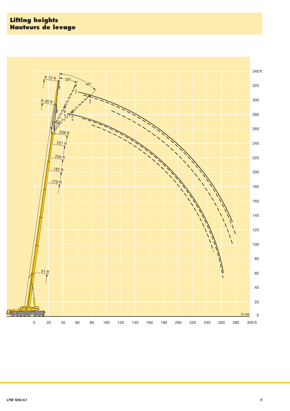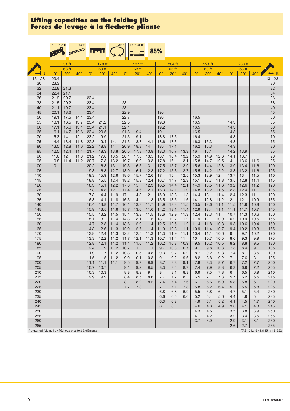|                                                          | $51 - 236$ ft |                  | 63 ft <sup>*</sup> |              |                 |              | $360^\circ$  | 187400 lbs<br>j |              | 85%          |                 |              |                       |                       |              |                       |                 |              |                              |
|----------------------------------------------------------|---------------|------------------|--------------------|--------------|-----------------|--------------|--------------|-----------------|--------------|--------------|-----------------|--------------|-----------------------|-----------------------|--------------|-----------------------|-----------------|--------------|------------------------------|
|                                                          |               |                  |                    |              |                 |              |              |                 |              |              |                 |              |                       |                       |              |                       |                 |              |                              |
|                                                          |               | $51$ ft<br>63 ft |                    |              | 170 ft<br>63 ft |              |              | 187 ft<br>63 ft |              |              | 204 ft<br>63 ft |              |                       | 221 ft<br>63 ft       |              |                       | 236 ft<br>63 ft |              |                              |
| ft                                                       | $0^{\circ}$   | $20^\circ$       | $40^{\circ}$       | $0^{\circ}$  | $20^{\circ}$    | $40^{\circ}$ | $0^{\circ}$  | $20^{\circ}$    | $40^{\circ}$ | $0^{\circ}$  | $20^\circ$      | $40^\circ$   | $0^{\circ}$           | $20^\circ$            | $40^{\circ}$ | $0^{\circ}$           | $20^{\circ}$    | $40^{\circ}$ | ft                           |
| $13 - 28$                                                | 23.4          |                  |                    |              |                 |              |              |                 |              |              |                 |              |                       |                       |              |                       |                 |              | $13 - 28$                    |
| 30<br>32                                                 | 23.3<br>22.8  | 21.3             |                    |              |                 |              |              |                 |              |              |                 |              |                       |                       |              |                       |                 |              | 30<br>32                     |
| 34                                                       | 22.4          | 21.1             |                    |              |                 |              |              |                 |              |              |                 |              |                       |                       |              |                       |                 |              | 34                           |
| 36                                                       | 21.9<br>21.5  | 20.7             |                    | 23.4         |                 |              | 23           |                 |              |              |                 |              |                       |                       |              |                       |                 |              | 36                           |
| 38<br>40                                                 | 21.1          | 20.2<br>19.7     |                    | 23.4<br>23.4 |                 |              | 23           |                 |              |              |                 |              |                       |                       |              |                       |                 |              | 38<br>40                     |
| 45                                                       | 20.1          | 18.6             |                    | 23.4         |                 |              | 22.9         |                 |              | 19.4         |                 |              |                       |                       |              |                       |                 |              | 45                           |
| 50                                                       | 19.1          | 17.5<br>16.5     | 14.1               | 23.4         |                 |              | 22.7<br>22.5 |                 |              | 19.4         |                 |              | 16.5                  |                       |              |                       |                 |              | 50<br>55                     |
| 55<br>60                                                 | 18.1<br>17.1  | 15.6             | 13.7<br>13.1       | 23.4<br>23.4 | 21.2<br>21.1    |              | 22.1         |                 |              | 19.3<br>19.2 |                 |              | 16.5<br>16.5          |                       |              | 14.3<br>14.3          |                 |              | 60                           |
| 65                                                       | 16.1          | 14.7             | 12.6               | 23.4         | 20.5            |              | 21.8         | 19.4            |              | 19           |                 |              | 16.5                  |                       |              | 14.3                  |                 |              | 65                           |
| 70                                                       | 15.3          | 14               | 12.1               | 23.2         | 19.9<br>19.4    |              | 21.5         | 19.1            |              | 18.8         | 17.5            |              | 16.4                  |                       |              | 14.3                  |                 |              | $70$                         |
| 75<br>80                                                 | 14.4<br>13.5  | 13.4<br>12.8     | 11.8<br>11.6       | 22.8<br>22.2 | 18.8            | 14.1<br>14   | 21.3<br>20.9 | 18.7<br>18.3    | 14.1<br>14   | 18.6<br>18.4 | 17.3<br>17.1    |              | 16.3<br>16.2          | 15.3<br>15.3          |              | 14.3<br>14.3          |                 |              | 75<br>80                     |
| 85                                                       | 12.5          | 12.4             | 11.4               | 21.7         | 18.3            | 13.8         | 20.5         | 17.8            | 13.8         | 18.3         | 16.7            | 13.3         | 16                    | 15.1                  |              | 14.2                  | 13.9            |              | 85                           |
| 90                                                       | 11.6          | 12               | 11.3<br>11.2       | 21.2         | 17.8<br>17.3    | 13.5         | 20.1         | 17.3            | 13.5         | 18.1         | 16.4<br>16      | 13.2<br>13.1 | 15.9                  | 14.9<br>14.7          | 12.6         | 14.1<br>14            | 13.7            |              | 90                           |
| 95<br>100                                                | 10.8<br>10    | 11.4             |                    | 20.7<br>20.2 | 16.8            | 13.2<br>13   | 19.7<br>19.3 | 16.9<br>16.5    | 13.3<br>13   | 17.8<br>17.5 | 15.7            | 12.9         | 15.8<br>15.6          | 14.4                  | 12.5<br>12.3 | 13.9                  | 13.6<br>13.4    | 11.6<br>11.6 | 95<br>100                    |
| 105                                                      |               |                  |                    | 19.8         | 16.3            | 12.7         | 18.9         | 16.1            | 12.8         | 17.2         | 15.3            | 12.7         | 15.5                  | 14.2                  | 12.2         | 13.8                  | 13.2            | 11.6         | 105                          |
| 110                                                      |               |                  |                    | 19.3<br>18.8 | 15.9            | 12.6         | 18.6         | 15.7<br>15.3    | 12.6         | 17           | 15<br>14.7      | 12.5         | 15.3                  | 13.9<br>13.7          | 12<br>11.8   | 13.7<br>13.5          | 13              | 11.5<br>11.4 | 110                          |
| 115<br>120                                               |               |                  |                    | 18.3         | 15.5<br>15.1    | 12.4<br>12.2 | 18.2<br>17.8 | 15              | 12.4<br>12.3 | 16.7<br>16.5 | 14.4            | 12.3<br>12.1 | 15.1<br>14.9          | 13.5                  | 11.6         | 13.2                  | 12.8<br>12.6    | 11.2         | 115<br>120                   |
| 125                                                      |               |                  |                    | 17.8         | 14.8            | 12           | 17.4         | 14.6            | 12.1         | 16.3         | 14.1            | 11.9         | 14.8                  | 13.2                  | 11.5         | 12.8                  | 12.4            | 11.1         | 125                          |
| 130<br>135                                               |               |                  |                    | 17.3<br>16.8 | 14.4<br>14.1    | 11.9<br>11.8 | 17<br>16.5   | 14.3<br>14      | 12<br>11.8   | 15.9<br>15.5 | 13.8<br>13.5    | 11.8<br>11.6 | 14.4<br>14            | 13<br>12.8            | 11.4<br>11.2 | 12.4<br>12            | 12.3<br>12.1    | 11<br>10.9   | 130<br>135                   |
| 140                                                      |               |                  |                    | 16.4         | 13.8            | 11.7         | 16.1         | 13.8            | 11.7         | 14.9         | 13.3            | 11.5         | 13.5                  | 12.6                  | 11.1         | 11.5                  | 11.9            | 10.8         | 140                          |
| 145                                                      |               |                  |                    | 15.9         | 13.5            | 11.6         | 15.7         | 13.6            | 11.6         | 14.2         | 13.1            | 11.4         | 12.9                  | 12.4                  | 11.1         | 11.1                  | 11.7            | 10.7         | 145                          |
| 150<br>155                                               |               |                  |                    | 15.5<br>15.1 | 13.2<br>13      | 11.5<br>11.4 | 15.1<br>14.3 | 13.3<br>13.1    | 11.5<br>11.5 | 13.6<br>13   | 12.9<br>12.7    | 11.3<br>11.2 | 12.4<br>11.9          | 12.3<br>12.1          | 11<br>10.9   | 10.7<br>10.2          | 11.3<br>10.9    | 10.6<br>10.5 | 150<br>155                   |
| 160                                                      |               |                  |                    | 14.7         | 12.8            | 11.4         | 13.6         | 12.9            | 11.4         | 12.5         | 12.5            | 11.2         | 11.4                  | 11.8                  | 10.8         | 9.8                   | 10.6            | 10.4         | 160                          |
| 165                                                      |               |                  |                    | 14.3         | 12.6            | 11.3         | 12.9         | 12.7            | 11.4         | 11.9         | 12.3            | 11.1         | 10.9                  | 11.4                  | 10.7         | 9.4                   | 10.2            | 10.3         | 165                          |
| 170<br>175                                               |               |                  |                    | 13.8<br>13.3 | 12.4<br>12.2    | 11.3<br>11.2 | 12.2<br>11.7 | 12.5<br>12.1    | 11.3<br>11.3 | 11.3<br>10.7 | 11.9<br>11.4    | 11.1<br>11   | 10.4<br>10            | 11.1<br>10.7          | 10.6<br>10.5 | 9<br>8.6              | 9.7<br>9.3      | 10.2<br>9.9  | 170<br>175                   |
| 180                                                      |               |                  |                    | 12.8         | 12.1            | 11.2         | 11.1         | 11.6            | 11.2         | 10.2         | 10.8            | 10.9         | 9.5                   | 10.2                  | 10.5         | 8.2                   | 8.8             | 9.5          | 180                          |
| 185                                                      |               |                  |                    | 12.4         | 11.9            | 11.2         | 10.7         | 11              | 11.1         | 9.7          | 10.3            | 10.7         | 9.1                   | 9.8                   | 10.3         | 7.8                   | 8.4             | 9            | 185                          |
| 190<br>195                                               |               |                  |                    | 11.9<br>11.5 | 11.7<br>11.5    | 11.2<br>11.2 | 10.3<br>9.9  | 10.5<br>10.1    | 10.8<br>10.3 | 9.3<br>9     | 9.7<br>9.2      | 10.2<br>9.6  | 8.7<br>8.2            | 9.2<br>8.8            | 9.8<br>9.2   | 7.4<br>$\overline{7}$ | 8<br>7.6        | 8.5<br>8.1   | 190<br>195                   |
| 200                                                      |               |                  |                    | 11.1         | 11.1            | 11.1         | 9.5          | 9.7             | 9.9          | 8.7          | 8.8             | 9.1          | 7.8                   | 8.3                   | 8.7          | 6.7                   | 7.2             | 7.7          | 200                          |
| 205                                                      |               |                  |                    | 10.7         | 10.7            |              | 9.1          | 9.2             | 9.5          | 8.3          | 8.4             | 8.7          | 7.4                   | 7.9                   | 8.3          | 6.3                   | 6.9             | 7.2          | 205                          |
| 210<br>215                                               |               |                  |                    | 10.3<br>9.9  | 10.3<br>9.9     |              | 8.8<br>8.4   | 8.9<br>8.5      | 9<br>8.6     | 8<br>7.7     | 8.1<br>7.7      | 8.3<br>8     | 6.9<br>6.5            | 7.5<br>$\overline{7}$ | 7.8<br>7.3   | 6<br>5.7              | 6.5<br>6.2      | 6.9<br>6.5   | 210<br>215                   |
| 220                                                      |               |                  |                    |              |                 |              | 8.1          | 8.2             | 8.2          | 7.4          | 7.4             | 7.6          | 6.1                   | 6.6                   | 6.9          | 5.3                   | 5.8             | 6.1          | 220                          |
| 225                                                      |               |                  |                    |              |                 |              | 7.7          | 7.8             |              | 7.1          | 7.1             | 7.3          | 5.8                   | 6.2                   | 6.4          | 5                     | 5.5             | 5.8          | 225                          |
| 230                                                      |               |                  |                    |              |                 |              |              |                 |              | 6.8          | 6.8             | 6.9          | 5.5                   | 5.8                   | 6            | 4.7                   | 5.1             | 5.4          | 230                          |
| 235<br>240                                               |               |                  |                    |              |                 |              |              |                 |              | 6.6<br>6.3   | 6.5<br>6.2      | 6.6          | 5.2<br>4.9            | 5.4<br>5.1            | 5.6<br>5.2   | 4.4<br>4.1            | 4.9<br>4.5      | 5<br>4.7     | 235<br>240                   |
| 245                                                      |               |                  |                    |              |                 |              |              |                 |              | 6            | 6               |              | 4.6                   | 4.8                   | 4.9          | 3.8                   | 4.1             | 4.3          | 245                          |
| 250                                                      |               |                  |                    |              |                 |              |              |                 |              |              |                 |              | 4.3                   | 4.5                   |              | 3.5                   | 3.8             | 3.9          | 250                          |
| 255<br>260                                               |               |                  |                    |              |                 |              |              |                 |              |              |                 |              | $\overline{4}$<br>3.7 | 4.2<br>3.9            |              | 3.2<br>2.9            | 3.4<br>3.1      | 3.5<br>3.1   | 255<br>260                   |
| 265                                                      |               |                  |                    |              |                 |              |              |                 |              |              |                 |              |                       |                       |              | 2.6                   | 2.7             |              | 265                          |
| * bi-parted folding jib / fléchette pliante à 2 éléments |               |                  |                    |              |                 |              |              |                 |              |              |                 |              |                       |                       |              |                       |                 |              | TAB 131246 / 131254 / 131262 |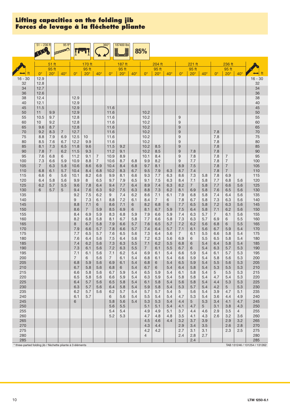|                                                                    | $51 - 236$ ft       |                | 95ft'          |                       |                |                     | $360^\circ$           | 187400 lbs   |              |                |                       |            |                |                       |              |                |                                  |                |                                     |
|--------------------------------------------------------------------|---------------------|----------------|----------------|-----------------------|----------------|---------------------|-----------------------|--------------|--------------|----------------|-----------------------|------------|----------------|-----------------------|--------------|----------------|----------------------------------|----------------|-------------------------------------|
|                                                                    |                     |                |                |                       |                |                     |                       | J            |              | 85%            |                       |            |                |                       |              |                |                                  |                |                                     |
|                                                                    |                     | 51 ft          |                |                       | 170 ft         |                     |                       | 187 ft       |              |                | 204 ft                |            |                | 221 ft                |              |                | 236 ft                           |                |                                     |
|                                                                    |                     | 95 ft          |                |                       | 95 ft          |                     |                       | 95 ft        |              |                | 95 ft                 |            |                | 95 ft                 |              |                | 95 ft                            |                |                                     |
| $16 - 30$                                                          | $0^{\circ}$<br>12.9 | $20^\circ$     | $40^{\circ}$   | $0^{\circ}$           | $20^\circ$     | $40^{\circ}$        | $0^{\circ}$           | $20^{\circ}$ | $40^{\circ}$ | $0^{\circ}$    | $20^{\circ}$          | $40^\circ$ | $0^{\circ}$    | $20^\circ$            | $40^{\circ}$ | $0^{\circ}$    | $20^\circ$                       | $40^{\circ}$   | $16 - 30$                           |
| 32                                                                 | 12.8                |                |                |                       |                |                     |                       |              |              |                |                       |            |                |                       |              |                |                                  |                | 32                                  |
| 34                                                                 | 12.7                |                |                |                       |                |                     |                       |              |              |                |                       |            |                |                       |              |                |                                  |                | 34                                  |
| 36                                                                 | 12.6<br>12.4        |                |                |                       |                |                     |                       |              |              |                |                       |            |                |                       |              |                |                                  |                | 36                                  |
| 38<br>40                                                           | 12.1                |                |                | 12.9<br>12.9          |                |                     |                       |              |              |                |                       |            |                |                       |              |                |                                  |                | 38<br>40                            |
| 45                                                                 | 11.5                |                |                | 12.9                  |                |                     | 11.6                  |              |              |                |                       |            |                |                       |              |                |                                  |                | 45                                  |
| 50                                                                 | 11                  | 9.9            |                | 12.9                  |                |                     | 11.6                  |              |              | 10.2           |                       |            |                |                       |              |                |                                  |                | 50                                  |
| 55<br>60                                                           | 10.5<br>10          | 9.7<br>9.2     |                | 12.8<br>12.8          |                |                     | 11.6<br>11.6          |              |              | 10.2<br>10.2   |                       |            | $9\,$<br>9     |                       |              |                |                                  |                | 55<br>60                            |
| 65                                                                 | 9.6                 | 8.7            |                | 12.8                  |                |                     | 11.6                  |              |              | 10.2           |                       |            | 9              |                       |              |                |                                  |                | 65                                  |
| 70                                                                 | 9.2                 | 8.3            | $\overline{7}$ | 12.7                  |                |                     | 11.6                  |              |              | 10.2           |                       |            | $9\,$          |                       |              | 7.8            |                                  |                | 70                                  |
| 75<br>80                                                           | 8.8<br>8.5          | 7.9<br>7.6     | 6.9<br>6.7     | 12.5<br>12.2          | 10<br>9.9      |                     | 11.6<br>11.6          |              |              | 10.2<br>10.2   |                       |            | 9<br>9         |                       |              | 7.8<br>7.8     |                                  |                | 75<br>80                            |
| 85                                                                 | 8.1                 | 7.3            | 6.5            | 11.8                  | 9.6            |                     | 11.5                  | 9.2          |              | 10.2           | 8.5                   |            | 9              |                       |              | 7.8            |                                  |                | 85                                  |
| 90                                                                 | 7.8                 | $\overline{7}$ | 6.2            | 11.5                  | 9.3            |                     | 11.2                  | 9.1          |              | 10.2           | 8.5                   |            | 9              | 7.8                   |              | 7.8            |                                  |                | 90                                  |
| 95                                                                 | 7.6<br>7.3          | 6.8            | 6              | 11.2<br>10.9          | 9.1<br>8.8     | 7<br>$\overline{7}$ | 10.9<br>10.6          | 8.9          |              | 10.1<br>9.9    | 8.4<br>8.2            |            | 9<br>9         | 7.8<br>7.7            |              | 7.8            | $\overline{7}$<br>$\overline{7}$ |                | 95<br>100                           |
| 100<br>105                                                         | $\overline{7}$      | 6.6<br>6.3     | 5.9<br>5.8     | 10.6                  | 8.6            | 6.9                 | 10.4                  | 8.7<br>8.4   | 6.8<br>6.8   | 9.7            | 8.1                   |            | 8.9            | 7.5                   |              | 7.8<br>7.8     | $\overline{7}$                   |                | 105                                 |
| 110                                                                | 6.8                 | 6.1            | 5.7            | 10.4                  | 8.4            | 6.8                 | 10.2                  | 8.3          | 6.7          | 9.5            | 7.9                   | 6.3        | 8.7            | 7.4                   |              | 7.8            | $\overline{7}$                   |                | 110                                 |
| 115                                                                | 6.6                 | 6              | 5.6            | 10.1                  | 8.2            | 6.6                 | 9.9                   | 8.1<br>7.9   | 6.6          | 9.3            | 7.7                   | 6.3        | 8.6            | 7.3                   | 5.8<br>5.8   | 7.8            | 6.9                              |                | 115                                 |
| 120<br>125                                                         | 6.4<br>6.2          | 5.8<br>5.7     | 5.6<br>5.5     | 9.9<br>9.6            | 8<br>7.8       | 6.5<br>6.4          | 9.7<br>9.4            | 7.7          | 6.5<br>6.4   | 9.1<br>8.9     | 7.5<br>7.4            | 6.3<br>6.3 | 8.4<br>8.2     | 7.1<br>$\overline{7}$ | 5.8          | 7.7<br>7.7     | 6.8<br>6.6                       | 5.6<br>5.6     | 120<br>125                          |
| 130                                                                | 6                   | 5.7            | 5              | 9.4                   | 7.6            | 6.3                 | 9.2                   | 7.5          | 6.3          | 8.8            | 7.3                   | 6.2        | 8.1            | 6.9                   | 5.8          | 7.6            | 6.5                              | 5.6            | 130                                 |
| 135                                                                |                     |                |                | 9.2                   | 7.5            | 6.2                 | 9                     | 7.4          | 6.2          | 8.6            | 7.1                   | 6.1        | 7.9            | 6.8                   | 5.8          | 7.4            | 6.4                              | 5.6            | 135                                 |
| 140<br>145                                                         |                     |                |                | 9<br>8.8              | 7.3<br>7.1     | 6.1<br>6            | 8.8<br>8.6            | 7.2<br>7.1   | 6.1<br>6     | 8.4<br>8.2     | $\overline{7}$<br>6.8 | 6<br>6     | 7.8<br>7.7     | 6.7<br>6.5            | 5.8<br>5.8   | 7.3<br>7.2     | 6.3<br>6.3                       | 5.6<br>5.6     | 140<br>145                          |
| 150                                                                |                     |                |                | 8.6                   | $\overline{7}$ | 5.9                 | 8.5                   | 6.9          | 6            | 8.1            | 6.7                   | 5.9        | 7.5            | 6.4                   | 5.8          | 7.1            | 6.2                              | 5.6            | 150                                 |
| 155                                                                |                     |                |                | 8.4                   | 6.9            | 5.9                 | 8.3                   | 6.8          | 5.9          | 7.9            | 6.6                   | 5.9        | 7.4            | 6.3                   | 5.7          | $\overline{7}$ | 6.1                              | 5.6            | 155                                 |
| 160<br>165                                                         |                     |                |                | 8.2<br>8              | 6.8<br>6.7     | 5.8<br>5.8          | 8.1<br>7.9            | 6.7<br>6.6   | 5.8<br>5.7   | 7.7<br>7.6     | 6.6<br>6.5            | 5.8<br>5.7 | 7.3<br>7.2     | 6.3<br>6.2            | 5.7<br>5.6   | 6.9<br>6.8     | 6<br>6                           | 5.5<br>5.5     | 160<br>165                          |
| 170                                                                |                     |                |                | 7.9                   | 6.6            | 5.7                 | 7.8                   | 6.6          | 5.7          | 7.4            | 6.4                   | 5.7        | 7.1            | 6.1                   | 5.6          | 6.7            | 5.9                              | 5.4            | 170                                 |
| 175                                                                |                     |                |                | 7.7                   | 6.5            | 5.7                 | 7.6                   | 6.5          | 5.6          | 7.3            | 6.4                   | 5.6        | $\overline{7}$ | 6.1                   | 5.5          | 6.6            | 5.8                              | 5.4            | 175                                 |
| 180<br>185                                                         |                     |                |                | 7.6<br>7.4            | 6.4<br>6.2     | 5.6<br>5.6          | 7.5<br>7.3            | 6.4<br>6.3   | 5.6<br>5.5   | 7.2<br>7.1     | 6.3<br>6.2            | 5.6<br>5.5 | 6.9<br>6.8     | 6<br>6                | 5.5<br>5.4   | 6.5<br>6.4     | 5.8<br>5.8                       | 5.4<br>5.4     | 180<br>185                          |
| 190                                                                |                     |                |                | 7.3                   | 6.1            | 5.6                 | 7.2                   | 6.3          | 5.5          | $\overline{7}$ | 6.1                   | 5.5        | 6.7            | 6                     | 5.4          | 6.3            | 5.7                              | 5.3            | 190                                 |
| 195                                                                |                     |                |                | 7.1                   | 6.1            | 5.6                 | 7.1                   | 6.2          | 5.4          | 6.9            | 6.1                   | 5.4        | 6.6            | 5.9                   | 5.4          | 6.1            | 5.7                              | 5.3            | 195                                 |
| 200                                                                |                     |                |                | $\overline{7}$<br>6.8 | 6<br>5.9       | 5.6                 | $\overline{7}$<br>6.9 | 6.1<br>6.1   | 5.4<br>5.4   | 6.8            | 6.1                   | 5.4<br>5.4 | 6.6            | 5.9                   | 5.4          | 5.8            | 5.6                              | 5.3            | 200                                 |
| 205<br>210                                                         |                     |                |                | 6.7                   | 5.8            | 5.6<br>5.6          | 6.8                   | 6            | 5.4          | 6.8<br>6.7     | 6<br>6                | 5.4        | 6.5<br>6.4     | 5.9<br>5.8            | 5.4<br>5.4   | 5.5<br>5.3     | 5.6<br>5.5                       | 5.3<br>5.3     | 205<br>210                          |
| 215                                                                |                     |                |                | 6.6                   | 5.8            | 5.6                 | 6.7                   | 5.9          | 5.4          | 6.5            | 5.9                   | 5.4        | 6.1            | 5.8                   | 5.4          | 5              | 5.5                              | 5.3            | 215                                 |
| 220                                                                |                     |                |                | 6.5                   | 5.8            | 5.6                 | 6.6                   | 5.9          | 5.4          | 6.3            | 5.9                   | 5.4        | 5.8            | 5.8                   | 5.4          | 4.7            | 5.4                              | 5.3            | 220                                 |
| 225<br>230                                                         |                     |                |                | 6.4<br>6.3            | 5.7<br>5.7     | 5.6<br>5.6          | 6.5<br>6.4            | 5.8<br>5.8   | 5.4<br>5.4   | 6.1<br>5.9     | 5.8<br>5.8            | 5.4<br>5.4 | 5.6<br>5.3     | 5.8<br>5.7            | 5.4<br>5.4   | 4.4<br>4.2     | 5.3<br>5                         | 5.3<br>5.3     | 225<br>230                          |
| 235                                                                |                     |                |                | 6.2                   | 5.7            | 5.6                 | 6.2                   | 5.7          | 5.4          | 5.7            | 5.7                   | 5.4        | 5              | 5.6                   | 5.4          | 3.9            | 4.7                              | 5.1            | 235                                 |
| 240                                                                |                     |                |                | 6.1                   | 5.7            |                     | 6                     | 5.6          | 5.4          | 5.5            | 5.4                   | 5.4        | 4.7            | 5.3                   | 5.4          | 3.6            | 4.4                              | 4.9            | 240                                 |
| 245<br>250                                                         |                     |                |                | 6                     |                |                     | 5.8<br>5.6            | 5.6<br>5.5   | 5.4          | 5.3<br>5.1     | 5.3<br>5.1            | 5.4<br>5.4 | 4.4<br>4.1     | 5<br>4.7              | 5.3<br>5     | 3.4<br>3.1     | 4.1<br>3.8                       | 4.7<br>4.3     | 245<br>250                          |
| 255                                                                |                     |                |                |                       |                |                     | 5.4                   | 5.4          |              | 4.9            | 4.9                   | 5.1        | 3.7            | 4.4                   | 4.6          | 2.9            | 3.5                              | $\overline{4}$ | 255                                 |
| 260                                                                |                     |                |                |                       |                |                     | 5.2                   | 5.3          |              | 4.7            | 4.8                   | 4.8        | 3.5            | 4.1                   | 4.3          | 2.6            | 3.2                              | 3.6            | 260                                 |
| 265<br>270                                                         |                     |                |                |                       |                |                     |                       |              |              | 4.5<br>4.3     | 4.6<br>4.4            | 4.4        | 3.2<br>2.9     | 3.7<br>3.4            | 3.9<br>3.5   |                | 2.9<br>2.6                       | 3.2<br>2.8     | 265<br>270                          |
| 275                                                                |                     |                |                |                       |                |                     |                       |              |              | 4.2            | 4.2                   |            | 2.7            | 3.1                   | 3.1          |                | 2.3                              | 2.5            | 275                                 |
| 280                                                                |                     |                |                |                       |                |                     |                       |              |              | 4              |                       |            | 2.4            | 2.8                   | 2.7          |                |                                  |                | 280                                 |
| 285<br>* three-parted folding jib / fléchette pliante à 3 éléments |                     |                |                |                       |                |                     |                       |              |              |                |                       |            |                | 2.4                   |              |                |                                  |                | 285<br>TAB 131246 / 131254 / 131262 |

10 **LTM 12506.1**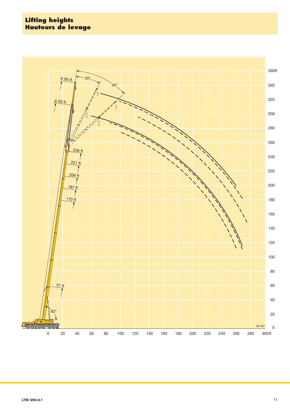#### **Lifting heights Hauteurs de levage**

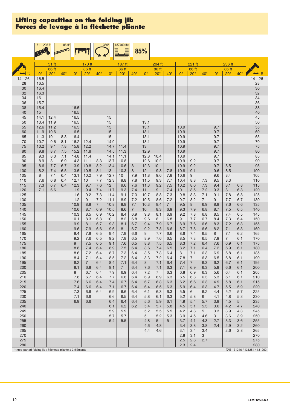|                                                           | $51 - 236$ ft |                  | 86 ft*       |                      |                 |                | $360^\circ$  | 187400 lbs<br>Ē       |                       | 85%                    |                       |              |              |                 |                |             |                 |                 |                              |
|-----------------------------------------------------------|---------------|------------------|--------------|----------------------|-----------------|----------------|--------------|-----------------------|-----------------------|------------------------|-----------------------|--------------|--------------|-----------------|----------------|-------------|-----------------|-----------------|------------------------------|
|                                                           |               |                  |              |                      |                 |                |              |                       |                       |                        |                       |              |              |                 |                |             |                 |                 |                              |
|                                                           |               | $51$ ft<br>86 ft |              |                      | 170 ft<br>86 ft |                |              | 187 ft<br>86 ft       |                       |                        | 204 ft<br>86 ft       |              |              | 221 ft<br>86 ft |                |             | 236 ft<br>86 ft |                 |                              |
|                                                           | $0^{\circ}$   | $20^\circ$       | $40^{\circ}$ | $\mathbf{O}^{\circ}$ | $20^{\circ}$    | $40^{\circ}$   | $0^{\circ}$  | $20^\circ$            | $40^{\circ}$          | $0^{\circ}$            | $20^{\circ}$          | $40^{\circ}$ | $0^{\circ}$  | $20^\circ$      | $40^\circ$     | $0^{\circ}$ | $20^\circ$      | $40^{\circ}$    |                              |
| $14 - 26$<br>28                                           | 16.5<br>16.5  |                  |              |                      |                 |                |              |                       |                       |                        |                       |              |              |                 |                |             |                 |                 | 14 - 26<br>28                |
| 30                                                        | 16.4          |                  |              |                      |                 |                |              |                       |                       |                        |                       |              |              |                 |                |             |                 |                 | 30                           |
| 32                                                        | 16.3          |                  |              |                      |                 |                |              |                       |                       |                        |                       |              |              |                 |                |             |                 |                 | 32                           |
| 34                                                        | 16            |                  |              |                      |                 |                |              |                       |                       |                        |                       |              |              |                 |                |             |                 |                 | 34                           |
| 36<br>38                                                  | 15.7<br>15.4  |                  |              | 16.5                 |                 |                |              |                       |                       |                        |                       |              |              |                 |                |             |                 |                 | 36<br>38                     |
| 40                                                        | 15            |                  |              | 16.5                 |                 |                |              |                       |                       |                        |                       |              |              |                 |                |             |                 |                 | 40                           |
| 45                                                        | 14.1          | 12.4             |              | 16.5                 |                 |                | 15           |                       |                       |                        |                       |              |              |                 |                |             |                 |                 | 45                           |
| 50<br>55                                                  | 13.4<br>12.6  | 11.9<br>11.2     |              | 16.5<br>16.5         |                 |                | 15<br>15     |                       |                       | 13.1<br>13.1           |                       |              | 10.9         |                 |                | 9.7         |                 |                 | 50<br>55                     |
| 60                                                        | 11.9          | 10.6             |              | 16.5                 |                 |                | 15           |                       |                       | 13.1                   |                       |              | 10.9         |                 |                | 9.7         |                 |                 | 60                           |
| 65                                                        | 11.3          | 10.1             | 8.3          | 16.4                 |                 |                | 15           |                       |                       | 13.1                   |                       |              | 10.9         |                 |                | 9.7         |                 |                 | 65                           |
| 70                                                        | 10.7          | 9.6              | 8.1          | 16.2                 | 12.4            |                | 14.9<br>14.7 |                       |                       | 13.1                   |                       |              | 10.9         |                 |                | 9.7         |                 |                 | $70\,$<br>75                 |
| 75<br>80                                                  | 10.2<br>9.8   | 9.1<br>8.7       | 7.8<br>7.5   | 15.8<br>15.2         | 12.2<br>11.8    |                | 14.5         | 11.4<br>11.3          |                       | 13<br>12.9             |                       |              | 10.9<br>10.9 |                 |                | 9.7<br>9.7  |                 |                 | 80                           |
| 85                                                        | 9.3           | 8.3              | 7.1          | 14.8                 | 11.4            |                | 14.1         | 11.1                  |                       | 12.8                   | 10.4                  |              | 10.9         |                 |                | 9.7         |                 |                 | 85                           |
| 90                                                        | 8.9           | 8                | 6.9          | 14.3                 | 11.1            | 8.3            | 13.7         | 10.8                  |                       | 12.6                   | 10.2                  |              | 10.9         | 9.2             |                | 9.7         |                 |                 | 90                           |
| 95<br>100                                                 | 8.6<br>8.2    | 7.7<br>7.4       | 6.7<br>6.5   | 13.9<br>13.5         | 10.8<br>10.5    | 8.2<br>8.1     | 13.4<br>13   | 10.6<br>10.3          | 8<br>8                | 12.3<br>12             | 10<br>9.8             | 7.8          | 10.9<br>10.8 | 9.2<br>9.1      |                | 9.7<br>9.6  | 8.5<br>8.5      |                 | 95<br>100                    |
| 105                                                       | 8             | 7.1              | 6.4          | 13.1                 | 10.2            | 7.9            | 12.7         | 10                    | 7.9                   | 11.8                   | 9.6                   | 7.8          | 10.6         | 9               |                | 9.6         | 8.4             |                 | 105                          |
| 110                                                       | 7.6           | 6.8              | 6.4          | 12.7                 | 10 <sup>1</sup> | 7.7            | 12.3         | 9.8                   | 7.8                   | 11.5                   | 9.3                   | 7.7          | 10.4         | 8.8             | 7.3            | 9.5         | 8.3             |                 | 110                          |
| 115<br>120                                                | 7.3<br>7.1    | 6.7<br>6.6       | 6.4          | 12.3<br>11.9         | 9.7<br>9.4      | 7.6<br>7.4     | 12<br>11.7   | 9.6<br>9.3            | 7.6<br>7.4            | 11.3<br>11             | 9.2<br>9              | 7.5<br>7.4   | 10.2<br>10   | 8.6<br>8.5      | 7.3<br>7.2     | 9.4<br>9.3  | 8.1<br>8        | 6.8<br>6.8      | 115<br>120                   |
| 125                                                       |               |                  |              | 11.6                 | 9.2             | 7.3            | 11.4         | 9.1                   | 7.3                   | 10.7                   | 8.8                   | 7.3          | 9.8          | 8.3             | 7.1            | 9.1         | 7.8             | 6.8             | 125                          |
| 130                                                       |               |                  |              | 11.2                 | 9               | 7.2            | 11.1         | 8.9                   | 7.2                   | 10.5                   | 8.6                   | 7.2          | 9.7          | 8.2             | $\overline{7}$ | 9           | 7.7             | 6.7             | 130                          |
| 135<br>140                                                |               |                  |              | 10.9                 | 8.8<br>8.7      | $\overline{7}$ | 10.8         | 8.8<br>8.6            | 7.1<br>$\overline{7}$ | 10.3                   | 8.4<br>8.3            | $7^{\circ}$  | 9.5          | 8               | 6.9            | 8.8         | 7.6<br>7.5      | 6.6             | 135                          |
| 145                                                       |               |                  |              | 10.6<br>10.3         | 8.5             | 6.9<br>6.9     | 10.5<br>10.2 | 8.4                   | 6.9                   | 10 <sup>1</sup><br>9.8 | 8.1                   | 6.9<br>6.9   | 9.3<br>9.2   | 7.9<br>7.8      | 6.8<br>6.8     | 8.7<br>8.5  | 7.4             | 6.5<br>6.5      | 140<br>145                   |
| 150                                                       |               |                  |              | 10.1                 | 8.3             | 6.8            | 10           | 8.2                   | 6.8                   | 9.6                    | 8                     | 6.8          | 9            | 7.7             | 6.7            | 8.4         | 7.3             | 6.4             | 150                          |
| 155                                                       |               |                  |              | 9.9                  | 8.1             | 6.7            | 9.8          | 8.1                   | 6.7                   | 9.4                    | 7.9                   | 6.7          | 8.9          | 7.6             | 6.6            | 8.3         | 7.2             | 6.3             | 155                          |
| 160<br>165                                                |               |                  |              | 9.6<br>9.4           | 7.9<br>7.8      | 6.6<br>6.5     | 9.6<br>9.4   | 8<br>7.9              | 6.7<br>6.6            | 9.2<br>9               | 7.8<br>7.7            | 6.6<br>6.6   | 8.7<br>8.6   | 7.5<br>7.4      | 6.6<br>6.5     | 8.2<br>8    | 7.1<br>7.1      | 6.3<br>6.2      | 160<br>165                   |
| 170                                                       |               |                  |              | 9.2                  | 7.6             | 6.5            | 9.2          | 7.8                   | 6.5                   | 8.9                    | 7.6                   | 6.5          | 8.5          | 7.3             | 6.5            | 7.9         | $\overline{7}$  | 6.1             | 170                          |
| 175                                                       |               |                  |              | 9                    | 7.5             | 6.5            | 9.1          | 7.6                   | 6.5                   | 8.8                    | 7.5                   | 6.5          | 8.3          | 7.2             | 6.4            | 7.6         | 6.9             | 6.1             | 175                          |
| 180<br>185                                                |               |                  |              | 8.8<br>8.6           | 7.4<br>7.2      | 6.4<br>6.4     | 8.9<br>8.7   | 7.5<br>7.3            | 6.4<br>6.4            | 8.6<br>8.5             | 7.4<br>7.3            | 6.5<br>6.4   | 8.2<br>8     | 7.1<br>7.1      | 6.4<br>6.3     | 7.2<br>6.9  | 6.9<br>6.8      | 6.1<br>6.1      | 180<br>185                   |
| 190                                                       |               |                  |              | 8.4                  | 7.1             | 6.4            | 8.5          | 7.2                   | 6.4                   | 8.3                    | 7.2                   | 6.4          | 7.8          | $\overline{7}$  | 6.3            | 6.5         | 6.8             | 6.1             | 190                          |
| 195                                                       |               |                  |              | 8.2                  | $\overline{7}$  | 6.4            | 8.4          | 7.1                   | $6.4\,$               | 8                      | 7.1                   | $6.4\,$      | 7.4          |                 | 6.3            | 6.2         | 6.7             | 6.1             | 195                          |
| 200<br>205                                                |               |                  |              | 8.1<br>8             | 6.8<br>6.7      | 6.4<br>6.4     | 8.1<br>7.9   | $\overline{7}$<br>6.9 | 6.4<br>6.4            | 7.6<br>7.2             | 7.1<br>$\overline{7}$ | 6.3<br>6.3   | 7.1<br>6.8   | 6.9<br>6.9      | 6.3<br>6.3     | 5.9<br>5.6  | 6.6<br>6.4      | 6.1<br>6.1      | 200<br>205                   |
| 210                                                       |               |                  |              | 7.8                  | 6.7             | 6.4            | 7.7          | 6.8                   | 6.4                   | 6.9                    | 6.9                   | 6.3          | 6.5          | 6.8             | 6.3            | 5.3         | 6.1             | 6.1             | 210                          |
| 215                                                       |               |                  |              | 7.6                  | 6.6             | 6.4            | 7.4          | 6.7                   | 6.4                   | 6.7                    | 6.8                   | 6.3          | 6.2          | 6.6             | 6.3            | 4.9         | 5.8             | 6.1             | 215                          |
| 220<br>225                                                |               |                  |              | 7.4<br>7.3           | 6.6<br>6.6      | 6.4<br>6.4     | 7.1<br>6.9   | 6.7<br>6.6            | 6.4<br>6.4            | 6.4<br>6.1             | 6.5<br>6.3            | 6.3<br>6.3   | 5.9<br>5.5   | 6.4<br>6        | 6.3<br>6.2     | 4.7<br>4.4  | 5.5<br>5.2      | 5.9<br>5.7      | 220<br>225                   |
| 230                                                       |               |                  |              | 7.1                  | 6.6             |                | 6.6          | 6.5                   | 6.4                   | 5.8                    | 6.1                   | 6.3          | 5.2          | 5.8             | 6              | 4.1         | 4.8             | 5.3             | 230                          |
| 235                                                       |               |                  |              | 6.9                  | 6.6             |                | 6.4          | 6.4                   | 6.4                   | 5.6                    | 5.9                   | 6.1          | 4.9          | 5.4             | 5.7            | 3.8         | 4.5             | $5\overline{)}$ | 235                          |
| 240                                                       |               |                  |              |                      |                 |                | 6.1          | 6.2<br>5.9            | 6.2                   | 5.4                    | 5.7                   | 5.8          | 4.5          | 5.1             | 5.3            | 3.6         | 4.2             | 4.7             | 240<br>245                   |
| 245<br>250                                                |               |                  |              |                      |                 |                | 5.9<br>5.7   | 5.7                   |                       | 5.2<br>5               | 5.5<br>5.2            | 5.5<br>5.3   | 4.2<br>3.9   | 4.8<br>4.5      | 5<br>4.6       | 3.3<br>3    | 3.9<br>3.6      | 4.3<br>3.9      | 250                          |
| 255                                                       |               |                  |              |                      |                 |                | 5.4          | 5.5                   |                       | 4.8                    | 5                     | 5            | 3.7          | 4.1             | 4.3            | 2.7         | 3.3             | 3.6             | 255                          |
| 260                                                       |               |                  |              |                      |                 |                |              |                       |                       | 4.6                    | 4.8                   |              | 3.4          | 3.8             | 3.8            | 2.4         | 2.9             | 3.2             | 260                          |
| 265<br>270                                                |               |                  |              |                      |                 |                |              |                       |                       | 4.4                    | 4.6                   |              | 3.1<br>2.8   | 3.4<br>3.1      | 3.4<br>3       |             | 2.6             | 2.8             | 265<br>270                   |
| 275                                                       |               |                  |              |                      |                 |                |              |                       |                       |                        |                       |              | 2.5          | 2.8             | 2.7            |             |                 |                 | 275                          |
| 280                                                       |               |                  |              |                      |                 |                |              |                       |                       |                        |                       |              | 2.3          | 2.4             |                |             |                 |                 | 280                          |
| three-parted folding jib / fléchette pliante à 3 éléments |               |                  |              |                      |                 |                |              |                       |                       |                        |                       |              |              |                 |                |             |                 |                 | TAB 131246 / 131254 / 131262 |

12 **LTM 12506.1**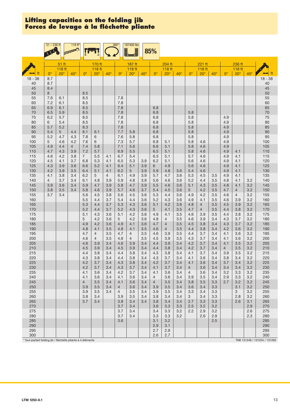|            | $51 - 236$ ft |            | $118 ft*$             |                       |                                  |                | $360^\circ$                      | 187400 lbs          |              |                       |                       |              |                       |                  |              |             |                                  |              |            |
|------------|---------------|------------|-----------------------|-----------------------|----------------------------------|----------------|----------------------------------|---------------------|--------------|-----------------------|-----------------------|--------------|-----------------------|------------------|--------------|-------------|----------------------------------|--------------|------------|
|            |               |            |                       |                       |                                  |                |                                  |                     |              | 85%                   |                       |              |                       |                  |              |             |                                  |              |            |
|            |               | 51 ft      |                       |                       |                                  |                |                                  |                     |              |                       | 204 ft                |              |                       |                  |              |             |                                  |              |            |
|            |               | 118 ft     |                       |                       | 170 ft<br>118 ft                 |                |                                  | 187 ft<br>118 ft    |              |                       | 118 ft                |              |                       | 221 ft<br>118 ft |              |             | 236 ft<br>118 ft                 |              |            |
|            | $0^{\circ}$   | $20^\circ$ | $40^{\circ}$          | $0^{\circ}$           | $20^\circ$                       | $40^{\circ}$   | $0^{\circ}$                      | $20^{\circ}$        | $40^{\circ}$ | $0^{\circ}$           | $20^\circ$            | $40^{\circ}$ | $0^{\circ}$           | $20^{\circ}$     | $40^{\circ}$ | $0^{\circ}$ | $20^\circ$                       | $40^{\circ}$ | ft         |
| $18 - 38$  | 8.7           |            |                       |                       |                                  |                |                                  |                     |              |                       |                       |              |                       |                  |              |             |                                  |              | $18 - 38$  |
| 40         | 8.7           |            |                       |                       |                                  |                |                                  |                     |              |                       |                       |              |                       |                  |              |             |                                  |              | 40         |
| 45<br>50   | 8.4<br>8      |            |                       | 8.5                   |                                  |                |                                  |                     |              |                       |                       |              |                       |                  |              |             |                                  |              | 45<br>50   |
| 55         | 7.6           | 6.1        |                       | 8.5                   |                                  |                | 7.8                              |                     |              |                       |                       |              |                       |                  |              |             |                                  |              | 55         |
| 60         | 7.2           | 6.1        |                       | 8.5                   |                                  |                | 7.8                              |                     |              |                       |                       |              |                       |                  |              |             |                                  |              | 60         |
| 65         | 6.9           | 6.1        |                       | 8.5                   |                                  |                | 7.8                              |                     |              | 6.8                   |                       |              |                       |                  |              |             |                                  |              | 65         |
| 70<br>75   | 6.5<br>6.2    | 5.9<br>5.7 |                       | 8.5<br>8.5            |                                  |                | 7.8<br>7.8                       |                     |              | 6.8<br>6.8            |                       |              | 5.8<br>5.8            |                  |              | 4.9         |                                  |              | 70<br>75   |
| 80         | 6             | 5.4        |                       | 8.5                   |                                  |                | 7.8                              |                     |              | 6.8                   |                       |              | 5.8                   |                  |              | 4.9         |                                  |              | 80         |
| 85         | 5.7           | 5.2        |                       | 8.3                   |                                  |                | 7.8                              |                     |              | 6.8                   |                       |              | 5.8                   |                  |              | 4.9         |                                  |              | 85         |
| 90         | 5.4           | 5          | 4.4                   | 8.1                   | 6.1                              |                | 7.7                              | 5.8                 |              | 6.8                   |                       |              | 5.8                   |                  |              | 4.9         |                                  |              | 90         |
| 95         | 5.2           | 4.7        | 4.3                   | 7.8                   | 6                                |                | 7.6                              | 5.8                 |              | 6.8                   |                       |              | 5.8                   |                  |              | 4.9         |                                  |              | 95         |
| 100<br>105 | 5<br>4.9      | 4.6<br>4.4 | 4.2<br>$\overline{4}$ | 7.6<br>7.4            | 6<br>5.8                         |                | 7.3<br>7.1                       | 5.7<br>5.6          |              | 6.8<br>6.6            | 5.1<br>5.1            |              | 5.8<br>5.8            | 4.6<br>4.6       |              | 4.9<br>4.9  |                                  |              | 100<br>105 |
| 110        | 4.7           | 4.3        | 3.9                   | 7.2                   | 5.7                              |                | 6.9                              | 5.5                 |              | 6.5                   | 5.1                   |              | 5.8                   | 4.6              |              | 4.9         | 4.1                              |              | 110        |
| 115        | 4.6           | 4.2        | 3.8                   | $\overline{7}$        | 5.5                              | 4.1            | 6.7                              | 5.4                 |              | 6.3                   | 5.1                   |              | 5.7                   | 4.6              |              | 4.9         | 4.1                              |              | 115        |
| 120        | 4.5           | 4.1        | 3.7                   | 6.8                   | 5.3                              | 4.1            | 6.5                              | 5.3                 | 3.9          | 6.2                   | 5.1                   |              | 5.6                   | 4.6              |              | 4.9         | 4.1                              |              | 120        |
| 125<br>130 | 4.3<br>4.2    | 3.9<br>3.9 | 3.6<br>3.5            | 6.6<br>6.4            | 5.2<br>5.1                       | 4.1<br>4.1     | 6.4<br>6.2                       | 5.1<br>5            | 3.9<br>3.9   | 6<br>5.9              | 4.9<br>4.8            | 3.6          | 5.6<br>5.4            | 4.6<br>4.6       |              | 4.9<br>4.9  | 4.1<br>4.1                       |              | 125<br>130 |
| 135        | 4.1           | 3.8        | 3.4                   | 6.2                   | 5                                | $\overline{4}$ | 6.1                              | 4.9                 | 3.9          | 5.7                   | 4.7                   | 3.6          | 5.3                   | 4.5              | 3.5          | 4.9         | 4.1                              |              | 135        |
| 140        | 4             | 3.7        | 3.4                   | 6.1                   | 4.8                              | 3.9            | 5.9                              | 4.8                 | 3.9          | 5.6                   | 4.6                   | 3.6          | 5.2                   | 4.4              | 3.5          | 4.8         | 4.1                              | 3.2          | 140        |
| 145        | 3.9           | 3.6        | 3.4                   | 5.9                   | 4.7                              | 3.9            | 5.8                              | 4.7                 | 3.9          | 5.5                   | 4.6                   | 3.6          | 5.1                   | 4.3              | 3.5          | 4.8         | 4.1                              | 3.2          | 145        |
| 150<br>155 | 3.8<br>3.7    | 3.5<br>3.4 | 3.4                   | 5.8<br>5.6            | 4.6<br>4.5                       | 3.9<br>3.8     | 5.7<br>5.6                       | 4.6<br>4.5          | 3.7<br>3.6   | 5.4<br>5.3            | 4.5<br>4.4            | 3.6<br>3.6   | 5<br>4.9              | 4.2<br>4.2       | 3.5<br>3.5   | 4.7<br>4.6  | $\overline{4}$<br>$\overline{4}$ | 3.2<br>3.2   | 150<br>155 |
| 160        |               |            |                       | 5.5                   | 4.4                              | 3.7            | 5.4                              | 4.4                 | 3.6          | 5.2                   | 4.3                   | 3.6          | 4.9                   | 4.1              | 3.5          | 4.6         | 3.9                              | 3.2          | 160        |
| 165        |               |            |                       | 5.3                   | 4.4                              | 3.7            | 5.3                              | 4.3                 | 3.6          | 5.1                   | 4.2                   | 3.6          | 4.8                   | $\overline{4}$   | 3.5          | 4.5         | 3.9                              | 3.2          | 165        |
| 170        |               |            |                       | 5.2<br>5.1            | 4.4                              | 3.7            | 5.2                              | 4.3<br>4.2          | 3.6          | 5                     | 4.1                   | 3.5          | 4.7                   | $\overline{4}$   | 3.5<br>3.5   | 4.4         | 3.8                              | 3.2          | 170<br>175 |
| 175<br>180 |               |            |                       | 5                     | 4.3<br>4.2                       | 3.6<br>3.6     | 5.1<br>5                         | 4.2                 | 3.6<br>3.6   | 4.9<br>4.8            | 4.1<br>$\overline{4}$ | 3.5<br>3.5   | 4.6<br>4.6            | 3.9<br>3.9       | 3.4          | 4.4<br>4.3  | 3.8<br>3.7                       | 3.2<br>3.2   | 180        |
| 185        |               |            |                       | 4.9                   | 4.2                              | 3.6            | 4.9                              | 4.1                 | 3.6          | 4.7                   | 4                     | 3.5          | 4.5                   | 3.8              | 3.4          | 4.3         | 3.7                              | 3.2          | 185        |
| 190        |               |            |                       | 4.8                   | 4.1                              | 3.5            | 4.8                              | 4.1                 | 3.5          | 4.6                   | $\overline{4}$        | 3.5          | 4.4                   | 3.8              | 3.4          | 4.2         | 3.6                              | 3.2          | 190        |
| 195        |               |            |                       | 4.7<br>4.6            | $\overline{4}$<br>$\overline{4}$ | 3.5            | 4.7<br>4.6                       | 4<br>$\overline{4}$ | 3.5<br>3.5   | 4.6                   | 3.9<br>3.9            | 3.5<br>3.5   | 4.4                   | 3.7              | 3.4<br>3.4   | 4.1         | 3.6                              | 3.2          | 195        |
| 200<br>205 |               |            |                       | 4.6                   | 3.9                              | 3.5<br>3.4     | 4.6                              | 3.9                 | 3.4          | 4.5<br>4.4            | 3.9                   | 3.4          | 4.3<br>4.2            | 3.7<br>3.7       | 3.4          | 4.1<br>4.1  | 3.6<br>3.5                       | 3.2<br>3.2   | 200<br>205 |
| 210        |               |            |                       | 4.5                   | 3.9                              | 3.4            | 4.5                              | 3.9                 | 3.4          | 4.4                   | 3.8                   | 3.4          | 4.2                   | 3.7              | 3.4          | 4           | 3.5                              | 3.2          | 210        |
| 215        |               |            |                       | 4.4                   | 3.8                              | 3.4            | 4.4                              | 3.8                 | 3.4          | 4.3                   | 3.8                   | 3.4          | 4.1                   | 3.7              | 3.4          | 3.9         | 3.5                              | 3.2          | 215        |
| 220        |               |            |                       | 4.3                   | 3.8                              | 3.4            | 4.4                              | 3.8                 | 3.4          | 4.3                   | 3.7                   | 3.4          | 4.1                   | 3.6              | 3.4          | 3.8         | 3.4                              | 3.2          | 220        |
| 225<br>230 |               |            |                       | 4.2<br>4.2            | 3.7<br>3.7                       | 3.4<br>3.4     | 4.3<br>4.3                       | 3.8<br>3.7          | 3.4<br>3.4   | 4.2<br>4.1            | 3.7<br>$3.7\,$        | 3.4<br>3.4   | 4.1<br>$\overline{4}$ | 3.6<br>3.6       | 3.4<br>3.4   | 3.7<br>3.4  | 3.4<br>3.4                       | 3.2<br>3.2   | 225<br>230 |
| 235        |               |            |                       | 4.1                   | 3.6                              | 3.4            | 4.2                              | 3.7                 | 3.4          | 4.1                   | 3.6                   | 3.4          | $\overline{4}$        | 3.6              | 3.4          | 3.2         | 3.3                              | 3.2          | 235        |
| 240        |               |            |                       | 4.1                   | 3.6                              | 3.4            | 4.1                              | 3.6                 | 3.4          | 4                     | 3.6                   | 3.4          | 3.9                   | 3.5              | 3.4          | 2.9         | 3.3                              | 3.2          | 240        |
| 245<br>250 |               |            |                       | $\overline{4}$<br>3.9 | 3.5<br>3.5                       | 3.4<br>3.4     | 4.1                              | 3.6<br>3.6          | 3.4<br>3.4   | $\overline{4}$<br>3.9 | 3.5<br>3.5            | 3.4<br>3.4   | 3.8<br>3.6            | 3.5<br>3.4       | 3.3<br>3.3   | 2.7         | 3.2<br>3.1                       | 3.2<br>3.2   | 245<br>250 |
| 255        |               |            |                       | 3.9                   | 3.5                              | 3.4            | $\overline{4}$<br>$\overline{4}$ | 3.5                 | 3.4          | 3.9                   | $3.5\,$               | 3.4          | 3.3                   | 3.4              | 3.3          |             | 3                                | 3.2          | 255        |
| 260        |               |            |                       | 3.8                   | 3.4                              |                | 3.9                              | 3.5                 | 3.4          | 3.8                   | 3.4                   | 3.4          | $\mathbf{3}$          | 3.4              | 3.3          |             | 2.8                              | 3.2          | 260        |
| 265        |               |            |                       | 3.7                   | 3.4                              |                | 3.8                              | 3.4                 | 3.4          | 3.8                   | 3.4                   | 3.4          | 2.7                   | 3.3              | 3.3          |             | 2.6                              | 3.1          | 265        |
| 270<br>275 |               |            |                       |                       |                                  |                | 3.7<br>3.7                       | 3.4<br>3.4          |              | 3.6<br>3.4            | 3.3<br>3.3            | 3.3<br>3.2   | 2.5<br>2.2            | 3.2<br>2.9       | 3.2<br>3.2   |             |                                  | 2.9<br>2.6   | 270<br>275 |
| 280        |               |            |                       |                       |                                  |                | 3.7                              | 3.4                 |              | 3.3                   | 3.3                   | 3.2          |                       | 2.6              | 2.9          |             |                                  | 2.3          | 280        |
| 285        |               |            |                       |                       |                                  |                | 3.6                              |                     |              | 3.1                   | 3.2                   |              |                       |                  | 2.5          |             |                                  |              | 285        |
| 290        |               |            |                       |                       |                                  |                |                                  |                     |              | 2.9                   | 3.1                   |              |                       |                  |              |             |                                  |              | 290        |
| 295<br>300 |               |            |                       |                       |                                  |                |                                  |                     |              | 2.7<br>2.6            | 2.9<br>2.7            |              |                       |                  |              |             |                                  |              | 295<br>300 |

\* four-parted folding jib / fléchette pliante à 4 éléments TAB 131262 / 131262 / 131262 / 131262 / 131262 / 131262 / 131262 / 131262 / 131262 / 131262 / 131262 / 131262 / 131262 / 131262 / 131262 / 131262 / 131262 / 131262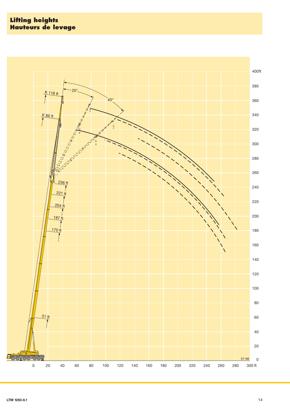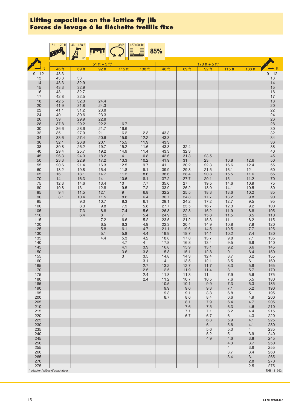|              | $51 - 170$ ft                | $46 - 138$ ft |               | 360°<br>Ì,     | 187400 lbs<br><u>F</u> | 85%          |              |                |                       |                       |                |
|--------------|------------------------------|---------------|---------------|----------------|------------------------|--------------|--------------|----------------|-----------------------|-----------------------|----------------|
| ft           |                              | $0^{\circ}$   | 51 ft + 5 ft* |                |                        |              |              | 170 ft + 5 ft* |                       |                       | ft             |
| $9 - 12$     | 46 ft<br>43.3                | 69 ft         | 92 ft         | 115 ft         | 138 ft                 | 46 ft        | 69 ft        | 92 ft          | $115$ ft              | 138 ft                | $9 - 12$       |
| 13           | 43.3                         | 33            |               |                |                        |              |              |                |                       |                       | $13$           |
| 14<br>15     | 43.3<br>43.3                 | 32.9<br>32.9  |               |                |                        |              |              |                |                       |                       | 14<br>15       |
| $16$         | 43.1                         | 32.7          |               |                |                        |              |              |                |                       |                       | 16             |
| 17           | 42.8                         | 32.5          |               |                |                        |              |              |                |                       |                       | $17$           |
| 18<br>$20\,$ | 42.5<br>41.9                 | 32.3<br>31.8  | 24.4<br>24.3  |                |                        |              |              |                |                       |                       | 18<br>20       |
| 22           | 41.1                         | 31.2          | 23.8          |                |                        |              |              |                |                       |                       | 22             |
| 24<br>$26\,$ | 40.1<br>39                   | 30.6<br>29.9  | 23.3<br>22.8  |                |                        |              |              |                |                       |                       |                |
| 28           | 37.8                         | 29.2          | 22.2          | 16.7           |                        |              |              |                |                       |                       | 24<br>26<br>28 |
| 30           | 36.6                         | 28.6          | 21.7          | 16.6<br>16.2   |                        |              |              |                |                       |                       | $30\,$<br>32   |
| 32<br>34     | 35<br>33.6                   | 27.9<br>27.4  | 21.1<br>20.6  | 15.9           | 12.3<br>12.2           | 43.3<br>43.3 |              |                |                       |                       | 34             |
| 36           | 32.1                         | 26.8          | 20.1          | 15.5           | 11.9                   | 43.3         |              |                |                       |                       | 36             |
| 38<br>40     | 30.8<br>29.4                 | 26.2<br>25.7  | 19.7<br>19.2  | 15.2<br>14.9   | 11.6<br>11.4           | 43.3<br>43.3 | 32.4<br>32.3 |                |                       |                       | 38<br>40       |
| 45           | 26.3                         | 24.3          | 18.2          | 14             | 10.8                   | 42.6         | 31.8         | 23.5           |                       |                       | 45             |
| 50<br>55     | 23.3<br>20.6                 | 22.9<br>21.4  | 17.2<br>16.3  | 13.3<br>12.5   | 10.2<br>9.7            | 41.9<br>41   | 31<br>30.2   | 23<br>22.3     | 16.8<br>16.6          | 12.6<br>12.4          | 50<br>55       |
| 60           | 18.2                         | 19.8          | 15.4          | 11.8           | 9.1                    | 39.9         | 29.3         | 21.5           | 16.1                  | 12                    | 60             |
| 65           | 16                           | 18.1          | 14.7          | 11.2           | 8.6                    | 38.6         | 28.4         | 20.8           | 15.5                  | 11.6                  | 65             |
| $70\,$<br>75 | 14<br>12.3                   | 16.3<br>14.6  | $14$<br>13.4  | 10.6<br>$10$   | 8.1<br>7.7             | 37.2<br>35.6 | 27.7<br>27   | 20.1<br>19.5   | 15<br>14.6            | 11.2<br>10.9          | $70$<br>$75\,$ |
| 80           | 10.8                         | 13            | 12.8          | 9.5            | 7.2                    | 33.9         | 26.2         | 18.9           | 14.1                  | 10.5                  | 80             |
| 85<br>90     | 9.4<br>8.1                   | 11.5<br>10.4  | 12.1<br>11.5  | 9<br>8.6       | 6.8<br>6.4             | 32.2<br>30.7 | 25.5<br>24.8 | 18.3<br>17.7   | 13.6<br>13.2          | 10.2<br>9.8           | 85<br>90       |
| 95           |                              | 9.3           | 10.7          | 8.3            | 6.1                    | 29.1         | 24.2         | 17.2           | 12.7                  | 9.5                   | 95             |
| 100<br>105   |                              | 8.3<br>$7.3$  | 9.8<br>8.8    | 7.9<br>7.4     | 5.8<br>5.6             | 27.7<br>26.3 | 23.5<br>22.8 | 16.7<br>16.2   | 12.3<br>11.9          | 9.2<br>8.8            | 100<br>105     |
| $110$        |                              | 6.4           | 8             | 7 <sup>1</sup> | 5.4                    | 24.9         | 22           | 15.8           | 11.5                  | 8.5                   | 110            |
| 115          |                              |               | 7.2           | 6.6            | 5.2                    | 23.5         | 21.2         | 15.3           | 11.1                  | 8.2                   | 115            |
| 120<br>125   |                              |               | 6.5<br>5.8    | 6.3<br>6.1     | 4.9<br>4.7             | 22.3<br>21.1 | 20.4<br>19.6 | 14.9<br>14.5   | 10.8<br>10.5          | 7.9<br>7.7            | 120<br>125     |
| 130          |                              |               | 5.1           | 5.8            | 4.4                    | 19.9         | 18.7         | 14.1           | 10.2                  | 7.4                   | 130            |
| 135<br>140   |                              |               | 4.4           | 5.3<br>4.7     | 4.2<br>$\overline{4}$  | 18.8<br>17.8 | 17.8<br>16.8 | 13.7<br>13.4   | 9.8<br>$9.5\,$        | 7.1<br>6.9            | 135<br>140     |
| 145          |                              |               |               | 4.1            | 3.9                    | 16.8         | 15.9         | 13.1           | 9.2                   | 6.6                   | 145            |
| 150<br>155   |                              |               |               | 3.6<br>3       | 3.8<br>3.5             | 15.8<br>14.8 | 15.1<br>14.3 | 12.8<br>12.4   | 9<br>8.7              | 6.4<br>6.2            | 150<br>155     |
| 160          |                              |               |               |                | 3.1                    | 14           | 13.5         | 12.1           | 8.5                   | 6                     | 160            |
| 165<br>170   |                              |               |               |                | 2.7<br>2.5             | 13.2<br>12.5 | 12.7<br>11.9 | 11.7<br>11.4   | 8.3<br>8.1            | 5.8<br>5.7            | 165<br>170     |
| 175          |                              |               |               |                | 2.4                    | 11.8         | 11.3         | 11             | 7.9                   | 5.6                   | 175            |
| 180          |                              |               |               |                | 2.4                    | 11.2         | 10.7         | $10.5$         | 7.6                   | 5.5                   | 180            |
| 185<br>190   |                              |               |               |                |                        | 10.5<br>9.9  | 10.1<br>9.6  | $9.9\,$<br>9.3 | $7.3\,$<br>7.1        | 5.3<br>$5.2\,$        | 185<br>190     |
| 195          |                              |               |               |                |                        | 9.3          | 9.1          | 8.8            | 6.8                   | $5\overline{)}$       | 195            |
| 200<br>205   |                              |               |               |                |                        | 8.7          | 8.6<br>8.1   | 8.4<br>$7.9$   | $6.6\,$<br>6.4        | 4.9<br>4.7            | 200<br>205     |
| 210          |                              |               |               |                |                        |              | 7.6          | $7.5$          | 6.3                   | 4.6                   | 210            |
| 215<br>220   |                              |               |               |                |                        |              | 7.1<br>6.7   | 7.1<br>$6.7\,$ | 6.2                   | 4.4                   | 215<br>220     |
| 225          |                              |               |               |                |                        |              |              | 6.3            | 6<br>5.9              | 4.3<br>4.1            | 225            |
| 230          |                              |               |               |                |                        |              |              | 6              | 5.6                   | 4.1                   | 230            |
| 235<br>240   |                              |               |               |                |                        |              |              | 5.6<br>5.2     | 5.3<br>5 <sup>5</sup> | $\overline{4}$<br>3.9 | 235<br>240     |
| 245          |                              |               |               |                |                        |              |              | 4.9            | 4.6                   | $3.8\,$               | 245            |
| 250<br>255   |                              |               |               |                |                        |              |              |                | 4.3<br>$\overline{4}$ | 3.7<br>3.6            | 250<br>255     |
| 260          |                              |               |               |                |                        |              |              |                | 3.7                   | 3.4                   | 260            |
| 265<br>270   |                              |               |               |                |                        |              |              |                | 3.4                   | 3.1<br>2.8            | 265<br>270     |
| 275          |                              |               |               |                |                        |              |              |                |                       | 2.5                   | 275            |
|              | adapter / pièce d'adaptateur |               |               |                |                        |              |              |                |                       |                       | TAB 131562     |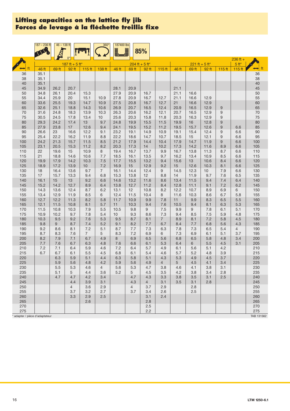|                              | $187 - 236$ ft | $46 - 138$ ft |                |                   | $360^\circ$    | 187400 lbs   |                       |                                   |                |              |              |                  |                   |                   |                      |
|------------------------------|----------------|---------------|----------------|-------------------|----------------|--------------|-----------------------|-----------------------------------|----------------|--------------|--------------|------------------|-------------------|-------------------|----------------------|
|                              |                |               |                |                   |                |              | Ē                     | 85%                               |                |              |              |                  |                   |                   |                      |
|                              |                |               | $0^{\circ}$    |                   |                |              |                       |                                   |                |              |              |                  |                   | $236$ ft +        |                      |
|                              |                |               | 187 ft + 5 ft* |                   |                |              |                       | $204 \text{ ft} + 5 \text{ ft}^*$ |                |              |              | $221$ ft + 5 ft* |                   | $5ft*$            |                      |
| ft                           | 46 ft          | 69 ft         | 92 ft          | 115 <sub>ft</sub> | 138 ft         | 46 ft        | 69 ft                 | 92 ft                             | $115$ ft       | 46 ft        | 69 ft        | 92 ft            | 115 <sub>ft</sub> | 115 <sub>ft</sub> | $\leftrightarrow$ ft |
| 36                           | 35.1           |               |                |                   |                |              |                       |                                   |                |              |              |                  |                   |                   | 36                   |
| 38<br>$40\,$                 | 35.1<br>35.1   |               |                |                   |                |              |                       |                                   |                |              |              |                  |                   |                   | 38<br>40             |
| 45                           | 34.9           | 26.2          | 20.7           |                   |                | 28.1         | 20.9                  |                                   |                | 21.1         |              |                  |                   |                   | 45                   |
| 50                           | 34.8           | 26.1          | 20.4           | 15.3              |                | 27.9         | 20.9                  | 16.7                              |                | 21.1         | 16.6         |                  |                   |                   | 50                   |
| 55                           | 34.4           | 25.9          | 20             | 15.1              | 10.9           | 27.8         | 20.9                  | 16.7                              | 12.7           | 21.1         | 16.6         | 12.9             |                   |                   | 55                   |
| 60                           | 33.6           | 25.5          | 19.3           | 14.7              | 10.9           | 27.5         | 20.8                  | 16.7                              | 12.7           | 21           | 16.6         | 12.9             |                   |                   | 60                   |
| 65                           | 32.6           | 25.1          | 18.8           | 14.3              | 10.6           | 26.9         | 20.7                  | 16.5                              | 12.4           | 20.9         | 16.5         | 12.9             | 9                 |                   | 65                   |
| 70                           | 31.6           | 24.8          | 18.3           | 13.9              | 10.3           | 26.3         | 20.6                  | 16.2                              | 12.1           | 20.7         | 16.5         | 12.9             | 9                 |                   | $70\,$               |
| 75<br>80                     | 30.5<br>29.3   | 24.5<br>24.2  | 17.8<br>17.4   | 13.4<br>13        | 10<br>9.7      | 25.6<br>24.8 | 20.3<br>19.9          | 15.8<br>15.5                      | 11.8<br>11.5   | 20.3<br>19.9 | 16.3<br>16   | 12.9<br>12.8     | 9<br>9            |                   | 75<br>80             |
| 85                           | 27.9           | 23.8          | 17             | 12.6              | 9.4            | 24.1         | 19.5                  | 15.2                              | 11.2           | 19.5         | 15.7         | 12.6             | 9                 | 6.6               | 85                   |
| 90                           | 26.6           | 23            | 16.6           | 12.2              | 9.1            | 23.2         | 19.1                  | 14.9                              | 10.9           | 19.1         | 15.4         | 12.4             | 9                 | 6.6               | 90                   |
| 95                           | 25.4           | 22.2          | 16.2           | 11.9              | 8.8            | 22.2         | 18.6                  | 14.7                              | 10.7           | 18.5         | 15           | 12.1             | 9                 | 6.6               | 95                   |
| 100                          | 24.2           | 21.3          | 15.7           | 11.5              | 8.5            | 21.2         | 17.9                  | 14.4                              | 10.4           | 17.9         | 14.7         | 11.9             | 9                 | 6.6               | 100                  |
| 105                          | 23.1           | 20.5          | 15.3           | 11.2              | 8.2            | 20.3         | 17.3                  | 14                                | 10.2           | 17.3         | 14.2         | 11.6             | 8.9               | 6.6               | 105                  |
| 110<br>115                   | 22<br>21       | 19.6<br>18.8  | 15<br>14.6     | 10.9<br>10.6      | 8<br>7.7       | 19.4<br>18.5 | 16.7<br>16.1          | 13.7<br>13.5                      | 9.9<br>9.7     | 16.7<br>16.2 | 13.8<br>13.4 | 11.3<br>10.9     | 8.7<br>8.5        | 6.6<br>6.6        | 110<br>115           |
| 120                          | 19.9           | 17.9          | 14.2           | 10.3              | 7.5            | 17.7         | 15.5                  | 13.2                              | 9.4            | 15.6         | 13           | 10.6             | 8.4               | 6.6               | 120                  |
| 125                          | 18.9           | 17.2          | 13.9           | 10                | 7.2            | 16.9         | 15                    | 12.9                              | 9.2            | 15           | 12.6         | 10.3             | 8.1               | 6.6               | 125                  |
| 130                          | 18             | 16.4          | 13.6           | 9.7               | $\overline{7}$ | 16.1         | 14.4                  | 12.4                              | 9              | 14.5         | 12.3         | 10               | 7.9               | 6.6               | 130                  |
| 135                          | 17             | 15.7          | 13.3           | 9.4               | 6.8            | 15.3         | 13.8                  | 12                                | 8.8            | 14           | 11.9         | 9.7              | 7.6               | 6.5               | 135                  |
| 140                          | 16.1           | 15            | 13             | 9.2               | 6.6            | 14.6         | 13.2                  | 11.6                              | 8.6            | 13.4         | 11.5         | 9.4              | 7.4               | 6.4               | 140                  |
| 145<br>150                   | 15.2<br>14.3   | 14.2<br>13.6  | 12.7<br>12.4   | 8.9<br>8.7        | 6.4<br>6.2     | 13.8<br>13.1 | 12.7<br>12            | 11.2<br>10.8                      | 8.4<br>8.2     | 12.8<br>12.2 | 11.1<br>10.7 | 9.1<br>8.9       | 7.2<br>6.9        | 6.2               | 145                  |
| 155                          | 13.4           | 12.9          | 11.9           | 8.5               | 6              | 12.4         | 11.5                  | 10.4                              | 8              | 11.6         | 10.3         | 8.6              | 6.7               | 6<br>5.8          | 150<br>155           |
| 160                          | 12.7           | 12.2          | 11.3           | 8.2               | 5.8            | 11.7         | 10.9                  | 9.9                               | 7.8            | 11           | 9.9          | 8.3              | 6.5               | 5.5               | 160                  |
| 165                          | 12.1           | 11.5          | 10.8           | 8.1               | 5.7            | 11           | 10.3                  | 9.4                               | 7.6            | 10.5         | 9.4          | 8.1              | 6.3               | 5.3               | 165                  |
| 170                          | 11.5           | 10.8          | 10.3           | 7.9               | 5.5            | 10.5         | 9.8                   | 9                                 | 7.5            | 9.9          | 9            | 7.8              | 6.1               | 5.1               | 170                  |
| 175                          | 10.9           | 10.2          | 9.7            | 7.8               | 5.4            | 10           | 9.3                   | 8.6                               | 7.3            | 9.4          | 8.5          | 7.5              | 5.9               | 4.8               | 175                  |
| 180                          | 10.3           | 9.5           | 9.2            | 7.6               | 5.3            | 9.5          | 8.7                   | 8.1                               | $\overline{7}$ | 8.9          | 8.1          | 7.2              | 5.8               | 4.5               | 180                  |
| 185<br>190                   | 9.8<br>9.2     | 9<br>8.6      | 8.7<br>8.1     | 7.4<br>7.2        | 5.2<br>5.1     | 9.1<br>8.7   | 8.2<br>7.7            | 7.7<br>7.3                        | 6.7<br>6.3     | 8.4<br>7.8   | 7.7<br>7.3   | 6.8<br>6.5       | 5.6<br>5.4        | 4.3<br>4          | 185<br>190           |
| 195                          | 8.7            | 8.3           | 7.6            | $\overline{7}$    | 5              | 8.3          | 7.2                   | 6.9                               | 6              | 7.3          | 6.9          | 6.1              | 5.1               | 3.7               | 195                  |
| 200                          | 8.2            | 7.9           | 7.1            | 6.7               | 4.9            | 8            | 6.9                   | 6.5                               | 5.6            | 6.8          | 6.5          | 5.8              | 4.8               | 3.4               | 200                  |
| 205                          | 7.7            | 7.6           | 6.7            | 6.3               | 4.8            | 7.6          | 6.6                   | 6.1                               | 5.3            | 6.4          | 6            | 5.5              | 4.5               | 3.1               | 205                  |
| 210                          | 7.2            | 7.1           | 6.4            | 5.9               | 4.6            | 7.2          | 6.4                   | 5.7                               | 4.9            | 6.1          | 5.6          | 5.1              | 4.2               |                   | 210                  |
| 215                          | 6.7            | 6.7           | 6.1            | 5.5               | 4.5            | 6.8          | 6.1                   | 5.4                               | 4.6            | 5.7          | 5.2          | 4.8              | 3.9               |                   | 215                  |
| 220<br>225                   |                | 6.3<br>5.9    | 5.9<br>5.6     | 5.1<br>4.8        | 4.4<br>4.2     | 6.3<br>5.9   | 5.8<br>5.6            | 5.1<br>4.9                        | 4.3<br>4       | 5.3<br>5     | 4.9<br>4.5   | 4.5<br>4.1       | 3.7<br>3.4        |                   | 220<br>225           |
| 230                          |                | 5.5           | 5.3            | 4.6               | $\overline{4}$ | 5.6          | 5.3                   | 4.7                               | 3.8            | 4.6          | 4.1          | 3.8              | 3.1               |                   | 230                  |
| 235                          |                | 5.1           | 5              | 4.4               | 3.6            | 5.2          | 5                     | 4.5                               | 3.5            | 4.2          | 3.8          | 3.4              | 2.8               |                   | 235                  |
| 240                          |                | 4.7           | 4.7            | 4.2               | 3.4            |              | 4.7                   | 4.3                               | 3.3            | 3.8          | 3.5          | 3.1              | 2.5               |                   | 240                  |
| 245                          |                |               | 4.4            | 3.9               | 3.1            |              | 4.3                   | 4                                 | 3.1            | 3.5          | 3.1          | 2.8              |                   |                   | 245                  |
| 250                          |                |               | $\overline{4}$ | 3.6               | 2.9            |              | $\overline{4}$<br>3.7 | 3.7                               | 2.9            |              | 2.8          |                  |                   |                   | 250                  |
| 255<br>260                   |                |               | 3.7<br>3.3     | 3.2<br>2.9        | 2.7<br>2.5     |              |                       | 3.4<br>3.1                        | 2.6<br>2.4     |              | 2.5          |                  |                   |                   | 255<br>260           |
| 265                          |                |               |                | 2.6               |                |              |                       | 2.8                               |                |              |              |                  |                   |                   | 265                  |
| 270                          |                |               |                |                   |                |              |                       | 2.5                               |                |              |              |                  |                   |                   | 270                  |
| 275                          |                |               |                |                   |                |              |                       | 2.2                               |                |              |              |                  |                   |                   | 275                  |
| adapter / pièce d'adaptateur |                |               |                |                   |                |              |                       |                                   |                |              |              |                  |                   |                   | TAB 131562           |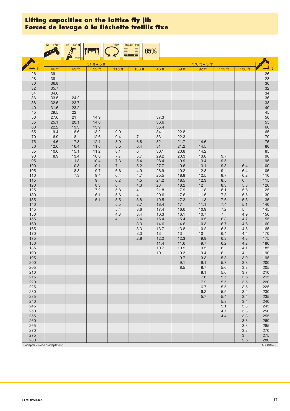|              | $51 - 170$ ft                  | $46 - 138$ ft |                        | $360^\circ$<br>Ē  | 187400 lbs            | 85%          |              |                         |                |                |                      |
|--------------|--------------------------------|---------------|------------------------|-------------------|-----------------------|--------------|--------------|-------------------------|----------------|----------------|----------------------|
|              |                                | $20^{\circ}$  |                        |                   |                       |              |              |                         |                |                |                      |
| ft           | 46 ft                          | 69 ft         | 51 ft + 5 ft*<br>92 ft | 115 <sub>ft</sub> | 138 ft                | 46 ft        | 69 ft        | 170 ft + 5 ft*<br>92 ft | 115 ft         | 138 ft         | $\leftrightarrow$ ft |
| 26           | 39                             |               |                        |                   |                       |              |              |                         |                |                | 26                   |
| 28           | 38                             |               |                        |                   |                       |              |              |                         |                |                | 28<br>30             |
| $30\,$       | 36.8                           |               |                        |                   |                       |              |              |                         |                |                |                      |
| 32<br>34     | 35.7<br>34.6                   |               |                        |                   |                       |              |              |                         |                |                | 32                   |
| 36           | 33.5                           | 24.2          |                        |                   |                       |              |              |                         |                |                | 34<br>36             |
| 38           | 32.5                           | 23.7          |                        |                   |                       |              |              |                         |                |                | 38                   |
| 40           | 31.6                           | 23.2          |                        |                   |                       |              |              |                         |                |                | 40                   |
| 45           | 29.5                           | 22            |                        |                   |                       |              |              |                         |                |                | 45                   |
| 50<br>55     | 27.6<br>25.1                   | 21<br>20.1    | 14.9<br>14.6           |                   |                       | 37.3<br>36.6 |              |                         |                |                | 50                   |
| 60           | 22.2                           | 19.3          | 13.9                   |                   |                       | 35.4         |              |                         |                |                | 55<br>60             |
| 65           | 19.4                           | 18.6          | 13.2                   | 9.9               |                       | 34.1         | 22.8         |                         |                |                | 65                   |
| 70           | 16.9                           | 18            | 12.6                   | 9.4               | $\overline{7}$        | 33           | 22.3         |                         |                |                | 70                   |
| $75\,$<br>80 | 14.6<br>12.6                   | 17.3<br>16.4  | 12.1<br>11.6           | 8.9               | 6.8<br>6.4            | 32<br>31     | 21.7<br>21.2 | 14.6<br>14.5            |                |                | 75                   |
| 85           | 10.6                           | 15.1          | 11.2                   | 8.5<br>8.1        | 6                     | 30.1         | 20.8         | 14.2                    |                |                | 80<br>85             |
| $90\,$       | 8.9                            | 13.4          | 10.8                   | 7.7               | 5.7                   | 29.2         | 20.3         | 13.8                    | 9.7            |                | 90                   |
| 95           |                                | 11.8          | 10.4                   | 7.3               | 5.4                   | 28.4         | 19.9         | 13.4                    | 9.5            |                | 95                   |
| 100          |                                | 10.3          | 10.1                   | $\overline{7}$    | 5.2                   | 27.7         | 19.6         | 13.1                    | 9.3            | 6.4            | 100                  |
| 105<br>110   |                                | 8.8<br>7.3    | 9.7<br>9.4             | 6.6<br>6.4        | 4.9<br>4.7            | 26.9<br>25.5 | 19.2<br>18.8 | 12.8<br>12.5            | 9<br>8.7       | 6.4<br>6.2     | 105<br>110           |
| 115          |                                |               | 9                      | $6.2\,$           | 4.5                   | 24.2         | 18.5         | 12.3                    | 8.5            | 6              | 115                  |
| 120          |                                |               | 8.3                    | 6                 | 4.3                   | 23           | 18.2         | 12                      | 8.3            | 5.8            | 120                  |
| 125          |                                |               | 7.2                    | 5.8               | 4.1                   | 21.8         | 17.9         | 11.8                    | 8.1            | 5.6            | 125                  |
| 130<br>135   |                                |               | 6.1<br>5.1             | 5.6<br>5.5        | $\overline{4}$<br>3.8 | 20.6<br>19.5 | 17.6<br>17.3 | 11.5<br>11.3            | 7.8<br>7.6     | 5.5<br>5.3     | 130<br>135           |
| 140          |                                |               |                        | $5.5\,$           | 3.7                   | 18.4         | 17           | 11.1                    | 7.4            | 5.1            | 140                  |
| 145          |                                |               |                        | 5.4               | 3.6                   | 17.4         | 16.6         | 10.9                    | 7.2            | $\overline{5}$ | 145                  |
| 150          |                                |               |                        | 4.8               | 3.4                   | 16.3         | 16.1         | 10.7                    | $\overline{7}$ | 4.9            | 150                  |
| 155<br>160   |                                |               |                        | $\overline{4}$    | 3.4<br>3.3            | 15.4<br>14.6 | 15.4<br>14.6 | 10.5<br>10.3            | 6.8<br>6.7     | 4.7<br>4.6     | 155<br>160           |
| 165          |                                |               |                        |                   | 3.3                   | 13.7         | 13.8         | 10.2                    | 6.5            | 4.5            | 165                  |
| 170          |                                |               |                        |                   | 3.3                   | 13           | 13           | $10$                    | 6.4            | 4.4            | 170                  |
| 175          |                                |               |                        |                   | 2.8                   | 12.2         | 12.3         | 9.8                     | 6.3            | 4.3            | 175                  |
| 180<br>185   |                                |               |                        |                   |                       | 11.4         | 11.6         | 9.7                     | 6.2            | 4.2<br>4.1     | 180                  |
| 190          |                                |               |                        |                   |                       | 10.7<br>$10$ | 10.9<br>10.3 | 9.5<br>9.4              | 6<br>6         | $\overline{4}$ | 185<br>190           |
| 195          |                                |               |                        |                   |                       |              | 9.7          | 9.3                     | 5.8            | 3.9            | 195                  |
| 200          |                                |               |                        |                   |                       |              | 9.1          | 9.1                     | 5.7            | 3.8            | 200                  |
| 205<br>210   |                                |               |                        |                   |                       |              | 8.5          | 8.7<br>8.1              | 5.6<br>$5.6\,$ | 3.8<br>3.7     | 205<br>210           |
| 215          |                                |               |                        |                   |                       |              |              | $7.6\,$                 | 5.5            | 3.6            | 215                  |
| 220          |                                |               |                        |                   |                       |              |              | 7.2                     | $5.5\,$        | $3.5\,$        | 220                  |
| 225          |                                |               |                        |                   |                       |              |              | 6.7                     | 5.5            | 3.5            | 225                  |
| 230          |                                |               |                        |                   |                       |              |              | $6.2\,$                 | 5.5            | $3.4\,$        | 230                  |
| 235<br>240   |                                |               |                        |                   |                       |              |              | 5.7                     | 5.4<br>5.3     | 3.4<br>$3.4\,$ | 235<br>240           |
| 245          |                                |               |                        |                   |                       |              |              |                         | 5.1            | 3.3            | 245                  |
| 250          |                                |               |                        |                   |                       |              |              |                         | 4.7            | 3.3            | 250                  |
| 255          |                                |               |                        |                   |                       |              |              |                         | 4.4            | 3.3            | 255                  |
| 260<br>265   |                                |               |                        |                   |                       |              |              |                         |                | 3.3<br>3.3     | 260<br>265           |
| 270          |                                |               |                        |                   |                       |              |              |                         |                | 3.2            | 270                  |
| 275          |                                |               |                        |                   |                       |              |              |                         |                | $\mathbf{3}$   | 275                  |
| 280          |                                |               |                        |                   |                       |              |              |                         |                | 2.6            | 280<br>TAB 131572    |
|              | * adapter / pièce d'adaptateur |               |                        |                   |                       |              |              |                         |                |                |                      |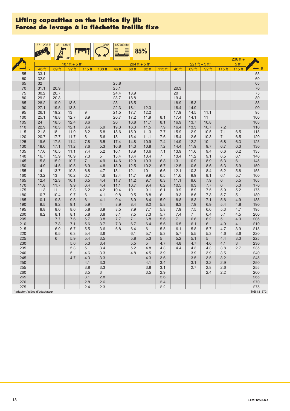|                              | $187 - 236$ ft | $46 - 138$ ft |                 |            | $360^\circ$    | 187400 lbs   |              | 85%              |                |                |                |                  |                   |                      |                      |
|------------------------------|----------------|---------------|-----------------|------------|----------------|--------------|--------------|------------------|----------------|----------------|----------------|------------------|-------------------|----------------------|----------------------|
|                              |                |               | 20 <sup>°</sup> |            |                |              |              |                  |                |                |                |                  |                   |                      |                      |
|                              |                |               | 187 ft + 5 ft*  |            |                |              |              | $204$ ft + 5 ft* |                |                |                | $221$ ft + 5 ft* |                   | $236 ft +$<br>$5ft*$ |                      |
|                              | 46 ft          | 69 ft         | 92 ft           | 115 ft     | 138 ft         | 46 ft        | 69 ft        | 92 ft            | $115$ ft       | 46 ft          | 69 ft          | 92 ft            | 115 <sub>ft</sub> | $115$ ft             | $\leftrightarrow$ ft |
| 55                           | 33.1           |               |                 |            |                |              |              |                  |                |                |                |                  |                   |                      | 55                   |
| 60                           | 32.9           |               |                 |            |                |              |              |                  |                |                |                |                  |                   |                      | 60                   |
| 65                           | 32             |               |                 |            |                | 25.8         |              |                  |                |                |                |                  |                   |                      | 65                   |
| 70                           | 31.1           | 20.9          |                 |            |                | 25.1         |              |                  |                | 20.3           |                |                  |                   |                      | 70                   |
| 75<br>80                     | 30.2<br>29.2   | 20.7<br>20.3  |                 |            |                | 24.4<br>23.7 | 18.9<br>18.8 |                  |                | 20<br>19.4     |                |                  |                   |                      | 75<br>80             |
| 85                           | 28.2           | 19.9          | 13.6            |            |                | 23           | 18.5         |                  |                | 18.9           | 15.3           |                  |                   |                      | 85                   |
| 90                           | 27.1           | 19.5          | 13.3            |            |                | 22.3         | 18.1         | 12.3             |                | 18.4           | 14.9           |                  |                   |                      | 90                   |
| 95                           | 26.1           | 19.2          | 13              | 9          |                | 21.5         | 17.7         | 12.2             |                | 17.9           | 14.5           | 11.1             |                   |                      | 95                   |
| 100                          | 25.1           | 18.8          | 12.7            | 8.9        |                | 20.7         | 17.2         | 11.9             | 8.1            | 17.4           | 14.1           | 11               |                   |                      | 100                  |
| 105                          | 24             | 18.5          | 12.4            | 8.6        |                | 20           | 16.8         | 11.7             | 8.1            | 16.9           | 13.7           | 10.8             |                   |                      | 105                  |
| 110                          | 22.9           | 18.3          | 12.1            | 8.4        | 5.9            | 19.3         | 16.3         | 11.5             | 7.9            | 16.4           | 13.3           | 10.7             | 7.2               |                      | 110                  |
| 115                          | 21.8           | 18            | 11.9            | 8.2        | 5.8            | 18.6         | 15.9         | 11.3             | 7.7            | 15.9           | 12.9           | 10.5             | 7.1               | 6.5                  | 115                  |
| 120                          | 20.7           | 17.7          | 11.7            | 8          | 5.6            | 18           | 15.4         | 11.1             | 7.6            | 15.4           | 12.6           | 10.3             | $\overline{7}$    | 6.5                  | 120                  |
| 125<br>130                   | 19.6<br>18.6   | 17.5<br>17.1  | 11.4<br>11.2    | 7.8<br>7.6 | 5.5<br>5.3     | 17.4<br>16.8 | 14.8<br>14.3 | 10.9<br>10.8     | 7.4<br>7.2     | 14.9<br>14.4   | 12.2<br>11.9   | 10<br>9.7        | 6.8<br>6.7        | 6.3<br>6.3           | 125<br>130           |
| 135                          | 17.6           | 16.5          | 11.1            | 7.4        | 5.2            | 16.1         | 13.9         | 10.6             | 7.1            | 13.9           | 11.6           | 9.4              | 6.6               | 6.2                  | 135                  |
| 140                          | 16.7           | 15.9          | 10.9            | 7.3        | 5              | 15.4         | 13.4         | 10.4             | $\overline{7}$ | 13.4           | 11.2           | 9.1              | 6.5               | 6.1                  | 140                  |
| 145                          | 15.8           | 15.2          | 10.7            | 7.1        | 4.9            | 14.6         | 12.9         | 10.3             | 6.8            | 13             | 10.9           | 8.9              | 6.3               | 6                    | 145                  |
| 150                          | 14.9           | 14.5          | 10.5            | 6.9        | 4.8            | 13.9         | 12.5         | 10.2             | 6.7            | 12.5           | 10.6           | 8.6              | 6.3               | 5.9                  | 150                  |
| 155                          | 14             | 13.7          | 10.3            | 6.8        | 4.7            | 13.1         | 12.1         | 10               | 6.6            | 12.1           | 10.3           | 8.4              | 6.2               | 5.8                  | 155                  |
| 160                          | 13.2           | 13            | 10.2            | 6.7        | 4.6            | 12.4         | 11.7         | 9.9              | 6.5            | 11.6           | 9.9            | 8.1              | 6.1               | 5.7                  | 160                  |
| 165                          | 12.4           | 12.3          | 10.1            | 6.5        | 4.4            | 11.7         | 11.2         | 9.7              | 6.3            | 11.1           | 9.6            | 7.9              | 6                 | 5.5                  | 165                  |
| 170                          | 11.8           | 11.7          | 9.9             | 6.4        | 4.4            | 11.1         | 10.7         | 9.4              | 6.2            | 10.5           | 9.3            | 7.7              | 6                 | 5.3                  | 170                  |
| 175                          | 11.3           | 11            | 9.8             | 6.2        | 4.2            | 10.4         | 10.1         | 9.1              | 6.1            | 9.9            | 8.9            | 7.5              | 5.9               | 5.2                  | 175                  |
| 180<br>185                   | 10.7<br>10.1   | 10.4<br>9.8   | 9.7<br>9.5      | 6.1<br>6   | 4.1<br>4.1     | 9.8<br>9.4   | 9.5<br>8.9   | 8.8<br>8.4       | 6<br>5.9       | 9.3<br>8.8     | 8.6<br>8.3     | 7.3<br>7.1       | 5.7<br>5.6        | 5.1<br>4.9           | 180<br>185           |
| 190                          | 9.5            | 9.2           | 9.1             | 5.9        | $\overline{4}$ | 8.9          | 8.4          | 8.2              | 5.8            | 8.3            | 7.9            | 6.9              | 5.4               | 4.8                  | 190                  |
| 195                          | 8.8            | 8.6           | 8.6             | 5.8        | 3.9            | 8.5          | 7.9          | 7.7              | 5.8            | 7.9            | 7.5            | 6.6              | 5.3               | 4.7                  | 195                  |
| 200                          | 8.2            | 8.1           | 8.1             | 5.8        | 3.8            | 8.1          | 7.5          | 7.3              | 5.7            | 7.4            | $\overline{7}$ | 6.4              | 5.1               | 4.5                  | 200                  |
| 205                          |                | 7.7           | 7.6             | 5.7        | 3.8            | 7.7          | 7.1          | 6.8              | 5.6            | $\overline{7}$ | 6.6            | 6.2              | 5                 | 4.3                  | 205                  |
| 210                          |                | 7.3           | 7.1             | 5.6        | 3.7            | 7.3          | 6.7          | 6.4              | 5.6            | 6.5            | 6.1            | 6                | 4.9               | 4.1                  | 210                  |
| 215                          |                | 6.9           | 6.7             | 5.5        | 3.6            | 6.8          | 6.4          | 6                | 5.5            | 6.1            | 5.8            | 5.7              | 4.7               | 3.9                  | 215                  |
| 220                          |                | 6.5           | 6.3             | 5.4        | 3.6            |              | 6.1          | 5.7              | 5.3            | 5.7            | 5.5            | 5.3              | 4.6               | 3.6                  | 220                  |
| 225                          |                | 6             | 5.9             | 5.4        | 3.5            |              | 5.8          | 5.3              | 5              | 5.2            | 5.1            | 5                | 4.4               | 3.3                  | 225                  |
| 230                          |                |               | 5.6<br>5.3      | 5.3<br>5   | 3.4            |              | 5.5<br>5.2   | 5<br>4.8         | 4.7            | 4.8<br>4.4     | 4.7<br>4.3     | 4.6<br>4.3       | 4.1               | 3<br>2.7             | 230<br>235           |
| 235<br>240                   |                |               | 5               | 4.6        | 3.4<br>3.3     |              | 4.8          | 4.5              | 4.3<br>3.9     |                | 3.9            | 3.9              | 3.8<br>3.5        |                      | 240                  |
| 245                          |                |               | 4.7             | 4.3        | 3.3            |              |              | 4.3              | 3.6            |                | 3.5            | 3.5              | 3.2               |                      | 245                  |
| 250                          |                |               |                 | 4.1        | 3.3            |              |              | 4.1              | 3.4            |                | 3.1            | 3.2              | 2.9               |                      | 250                  |
| 255                          |                |               |                 | 3.8        | 3.3            |              |              | 3.8              | 3.1            |                | 2.7            | 2.8              | 2.6               |                      | 255                  |
| 260                          |                |               |                 | 3.5        | 3              |              |              | 3.5              | 2.9            |                |                | 2.4              | 2.2               |                      | 260                  |
| 265                          |                |               |                 | 3.1        | 2.8            |              |              |                  | 2.6            |                |                |                  |                   |                      | 265                  |
| 270                          |                |               |                 | 2.8        | 2.6            |              |              |                  | 2.4            |                |                |                  |                   |                      | 270                  |
| 275                          |                |               |                 | 2.4        | 2.3            |              |              |                  | 2.2            |                |                |                  |                   |                      | 275                  |
| adapter / pièce d'adaptateur |                |               |                 |            |                |              |              |                  |                |                |                |                  |                   |                      | TAB 131572           |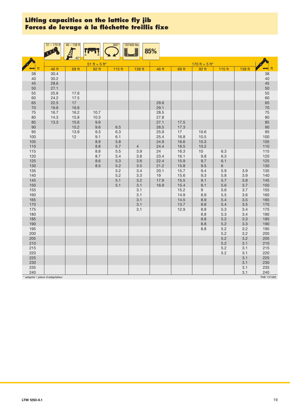|            | $51 - 170$ ft                | $46 - 138$ ft   |                                  | $360^\circ$<br>Ĭ. | 187400 lbs            | 85%          |              |                |                       |            |                |
|------------|------------------------------|-----------------|----------------------------------|-------------------|-----------------------|--------------|--------------|----------------|-----------------------|------------|----------------|
|            |                              | 40 <sup>°</sup> | $51 \text{ ft} + 5 \text{ ft}^*$ |                   |                       |              |              | 170 ft + 5 ft* |                       |            |                |
| ft         | 46 ft                        | 69 ft           | 92 ft                            | 115 ft            | 138 ft                | 46 ft        | 69 ft        | 92 ft          | $115$ ft              | 138 ft     | ft<br>⇔        |
| 38         | 30.4                         |                 |                                  |                   |                       |              |              |                |                       |            | 38             |
| 40<br>45   | 30.2<br>28.6                 |                 |                                  |                   |                       |              |              |                |                       |            | 40<br>45       |
| 50         | 27.1                         |                 |                                  |                   |                       |              |              |                |                       |            |                |
| 55         | 25.6                         | 17.6            |                                  |                   |                       |              |              |                |                       |            | 50<br>55<br>60 |
| 60<br>65   | 24.2<br>22.5                 | 17.5<br>17      |                                  |                   |                       | 29.6         |              |                |                       |            | 65             |
| 70         | 19.6                         | 16.6            |                                  |                   |                       | 29.1         |              |                |                       |            | 70             |
| 75         | 16.7                         | 16.2            | 10.7                             |                   |                       | 28.5         |              |                |                       |            | 75             |
| 80<br>85   | 14.3<br>13.3                 | 15.8<br>15.6    | 10.3<br>9.9                      |                   |                       | 27.8<br>27.1 |              |                |                       |            | 80             |
| 90         |                              | 15.2            | 9.6                              | 6.5               |                       | 26.5         | 17.5<br>17.3 |                |                       |            | 85<br>90       |
| 95<br>100  |                              | 13.9<br>12      | 9.3<br>9.1                       | 6.3<br>6.1        |                       | 25.9<br>25.4 | 17<br>16.8   | 10.6<br>10.5   |                       |            | 95<br>100      |
| 105        |                              |                 | 8.9                              | 5.8               |                       | 24.9         | 16.6         | 10.3           |                       |            | 105            |
| 110<br>115 |                              |                 | 8.8<br>8.8                       | 5.7<br>5.5        | $\overline{4}$<br>3.9 | 24.4<br>24   | 16.5<br>16.3 | 10.2<br>$10$   | 6.3                   |            | 110<br>115     |
| 120        |                              |                 | 8.7                              | 5.4               | 3.8                   | 23.4         | 16.1         | 9.8            | 6.3                   |            | 120            |
| 125        |                              |                 | 8.6                              | 5.3               | 3.6                   | 22.4         | 15.9         | 9.7            | 6.1                   |            | 125            |
| 130<br>135 |                              |                 | 8.5                              | $5.2\,$<br>5.2    | 3.5<br>3.4            | 21.2<br>20.1 | 15.8<br>15.7 | 9.5<br>9.4     | $6\phantom{.}$<br>5.9 | 3.9        | 130<br>135     |
| 140        |                              |                 |                                  | 5.2               | 3.3                   | 19           | 15.6         | 9.3            | 5.8                   | 3.9        | 140            |
| 145        |                              |                 |                                  | 5.1               | 3.2                   | 17.9         | 15.5         | 9.1            | 5.7                   | 3.8        | 145            |
| 150        |                              |                 |                                  | 5.1               | 3.1                   | 16.9         | 15.4         | 9.1            | 5.6                   | 3.7        | 150            |
| 155        |                              |                 |                                  |                   | 3.1                   |              | 15.2         | 9              | 5.6                   | 3.7        | 155            |
| 160<br>165 |                              |                 |                                  |                   | 3.1<br>3.1            |              | 14.9<br>14.5 | 8.9<br>8.9     | 5.5<br>5.4            | 3.6<br>3.5 | 160<br>165     |
| 170        |                              |                 |                                  |                   | 3.1                   |              | 13.7         | 8.8            | 5.4                   | 3.5        | 170            |
| 175        |                              |                 |                                  |                   | 3.1                   |              | 12.9         | 8.8            | 5.3                   | 3.4        | 175            |
| 180        |                              |                 |                                  |                   |                       |              |              | 8.8            | $5.3$                 | 3.4        | 180            |
| 185<br>190 |                              |                 |                                  |                   |                       |              |              | 8.8<br>8.8     | 5.2<br>5.2            | 3.3<br>3.3 | 185<br>190     |
| 195        |                              |                 |                                  |                   |                       |              |              | 8.8            | 5.2                   | 3.2        | 195            |
| 200        |                              |                 |                                  |                   |                       |              |              |                | 5.2                   | 3.2        | 200            |
| 205        |                              |                 |                                  |                   |                       |              |              |                | 5.2                   | 3.2        | 205            |
| 210        |                              |                 |                                  |                   |                       |              |              |                | 5.2                   | 3.1        | 210            |
| 215<br>220 |                              |                 |                                  |                   |                       |              |              |                | 5.2<br>5.2            | 3.1<br>3.1 | 215<br>220     |
| 225        |                              |                 |                                  |                   |                       |              |              |                |                       | 3.1        | 225            |
| 230        |                              |                 |                                  |                   |                       |              |              |                |                       | 3.1        | 230            |
| 235<br>240 |                              |                 |                                  |                   |                       |              |              |                |                       | 3.1<br>3.1 | 235<br>240     |
|            | adapter / pièce d'adaptateur |                 |                                  |                   |                       |              |              |                |                       |            | TAB 131582     |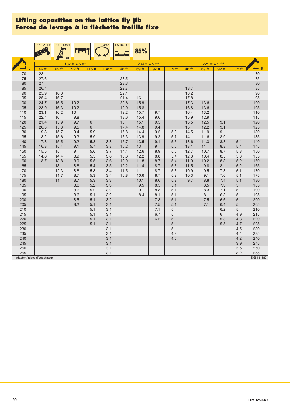|                              | $187 - 221$ ft | $46 - 138$ ft |                         |            | $360^\circ$ | 187400 lbs<br><u>F</u> | 85%                                        |            |            |              |                         |            |             |            |
|------------------------------|----------------|---------------|-------------------------|------------|-------------|------------------------|--------------------------------------------|------------|------------|--------------|-------------------------|------------|-------------|------------|
|                              |                |               | $40^\circ$              |            |             |                        |                                            |            |            |              |                         |            |             |            |
|                              | 46 ft          | 69 ft         | 187 ft + 5 ft*<br>92 ft | 115 ft     | 138 ft      | 46 ft                  | $204 \text{ ft} + 5 \text{ ft}^*$<br>69 ft | 92 ft      | $115$ ft   | 46 ft        | 221 ft + 5 ft*<br>69 ft | 92 ft      | 115 ft      |            |
| 70                           | 28             |               |                         |            |             |                        |                                            |            |            |              |                         |            |             | 70         |
| 75                           | 27.6           |               |                         |            |             | 23.5                   |                                            |            |            |              |                         |            |             | 75         |
| 80                           | 27             |               |                         |            |             | 23.3                   |                                            |            |            |              |                         |            |             | 80         |
| 85                           | 26.4           |               |                         |            |             | 22.7                   |                                            |            |            | 18.7         |                         |            |             | 85         |
| 90                           | 25.9           | 16.8          |                         |            |             | 22.1                   |                                            |            |            | 18.2         |                         |            |             | 90         |
| 95                           | 25.4           | 16.7          |                         |            |             | 21.4                   | 16                                         |            |            | 17.8         |                         |            |             | 95         |
| 100                          | 24.7           | 16.5          | 10.2                    |            |             | 20.6                   | 15.9                                       |            |            | 17.3         | 13.6                    |            |             | 100        |
| 105                          | 23.9           | 16.3          | 10.2                    |            |             | 19.9                   | 15.8                                       |            |            | 16.8         | 13.6                    |            |             | 105        |
| 110                          | 23.1           | 16.2          | 10                      |            |             | 19.2                   | 15.7                                       | 9.7        |            | 16.4         | 13.2                    |            |             | 110        |
| 115<br>120                   | 22.4<br>21.4   | 16<br>15.9    | 9.8<br>9.7              | 6          |             | 18.6<br>18             | 15.4<br>15.1                               | 9.6<br>9.5 |            | 15.9<br>15.5 | 12.9<br>12.5            | 9.1        |             | 115<br>120 |
| 125                          | 20.3           | 15.8          | 9.5                     | 6          |             | 17.4                   | 14.8                                       | 9.4        |            | 15           | 12.2                    | 9.1        |             | 125        |
| 130                          | 19.3           | 15.7          | 9.4                     | 5.9        |             | 16.8                   | 14.4                                       | 9.2        | 5.8        | 14.5         | 11.9                    | 9          |             | 130        |
| 135                          | 18.2           | 15.6          | 9.3                     | 5.9        |             | 16.3                   | 13.9                                       | 9.2        | 5.7        | 14           | 11.6                    | 8.9        |             | 135        |
| 140                          | 17.3           | 15.5          | 9.2                     | 5.8        | 3.8         | 15.7                   | 13.5                                       | 9.1        | 5.6        | 13.6         | 11.3                    | 8.8        | 5.4         | 140        |
| 145                          | 16.3           | 15.4          | 9.1                     | 5.7        | 3.8         | 15.2                   | 13                                         | 9          | 5.6        | 13.1         | 11                      | 8.8        | 5.4         | 145        |
| 150                          | 15.5           | 15            | 9                       | 5.6        | 3.7         | 14.4                   | 12.6                                       | 8.9        | 5.5        | 12.7         | 10.7                    | 8.7        | 5.3         | 150        |
| 155                          | 14.6           | 14.4          | 8.9                     | 5.5        | 3.6         | 13.6                   | 12.2                                       | 8.8        | 5.4        | 12.3         | 10.4                    | 8.5        | 5.3         | 155        |
| 160                          | 13.7           | 13.8          | 8.9                     | 5.5        | 3.6         | 12.9                   | 11.8                                       | 8.7        | 5.4        | 11.9         | 10.2                    | 8.3        | 5.2         | 160        |
| 165                          |                | 13            | 8.8                     | 5.4        | 3.5         | 12.2                   | 11.4                                       | 8.7        | 5.3        | 11.5         | 9.8                     | 8          | 5.2         | 165        |
| 170                          |                | 12.3          | 8.8                     | 5.3        | 3.4         | 11.5                   | 11.1                                       | 8.7        | 5.3        | 10.9         | 9.5                     | 7.8        | 5.1         | 170        |
| 175<br>180                   |                | 11.7<br>11    | 8.7<br>8.7              | 5.3<br>5.3 | 3.4<br>3.3  | 10.8                   | 10.6<br>10.1                               | 8.7<br>8.6 | 5.2<br>5.2 | 10.3<br>9.7  | 9.1<br>8.8              | 7.6<br>7.4 | 5.1<br>5.1  | 175<br>180 |
| 185                          |                |               | 8.6                     | 5.2        | 3.3         |                        | 9.5                                        | 8.5        | 5.1        |              | 8.5                     | 7.3        | $\mathbf 5$ | 185        |
| 190                          |                |               | 8.6                     | 5.2        | 3.2         |                        | 9                                          | 8.3        | 5.1        |              | 8.3                     | 7.1        | $\sqrt{5}$  | 190        |
| 195                          |                |               | 8.6                     | 5.1        | 3.2         |                        | 8.4                                        | 8.1        | 5.1        |              | 8                       | 6.8        | 5           | 195        |
| 200                          |                |               | 8.5                     | 5.1        | 3.2         |                        |                                            | 7.8        | 5.1        |              | 7.5                     | 6.6        | 5           | 200        |
| 205                          |                |               | 8.2                     | 5.1        | 3.1         |                        |                                            | 7.5        | 5.1        |              | 7.1                     | 6.4        | 5           | 205        |
| 210                          |                |               |                         | 5.1        | 3.1         |                        |                                            | 7.1        | 5          |              |                         | 6.2        | $\mathbf 5$ | 210        |
| 215                          |                |               |                         | 5.1        | 3.1         |                        |                                            | 6.7        | 5          |              |                         | 6          | 4.9         | 215        |
| 220                          |                |               |                         | 5.1        | 3.1         |                        |                                            | 6.2        | 5          |              |                         | 5.8        | 4.8         | 220        |
| 225                          |                |               |                         | 5.1        | 3.1         |                        |                                            |            | 5          |              |                         | 5.5        | 4.7         | 225        |
| 230                          |                |               |                         |            | 3.1         |                        |                                            |            | 5          |              |                         |            | 4.5         | 230        |
| 235                          |                |               |                         |            | 3.1         |                        |                                            |            | 4.9        |              |                         |            | 4.4         | 235        |
| 240<br>245                   |                |               |                         |            | 3.1<br>3.1  |                        |                                            |            | 4.6        |              |                         |            | 4.2<br>3.9  | 240<br>245 |
| 250                          |                |               |                         |            | 3.1         |                        |                                            |            |            |              |                         |            | 3.5         | 250        |
| 255                          |                |               |                         |            | 3.1         |                        |                                            |            |            |              |                         |            | 3.2         | 255        |
| adapter / pièce d'adaptateur |                |               |                         |            |             |                        |                                            |            |            |              |                         |            |             | TAB 131582 |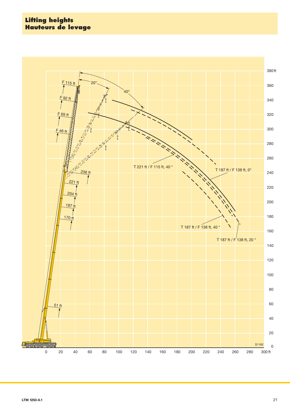#### **Lifting heights Hauteurs de levage**

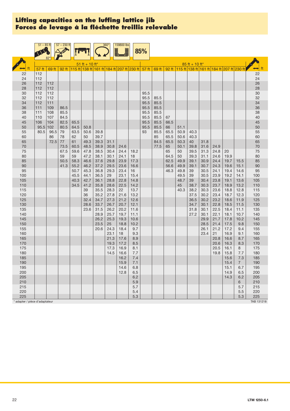|                                | $51 - 85$ ft |            | $57 - 230$ ft |              |                  |              | $360^\circ$  | 159800 lbs                                        |              |              |              |            |              |                  |              |                                                             |              |              |              |
|--------------------------------|--------------|------------|---------------|--------------|------------------|--------------|--------------|---------------------------------------------------|--------------|--------------|--------------|------------|--------------|------------------|--------------|-------------------------------------------------------------|--------------|--------------|--------------|
|                                |              |            |               |              |                  |              |              |                                                   |              | 85%          |              |            |              |                  |              |                                                             |              |              |              |
|                                |              |            |               |              | $51$ ft + 10 ft* |              |              |                                                   |              |              |              |            |              | $85$ ft + 10 ft* |              |                                                             |              |              |              |
|                                | 57 ft        | 69 ft      | 92 ft         |              |                  |              |              | $115$ ft 138 ft 161 ft 184 ft 207 ft 230 ft 57 ft |              |              | 69 ft        |            |              |                  |              | 92 ft   115 ft   138 ft   161 ft   184 ft   207 ft   230 ft |              |              | ⇔¦ ft        |
| 22                             | 112          |            |               |              |                  |              |              |                                                   |              |              |              |            |              |                  |              |                                                             |              |              | 22           |
| 24                             | 112          |            |               |              |                  |              |              |                                                   |              |              |              |            |              |                  |              |                                                             |              |              | 24           |
| 26<br>28                       | 112<br>112   | 112<br>112 |               |              |                  |              |              |                                                   |              |              |              |            |              |                  |              |                                                             |              |              | 26<br>28     |
| 30                             | 112          | 112        |               |              |                  |              |              |                                                   |              | 95.5         |              |            |              |                  |              |                                                             |              |              | $30\,$       |
| 32                             | 112          | 112        |               |              |                  |              |              |                                                   |              | 95.5         | 85.5         |            |              |                  |              |                                                             |              |              | 32           |
| 34                             | 112          | 111        |               |              |                  |              |              |                                                   |              | 95.5         | 85.5         |            |              |                  |              |                                                             |              |              | 34           |
| 36                             | 111          | 109        | 86.5          |              |                  |              |              |                                                   |              | 95.5         | 85.5         |            |              |                  |              |                                                             |              |              | 36           |
| 38<br>40                       | 111<br>110   | 108<br>107 | 85.5<br>84.5  |              |                  |              |              |                                                   |              | 95.5<br>95.5 | 85.5<br>85.5 | 67         |              |                  |              |                                                             |              |              | 38<br>40     |
| 45                             | 106          | 104        | 82.5          | 65.5         |                  |              |              |                                                   |              | 95.5         | 85.5         | 66.5       |              |                  |              |                                                             |              |              | 45           |
| 50                             | 95.5         | 102        | 80.5          | 64.5         | 50.8             |              |              |                                                   |              | 95.5         | 85.5         | 66         | 51.1         |                  |              |                                                             |              |              | 50           |
| 55                             | 80.5         | 96.5       | 79            | 63.5         | 50.6             | 39.8         |              |                                                   |              | 93           | 85.5         | 65.5       | 50.9         | 40.3             |              |                                                             |              |              | 55           |
| 60                             |              | 86         | 78            | 62           | 50               | 39.7         |              |                                                   |              |              | 85           | 65.5       | 50.6         | 40.3             |              |                                                             |              |              | 60           |
| 65<br>70                       |              | 72.5       | 77<br>73.5    | 61<br>60.5   | 49.3<br>48.5     | 39.3<br>38.9 | 31.1<br>30.8 | 24.6                                              |              |              | 84.5<br>77.5 | 65.5<br>65 | 50.3<br>50.1 | 40<br>39.8       | 31.8<br>31.6 | 24.9                                                        |              |              | 65<br>$70\,$ |
| 75                             |              |            | 67.5          | 59.6         | 47.8             | 38.5         | 30.4         | 24.4                                              | 18.2         |              |              | 65         | 50           | 39.5             | 31.3         | 24.8                                                        | 20           |              | 75           |
| 80                             |              |            | 59            | 59           | 47.2             | 38.1         | 30.1         | 24.1                                              | 18           |              |              | 64.5       | 50           | 39.3             | 31.1         | 24.6                                                        | 19.9         |              | 80           |
| 85                             |              |            | 50.5          | 58.3         | 46.6             | 37.6         | 29.8         | 23.9                                              | 17.3         |              |              | 62.5       | 49.9         | 39.1             | 30.9         | 24.4                                                        | 19.7         | 15.5         | 85           |
| 90                             |              |            | 41.3          | 55.2         | 46.2             | 37.2         | 29.5         | 23.6                                              | 16.6         |              |              | 56.6       | 49.9         | 39.1             | 30.7         | 24.3                                                        | 19.6         | 15.1         | 90           |
| 95                             |              |            |               | 50.7         | 45.3<br>44.1     | 36.8         | 29.3<br>29   | 23.4<br>23.1                                      | 16           |              |              | 46.3       | 49.8         | 39               | 30.5<br>30.5 | 24.1<br>23.9                                                | 19.4         | 14.6         | 95           |
| 100<br>105                     |              |            |               | 45.5<br>40.3 | 42.7             | 36.5<br>36.1 | 28.8         | 22.8                                              | 15.4<br>14.8 |              |              |            | 49.5<br>48.7 | 39<br>39         | 30.4         | 23.8                                                        | 19.2<br>19.1 | 14.1<br>13.6 | $100$<br>105 |
| 110                            |              |            |               | 34.5         | 41.2             | 35.8         | 28.6         | 22.5                                              | 14.2         |              |              |            | 45           | 38.7             | 30.3         | 23.7                                                        | 18.9         | 13.2         | 110          |
| 115                            |              |            |               |              | 39               | 35.5         | 28.3         | 22                                                | 13.7         |              |              |            | 40.3         | 38.2             | 30.3         | 23.6                                                        | 18.8         | 12.8         | 115          |
| 120                            |              |            |               |              | 36               | 35.2         | 27.8         | 21.6                                              | 13.2         |              |              |            |              | 37.5             | 30.2         | 23.4                                                        | 18.7         | 12.3         | 120          |
| 125<br>130                     |              |            |               |              | 32.4             | 34.7         | 27.3         | 21.2<br>20.7                                      | 12.6         |              |              |            |              | 36.5<br>34.7     | 30.2<br>30.1 | 23.2                                                        | 18.6         | 11.9         | 125          |
| 135                            |              |            |               |              | 28.6<br>23.6     | 33.7<br>31.5 | 26.7<br>26.2 | 20.2                                              | 12.1<br>11.6 |              |              |            |              | 31.8             | 30.1         | 22.8<br>22.5                                                | 18.5<br>18.4 | 11.5<br>11.1 | 130<br>135   |
| 140                            |              |            |               |              |                  | 28.9         | 25.7         | 19.7                                              | 11.1         |              |              |            |              | 27.2             | 30.1         | 22.1                                                        | 18.1         | 10.7         | 140          |
| 145                            |              |            |               |              |                  | 26.2         | 25.3         | 19.3                                              | 10.6         |              |              |            |              |                  | 29.9         | 21.7                                                        | 17.8         | 10.2         | 145          |
| 150                            |              |            |               |              |                  | 23.5         | 25           | 18.8                                              | 10.2         |              |              |            |              |                  | 28.5         | 21.4                                                        | 17.5         | 9.8          | 150          |
| 155<br>160                     |              |            |               |              |                  | 20.6         | 24.3<br>23.1 | 18.4<br>18                                        | 9.7<br>9.3   |              |              |            |              |                  | 26.1<br>23.4 | 21.2<br>21                                                  | 17.2<br>16.9 | 9.4<br>9.1   | 155<br>160   |
| 165                            |              |            |               |              |                  |              | 21.3         | 17.6                                              | 8.9          |              |              |            |              |                  |              | 20.8                                                        | 16.6         | 8.7          | 165          |
| 170                            |              |            |               |              |                  |              | 19.3         | 17.2                                              | 8.5          |              |              |            |              |                  |              | 20.6                                                        | 16.3         | 8.3          | 170          |
| 175                            |              |            |               |              |                  |              | 17.3         | 16.9                                              | 8.1          |              |              |            |              |                  |              | 20.5                                                        | 16.1         | 8            | 175          |
| 180                            |              |            |               |              |                  |              | 14.5         | 16.6                                              | 7.7          |              |              |            |              |                  |              | 19.8                                                        | 15.8         | 7.7          | 180          |
| 185                            |              |            |               |              |                  |              |              | 16.2                                              | 7.4          |              |              |            |              |                  |              |                                                             | 15.6         | 7.3          | 185          |
| 190<br>195                     |              |            |               |              |                  |              |              | 15.9<br>14.6                                      | 7.1<br>6.8   |              |              |            |              |                  |              |                                                             | 15.4<br>15.1 | 7<br>6.7     | 190<br>195   |
| 200                            |              |            |               |              |                  |              |              | 12.8                                              | 6.5          |              |              |            |              |                  |              |                                                             | 14.9         | 6.5          | 200          |
| 205                            |              |            |               |              |                  |              |              |                                                   | 6.2          |              |              |            |              |                  |              |                                                             | 14.3         | 6.2          | 205          |
| 210                            |              |            |               |              |                  |              |              |                                                   | 5.9          |              |              |            |              |                  |              |                                                             |              | 6            | 210          |
| 215                            |              |            |               |              |                  |              |              |                                                   | 5.7          |              |              |            |              |                  |              |                                                             |              | 5.7          | 215          |
| 220<br>225                     |              |            |               |              |                  |              |              |                                                   | 5.4<br>5.3   |              |              |            |              |                  |              |                                                             |              | 5.5<br>5.3   | 220<br>225   |
| * adapter / pièce d'adaptateur |              |            |               |              |                  |              |              |                                                   |              |              |              |            |              |                  |              |                                                             |              |              | TAB 131218   |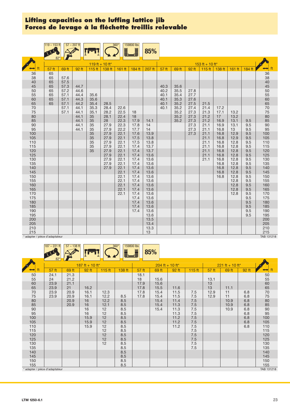|                                     | $119 - 153$ ft |              | $57 - 207$ ft |                 |              | $360^\circ$<br>Ē | 159800 lbs<br>Ē | 85%          |              |              |              |                   |              |              |            |                      |
|-------------------------------------|----------------|--------------|---------------|-----------------|--------------|------------------|-----------------|--------------|--------------|--------------|--------------|-------------------|--------------|--------------|------------|----------------------|
|                                     |                |              |               | 119 ft + 10 ft* |              |                  |                 |              |              |              |              | 153 ft + 10 ft*   |              |              |            |                      |
|                                     | 57 ft          | 69 ft        | 92 ft         | 115 ft          | 138 ft       | 161 ft           | $184$ ft        | 207 ft       | 57 ft        | 69 ft        | 92 ft        | 115 <sub>ft</sub> | 138 ft       | 161 ft       | $184$ ft   | ft                   |
| 36<br>38                            | 65<br>65       | 57.6         |               |                 |              |                  |                 |              |              |              |              |                   |              |              |            | 36                   |
| 40                                  | 65             | 57.5         |               |                 |              |                  |                 |              |              |              |              |                   |              |              |            | 38<br>40<br>45       |
| 45<br>50                            | 65<br>65       | 57.3<br>57.2 | 44.7<br>44.6  |                 |              |                  |                 |              | 40.3<br>40.2 | 35.6<br>35.5 | 27.8         |                   |              |              |            |                      |
| 55                                  | 65             | 57.1         | 44.4          | 35.6            |              |                  |                 |              | 40.1         | 35.4         | 27.7         |                   |              |              |            | 50<br>55<br>60<br>65 |
| 60                                  | 65             | 57.1         | 44.3          | 35.6            |              |                  |                 |              | 40.1         | 35.3         | 27.6         |                   |              |              |            |                      |
| 65                                  | 65             | 57.1         | 44.2          | 35.4            | 28.5         |                  |                 |              | 40.1         | 35.2         | 27.5         | 21.5              |              |              |            |                      |
| 70                                  |                | 57.1         | 44.1          | 35.3            | 28.4         | 22.6             |                 |              | 40.1         | 35.2         | 27.4         | 21.4              | 17.2         |              |            | 70<br>75<br>80<br>85 |
| 75                                  |                | 57.1         | 44.1<br>44.1  | 35.1<br>35      | 28.2<br>28.1 | 22.5<br>22.4     | 18<br>18        |              |              | 35.2<br>35.2 | 27.3<br>27.3 | 21.3<br>21.2      | 17.1<br>17   | 13.2<br>13.2 |            |                      |
| 80<br>85                            |                |              | 44.1          | 35              | 28           | 22.3             | 17.9            | 14.1         |              | 35.2         | 27.3         | 21.2              | 16.9         | 13.1         | 9.5        |                      |
|                                     |                |              | 44.1          | 35              | 27.9         | 22.3             | 17.8            | 14           |              |              | 27.3         | 21.1              | 16.9         | 13.1         | 9.5        | $\frac{90}{95}$      |
| 90<br>95                            |                |              | 44.1          | 35              | 27.9         | 22.2             | 17.7            | 14           |              |              | 27.3         | 21.1              | 16.8         | 13           | 9.5        |                      |
| 100                                 |                |              |               | 35              | 27.9         | 22.1             | 17.6            | 13.9         |              |              | 27.3         | 21.1              | 16.8         | 12.9         | 9.5        | 100                  |
| 105                                 |                |              |               | 35              | 27.9<br>27.9 | 22.1<br>22.1     | 17.5<br>17.5    | 13.8<br>13.8 |              |              |              | 21.1<br>21.1      | 16.8<br>16.8 | 12.9<br>12.8 | 9.5<br>9.5 | 105                  |
| 110<br>115                          |                |              |               | 35<br>35        | 27.9         | 22.1             | 17.4            | 13.7         |              |              |              | 21.1              | 16.8         | 12.8         | 9.5        | 110<br>115           |
| 120                                 |                |              |               | 35              | 27.9         | 22.1             | 17.4            | 13.7         |              |              |              | 21.1              | 16.8         | 12.8         | 9.5        | 120                  |
| 125                                 |                |              |               |                 | 27.9         | 22.1             | 17.4            | 13.6         |              |              |              | 21.1              | 16.8         | 12.8         | 9.5        | 125                  |
| 130                                 |                |              |               |                 | 27.9         | 22.1             | 17.4            | 13.6         |              |              |              | 21.1              | 16.8         | 12.8         | 9.5        | 130                  |
| 135                                 |                |              |               |                 | 27.9         | 22.1             | 17.4            | 13.6         |              |              |              |                   | 16.8         | 12.8         | 9.5        | 135                  |
| 140<br>145                          |                |              |               |                 | 27.9         | 22.1<br>22.1     | 17.4<br>17.4    | 13.6<br>13.6 |              |              |              |                   | 16.8<br>16.8 | 12.8<br>12.8 | 9.5<br>9.5 | 140<br>145           |
| 150                                 |                |              |               |                 |              | 22.1             | 17.4            | 13.6         |              |              |              |                   | 16.8         | 12.8         | 9.5        | 150                  |
| 155                                 |                |              |               |                 |              | 22.1             | 17.4            | 13.6         |              |              |              |                   |              | 12.8         | 9.5        | 155                  |
| 160                                 |                |              |               |                 |              | 22.1             | 17.4            | 13.6         |              |              |              |                   |              | 12.8         | 9.5        | 160                  |
| 165                                 |                |              |               |                 |              | 22.1             | 17.4            | 13.6         |              |              |              |                   |              | 12.8         | 9.5        | 165                  |
| 170<br>175                          |                |              |               |                 |              | 22.1             | 17.4<br>17.4    | 13.6<br>13.6 |              |              |              |                   |              | 12.8         | 9.5<br>9.5 | 170<br>175           |
| 180                                 |                |              |               |                 |              |                  | 17.4            | 13.6         |              |              |              |                   |              |              | 9.5        | 180                  |
| 185                                 |                |              |               |                 |              |                  | 17.4            | 13.6         |              |              |              |                   |              |              | 9.5        | 185                  |
| 190                                 |                |              |               |                 |              |                  | 17.4            | 13.6         |              |              |              |                   |              |              | 9.5        | 190                  |
| 195                                 |                |              |               |                 |              |                  |                 | 13.6         |              |              |              |                   |              |              | 9.5        | 195                  |
| 200<br>205                          |                |              |               |                 |              |                  |                 | 13.5<br>13.4 |              |              |              |                   |              |              |            | 200<br>205           |
| 210                                 |                |              |               |                 |              |                  |                 | 13.3         |              |              |              |                   |              |              |            | 210                  |
| 215<br>adapter / pièce d'adaptateur |                |              |               |                 |              |                  |                 | 13           |              |              |              |                   |              |              |            | 215<br>TAB 131218    |

|                              | $187 - 221$ ft | $57 - 138$ ft |                 |          | 159800 lbs<br>$360^\circ$<br>ĹJ<br>Ī |              | 85%          |                 |                  |          |                   |       |                                         |
|------------------------------|----------------|---------------|-----------------|----------|--------------------------------------|--------------|--------------|-----------------|------------------|----------|-------------------|-------|-----------------------------------------|
|                              | $82^\circ$     |               |                 |          |                                      |              |              |                 |                  |          |                   |       |                                         |
|                              |                |               | 187 ft + 10 ft* |          |                                      |              |              | 204 ft + 10 ft* |                  |          | $221$ ft + 10 ft* |       |                                         |
|                              | 57 ft          | 69 ft         | 92 ft           | 115 ft   | 138 ft                               | 57 ft        | 69 ft        | 92 ft           | $115$ ft         | 57 ft    | 69 ft             | 92 ft | ft<br>⇔                                 |
| 50                           | 24.1           | 21.3          |                 |          |                                      | 18.1         |              |                 |                  |          |                   |       | $\begin{array}{c} 50 \\ 55 \end{array}$ |
| 55                           | 24             | 21.2          |                 |          |                                      | 18           | 15.6         |                 |                  | 13.1     |                   |       |                                         |
| 60<br>65                     | 23.9<br>23.9   | 21.1<br>21    | 16.2            |          |                                      | 17.9<br>17.8 | 15.6<br>15.5 | 11.6            |                  | 13<br>13 | 11.1              |       | 60<br>65                                |
| 70                           | 23.9           | 20.9          | 16.1            | 12.3     |                                      | 17.8         | 15.4         | 11.5            | 7.5              | 12.9     | 11                | 6.8   |                                         |
| 75                           | 23.9           | 20.9          | 16.1            | 12.2     | 8.5                                  | 17.8         | 15.4         | 11.5            | 7.5              | 12.9     | 11                | 6.8   | $\frac{70}{75}$                         |
| 80                           |                | 20.9          | 16              | 12.2     | 8.5                                  |              | 15.4         | 11.4            | 7.5              |          | 10.9              | 6.8   |                                         |
| 85                           |                | 20.9          | 16              | 12.1     | 8.5                                  |              | 15.4         | 11.3            | 7.5              |          | 10.9              | 6.8   | 80<br>85                                |
| 90                           |                |               | 16              | 12       | 8.5                                  |              | 15.4         | 11.3            | 7.5              |          | 10.9              | 6.8   | 90<br>95                                |
| 95                           |                |               | 16              | 12       | 8.5                                  |              |              | 11.3            | 7.5              |          |                   | 6.8   |                                         |
| 100                          |                |               | 15.9            | 12       | 8.5                                  |              |              | 11.2            | 7.5              |          |                   | 6.8   | 100                                     |
| 105                          |                |               | 15.9            | 12       | 8.5                                  |              |              | 11.2            | 7.5              |          |                   | 6.8   | 105                                     |
| 110                          |                |               | 15.9            | 12       | 8.5                                  |              |              | 11.2            | 7.5              |          |                   | 6.8   | 110                                     |
| 115                          |                |               |                 | 12       | 8.5                                  |              |              |                 | 7.5              |          |                   |       | 115                                     |
| 120                          |                |               |                 | 12       | 8.5                                  |              |              |                 | 7.5              |          |                   |       | 120                                     |
| 125                          |                |               |                 | 12<br>12 | 8.5                                  |              |              |                 | 7.5              |          |                   |       | 125                                     |
| 130<br>135                   |                |               |                 |          | 8.5<br>8.5                           |              |              |                 | $7.5$<br>$7.5\,$ |          |                   |       | 130<br>135                              |
| 140                          |                |               |                 |          | 8.5                                  |              |              |                 |                  |          |                   |       | 140                                     |
| 145                          |                |               |                 |          | 8.5                                  |              |              |                 |                  |          |                   |       | 145                                     |
| 150                          |                |               |                 |          | 8.5                                  |              |              |                 |                  |          |                   |       | 150                                     |
| 155                          |                |               |                 |          | 8.5                                  |              |              |                 |                  |          |                   |       | 155                                     |
| adapter / pièce d'adaptateur |                |               |                 |          |                                      |              |              |                 |                  |          |                   |       | TAB 131218                              |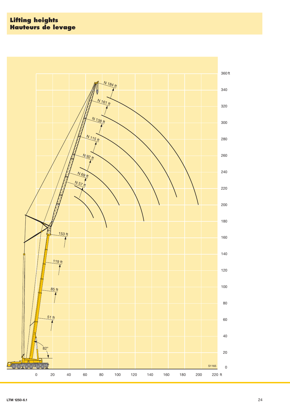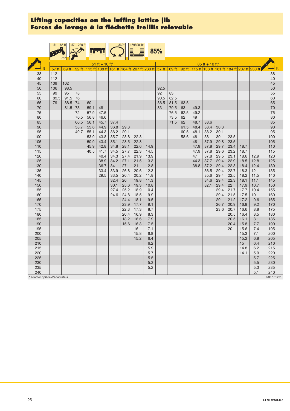|                              | $51 - 85$ ft |       | $57 - 230$ ft |              |                |              | $360^\circ$ | 159800 lbs                                      |              | 85%  |              |            |            |                  |              |              |              |                                                                     |               |
|------------------------------|--------------|-------|---------------|--------------|----------------|--------------|-------------|-------------------------------------------------|--------------|------|--------------|------------|------------|------------------|--------------|--------------|--------------|---------------------------------------------------------------------|---------------|
|                              |              |       |               |              | 51 ft + 10 ft* |              |             |                                                 |              |      |              |            |            | $85$ ft + 10 ft* |              |              |              |                                                                     |               |
| ft                           | 57 ft        | 69 ft | 92 ft         |              |                |              |             | 115 ft 138 ft 161 ft 184 ft 207 ft 230 ft 57 ft |              |      |              |            |            |                  |              |              |              | 69 ft   92 ft   115 ft   138 ft   161 ft   184 ft   207 ft   230 ft | $\rightarrow$ |
| 38                           | 112          |       |               |              |                |              |             |                                                 |              |      |              |            |            |                  |              |              |              |                                                                     | 38            |
| 40                           | 112          |       |               |              |                |              |             |                                                 |              |      |              |            |            |                  |              |              |              |                                                                     | 40            |
| 45                           | 109          | 102   |               |              |                |              |             |                                                 |              |      |              |            |            |                  |              |              |              |                                                                     | 45            |
| 50                           | 106          | 98.5  |               |              |                |              |             |                                                 |              | 92.5 |              |            |            |                  |              |              |              |                                                                     | 50            |
| 55                           | 99           | 95    | 78            |              |                |              |             |                                                 |              | 92   | 83           |            |            |                  |              |              |              |                                                                     | 55            |
| 60                           | 89.5         | 91.5  | 76            |              |                |              |             |                                                 |              | 90.5 | 82.5         |            |            |                  |              |              |              |                                                                     | 60            |
| 65                           | 79           | 88.5  | 74            | 60           |                |              |             |                                                 |              | 86.5 | 81.5         | 63.5       |            |                  |              |              |              |                                                                     | 65            |
| 70                           |              | 81.5  | 73            | 59.1         | 48             |              |             |                                                 |              | 83   | 79.5         | 63         | 49.3       |                  |              |              |              |                                                                     | 70            |
| 75<br>80                     |              |       | 72<br>70.5    | 57.9<br>56.8 | 47.5<br>46.6   |              |             |                                                 |              |      | 76.5<br>73.5 | 62.5<br>62 | 49.2<br>49 |                  |              |              |              |                                                                     | 75<br>80      |
| 85                           |              |       | 66.5          | 56.1         | 45.7           | 37.4         |             |                                                 |              |      | 71.5         | 62         | 48.7       | 38.6             |              |              |              |                                                                     | 85            |
| 90                           |              |       | 58.7          | 55.6         | 44.9           | 36.8         | 29.3        |                                                 |              |      |              | 61.5       | 48.4       | 38.4             | 30.3         |              |              |                                                                     | 90            |
| 95                           |              |       | 49.7          | 55.1         | 44.3           | 36.2         | 29.1        |                                                 |              |      |              | 60.5       | 48.1       | 38.2             | 30.1         |              |              |                                                                     | 95            |
| 100                          |              |       |               | 53.9         | 43.8           | 35.7         | 28.8        | 22.8                                            |              |      |              | 58.6       | 48         | 38               | 30           | 23.5         |              |                                                                     | 100           |
| 105                          |              |       |               | 50.9         | 43.4           | 35.1         | 28.5        | 22.8                                            |              |      |              |            | 48         | 37.9             | 29.8         | 23.5         |              |                                                                     | 105           |
| 110                          |              |       |               | 45.9         | 42.8           | 34.8         | 28.1        | 22.6                                            | 14.9         |      |              |            | 47.9       | 37.8             | 29.7         | 23.4         | 18.7         |                                                                     | 110           |
| 115                          |              |       |               | 40.5         | 41.7           | 34.5         | 27.7        | 22.3                                            | 14.5         |      |              |            | 47.9       | 37.8             | 29.6         | 23.2         | 18.7         |                                                                     | 115           |
| 120                          |              |       |               |              | 40.4           | 34.3         | 27.4        | 21.9                                            | 13.9         |      |              |            | 47         | 37.8             | 29.5         | 23.1         | 18.6         | 12.9                                                                | 120           |
| 125                          |              |       |               |              | 38.9           | 34.2         | 27.1        | 21.5                                            | 13.3         |      |              |            | 44.3       | 37.7             | 29.4         | 22.9         | 18.5         | 12.8                                                                | 125           |
| 130                          |              |       |               |              | 36.7           | 34           | 27          | 21                                              | 12.8         |      |              |            | 38.8       | 37.2             | 29.4         | 22.8         | 18.4         | 12.4                                                                | 130           |
| 135                          |              |       |               |              | 33.4           | 33.9         | 26.8        | 20.6                                            | 12.3         |      |              |            |            | 36.5             | 29.4         | 22.7         | 18.3         | 12                                                                  | 135           |
| 140<br>145                   |              |       |               |              | 29.5           | 33.5<br>32.4 | 26.4<br>26  | 20.2<br>19.8                                    | 11.8<br>11.3 |      |              |            |            | 35.6<br>34.6     | 29.4<br>29.4 | 22.5<br>22.3 | 18.2<br>18.1 | 11.5<br>11.1                                                        | 140<br>145    |
| 150                          |              |       |               |              |                | 30.1         | 25.6        | 19.3                                            | 10.8         |      |              |            |            | 32.1             | 29.4         | 22           | 17.9         | 10.7                                                                | 150           |
| 155                          |              |       |               |              |                | 27.4         | 25.2        | 18.9                                            | 10.4         |      |              |            |            |                  | 29.4         | 21.7         | 17.7         | 10.4                                                                | 155           |
| 160                          |              |       |               |              |                | 24.6         | 24.8        | 18.5                                            | 9.9          |      |              |            |            |                  | 29.4         | 21.5         | 17.5         | 10 <sup>1</sup>                                                     | 160           |
| 165                          |              |       |               |              |                |              | 24.4        | 18.1                                            | 9.5          |      |              |            |            |                  | 29           | 21.2         | 17.2         | 9.6                                                                 | 165           |
| 170                          |              |       |               |              |                |              | 23.9        | 17.7                                            | 9.1          |      |              |            |            |                  | 26.7         | 20.9         | 16.9         | 9.2                                                                 | 170           |
| 175                          |              |       |               |              |                |              | 22.3        | 17.3                                            | 8.7          |      |              |            |            |                  | 23.6         | 20.7         | 16.6         | 8.8                                                                 | 175           |
| 180                          |              |       |               |              |                |              | 20.4        | 16.9                                            | 8.3          |      |              |            |            |                  |              | 20.5         | 16.4         | 8.5                                                                 | 180           |
| 185                          |              |       |               |              |                |              | 18.2        | 16.6                                            | 7.9          |      |              |            |            |                  |              | 20.5         | 16.1         | 8.1                                                                 | 185           |
| 190                          |              |       |               |              |                |              | 15.6        | 16.3                                            | 7.5          |      |              |            |            |                  |              | 20.4         | 15.8         | 7.7                                                                 | 190           |
| 195                          |              |       |               |              |                |              |             | 16                                              | 7.1          |      |              |            |            |                  |              | 20           | 15.6         | 7.4                                                                 | 195           |
| 200<br>205                   |              |       |               |              |                |              |             | 15.8<br>15.2                                    | 6.8          |      |              |            |            |                  |              |              | 15.3         | 7.1<br>6.8                                                          | 200           |
| 210                          |              |       |               |              |                |              |             |                                                 | 6.4<br>6.2   |      |              |            |            |                  |              |              | 15.2<br>15   | 6.4                                                                 | 205<br>210    |
| 215                          |              |       |               |              |                |              |             |                                                 | 5.9          |      |              |            |            |                  |              |              | 14.8         | 6.2                                                                 | 215           |
| 220                          |              |       |               |              |                |              |             |                                                 | 5.7          |      |              |            |            |                  |              |              | 14.1         | 5.9                                                                 | 220           |
| 225                          |              |       |               |              |                |              |             |                                                 | 5.5          |      |              |            |            |                  |              |              |              | 5.7                                                                 | 225           |
| 230                          |              |       |               |              |                |              |             |                                                 | 5.3          |      |              |            |            |                  |              |              |              | 5.5                                                                 | 230           |
| 235                          |              |       |               |              |                |              |             |                                                 | 5.2          |      |              |            |            |                  |              |              |              | 5.3                                                                 | 235           |
| 240                          |              |       |               |              |                |              |             |                                                 |              |      |              |            |            |                  |              |              |              | 5.1                                                                 | 240           |
| adapter / pièce d'adaptateur |              |       |               |              |                |              |             |                                                 |              |      |              |            |            |                  |              |              |              |                                                                     | TAB 131221    |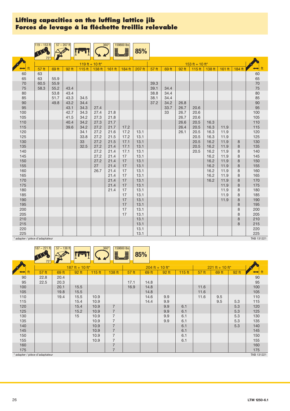|                              | $119 - 153$ ft |       | $57 - 207$ ft |                 |              | $360^\circ$  | 159800 lbs<br>J | 85%          |       |       |       |                 |              |              |        |                      |
|------------------------------|----------------|-------|---------------|-----------------|--------------|--------------|-----------------|--------------|-------|-------|-------|-----------------|--------------|--------------|--------|----------------------|
|                              |                |       |               | 119 ft + 10 ft* |              |              |                 |              |       |       |       | 153 ft + 10 ft* |              |              |        |                      |
|                              | 57 ft          | 69 ft | 92 ft         | 115 ft          | 138 ft       | 161 ft       | 184 ft          | 207 ft       | 57 ft | 69 ft | 92 ft | 115 ft          | 138 ft       | 161 ft       | 184 ft | $\leftrightarrow$ ft |
| 60                           | 63             |       |               |                 |              |              |                 |              |       |       |       |                 |              |              |        |                      |
| 65                           | 63             | 55.9  |               |                 |              |              |                 |              |       |       |       |                 |              |              |        | 60<br>65             |
| $70\,$                       | 60.5           | 55.9  |               |                 |              |              |                 |              | 39.3  |       |       |                 |              |              |        | $70\,$               |
| 75                           | 58.3           | 55.2  | 43.4          |                 |              |              |                 |              | 39.1  | 34.4  |       |                 |              |              |        | 75                   |
| 80                           |                | 53.8  | 43.4          |                 |              |              |                 |              | 38.8  | 34.4  |       |                 |              |              |        | 80                   |
| 85                           |                | 51.7  | 43.3          | 34.5            |              |              |                 |              | 38.1  | 34.4  |       |                 |              |              |        | 85                   |
| 90                           |                | 49.8  | 43.2          | 34.4            |              |              |                 |              | 37.2  | 34.2  | 26.8  |                 |              |              |        | 90                   |
| 95                           |                |       | 43.1          | 34.3            | 27.4         |              |                 |              |       | 33.7  | 26.7  | 20.6            |              |              |        | 95                   |
| 100                          |                |       | 42.7          | 34.3            | 27.4         | 21.8         |                 |              |       | 33    | 26.7  | 20.6            |              |              |        | 100                  |
| 105                          |                |       | 41.5          | 34.2            | 27.3         | 21.8         |                 |              |       |       | 26.7  | 20.6            |              |              |        | 105                  |
| 110                          |                |       | 40.4          | 34.2            | 27.3         | 21.7         |                 |              |       |       | 26.6  | 20.5            | 16.3         |              |        | 110                  |
| 115                          |                |       | 39.6          | 34.2            | 27.2         | 21.7         | 17.2            |              |       |       | 26.4  | 20.5            | 16.3         | 11.9         |        | 115                  |
| 120<br>125                   |                |       |               | 34.1<br>33.8    | 27.2<br>27.2 | 21.6<br>21.5 | 17.2<br>17.2    | 13.1<br>13.1 |       |       | 26.1  | 20.5<br>20.5    | 16.3<br>16.3 | 11.9<br>11.9 |        | 120<br>125           |
| 130                          |                |       |               | 33              | 27.2         | 21.5         | 17.1            | 13.1         |       |       |       | 20.5            | 16.2         | 11.9         | 8      | 130                  |
| 135                          |                |       |               | 32.5            | 27.2         | 21.4         | 17.1            | 13.1         |       |       |       | 20.5            | 16.2         | 11.9         | 8      | 135                  |
| 140                          |                |       |               |                 | 27.2         | 21.4         | 17.1            | 13.1         |       |       |       | 20.5            | 16.2         | 11.9         | 8      | 140                  |
| 145                          |                |       |               |                 | 27.2         | 21.4         | 17              | 13.1         |       |       |       |                 | 16.2         | 11.9         | 8      | 145                  |
| 150                          |                |       |               |                 | 27.2         | 21.4         | 17              | 13.1         |       |       |       |                 | 16.2         | 11.9         | 8      | 150                  |
| 155                          |                |       |               |                 | 27           | 21.4         | 17              | 13.1         |       |       |       |                 | 16.2         | 11.9         | 8      | 155                  |
| 160                          |                |       |               |                 | 26.7         | 21.4         | 17              | 13.1         |       |       |       |                 | 16.2         | 11.9         | 8      | 160                  |
| 165                          |                |       |               |                 |              | 21.4         | 17              | 13.1         |       |       |       |                 | 16.2         | 11.9         | 8      | 165                  |
| 170                          |                |       |               |                 |              | 21.4         | 17              | 13.1         |       |       |       |                 | 16.2         | 11.9         | 8      | 170                  |
| 175                          |                |       |               |                 |              | 21.4         | 17              | 13.1         |       |       |       |                 |              | 11.9         | 8      | 175                  |
| 180                          |                |       |               |                 |              | 21.4         | 17              | 13.1         |       |       |       |                 |              | 11.9         | 8      | 180                  |
| 185                          |                |       |               |                 |              |              | 17              | 13.1         |       |       |       |                 |              | 11.9         | 8      | 185                  |
| 190                          |                |       |               |                 |              |              | 17              | 13.1         |       |       |       |                 |              | 11.9         | 8      | 190                  |
| 195                          |                |       |               |                 |              |              | 17              | 13.1         |       |       |       |                 |              |              | 8      | 195                  |
| 200                          |                |       |               |                 |              |              | 17              | 13.1         |       |       |       |                 |              |              | 8      | 200                  |
| 205                          |                |       |               |                 |              |              | 17              | 13.1         |       |       |       |                 |              |              | 8      | 205                  |
| 210                          |                |       |               |                 |              |              |                 | 13.1         |       |       |       |                 |              |              | 8      | 210                  |
| 215<br>220                   |                |       |               |                 |              |              |                 | 13.1<br>13.1 |       |       |       |                 |              |              | 8      | 215<br>220           |
| 225                          |                |       |               |                 |              |              |                 | 13.1         |       |       |       |                 |              |              |        | 225                  |
| adapter / pièce d'adaptateur |                |       |               |                 |              |              |                 |              |       |       |       |                 |              |              |        | TAB 131221           |

|                                | $187 - 221$ ft<br>75' | $57 - 138$ ft |                 |        | $360^\circ$<br>159800 lbs<br>Ĭ<br>— — | J     | 85%   |                   |          |       |                   |       |            |
|--------------------------------|-----------------------|---------------|-----------------|--------|---------------------------------------|-------|-------|-------------------|----------|-------|-------------------|-------|------------|
|                                |                       |               | 187 ft + 10 ft* |        |                                       |       |       | $204$ ft + 10 ft* |          |       | $221 ft + 10 ft*$ |       |            |
| ft                             | 57 ft                 | 69 ft         | 92 ft           | 115 ft | 138 ft                                | 57 ft | 69 ft | 92 ft             | $115$ ft | 57 ft | 69 ft             | 92 ft |            |
| 90                             | 22.8                  | 20.4          |                 |        |                                       |       |       |                   |          |       |                   |       | 90         |
| 95                             | 22.5                  | 20.3          |                 |        |                                       | 17.1  | 14.8  |                   |          |       |                   |       | 95         |
| 100                            |                       | 20.1          | 15.5            |        |                                       | 16.9  | 14.8  |                   |          | 11.6  |                   |       | 100        |
| 105                            |                       | 19.8          | 15.5            |        |                                       |       | 14.8  |                   |          | 11.6  |                   |       | 105        |
| 110                            |                       | 19.4          | 15.5            | 10.9   |                                       |       | 14.6  | 9.9               |          | 11.6  | 9.5               |       | 110        |
| 115                            |                       |               | 15.4            | 10.9   |                                       |       | 14.4  | 9.9               |          |       | 9.5               | 5.3   | 115        |
| 120                            |                       |               | 15.4            | 10.9   | $\overline{7}$                        |       |       | 9.9               | 6.1      |       |                   | 5.3   | 120        |
| 125                            |                       |               | 15.2            | 10.9   | $\overline{7}$                        |       |       | 9.9               | 6.1      |       |                   | 5.3   | 125        |
| 130                            |                       |               | 15              | 10.9   | $\overline{7}$                        |       |       | 9.9               | 6.1      |       |                   | 5.3   | 130        |
| 135                            |                       |               |                 | 10.9   | $\overline{7}$                        |       |       | 9.9               | 6.1      |       |                   | 5.3   | 135        |
| 140                            |                       |               |                 | 10.9   | $\overline{7}$                        |       |       |                   | 6.1      |       |                   | 5.3   | 140        |
| 145                            |                       |               |                 | 10.9   | $\overline{7}$                        |       |       |                   | 6.1      |       |                   |       | 145        |
| 150                            |                       |               |                 | 10.9   | $\overline{7}$                        |       |       |                   | 6.1      |       |                   |       | 150        |
| 155                            |                       |               |                 | 10.9   | $\overline{7}$                        |       |       |                   | 6.1      |       |                   |       | 155        |
| 160                            |                       |               |                 |        | $\overline{7}$                        |       |       |                   |          |       |                   |       | 160        |
| 175                            |                       |               |                 |        | $\overline{7}$                        |       |       |                   |          |       |                   |       | 175        |
| * adapter / pièce d'adaptateur |                       |               |                 |        |                                       |       |       |                   |          |       |                   |       | TAB 131221 |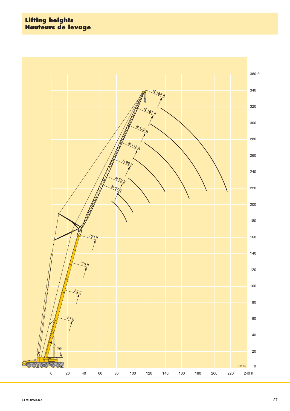#### **Lifting heights Hauteurs de levage**

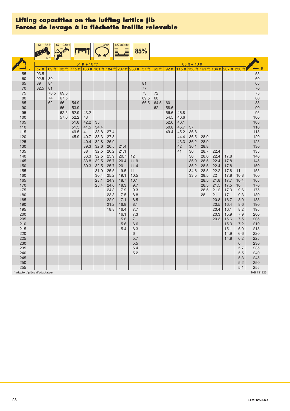|                              | $51 - 85$ ft |            | $57 - 230$ ft |              |                |              | $360^\circ$  | 187400 lbs<br>LJ |                    | 85%                                                                         |      |      |              |                  |              |              |              |                                                 |                      |
|------------------------------|--------------|------------|---------------|--------------|----------------|--------------|--------------|------------------|--------------------|-----------------------------------------------------------------------------|------|------|--------------|------------------|--------------|--------------|--------------|-------------------------------------------------|----------------------|
|                              |              |            |               |              |                |              |              |                  |                    |                                                                             |      |      |              |                  |              |              |              |                                                 |                      |
|                              |              |            |               |              | 51 ft + 10 ft* |              |              |                  |                    |                                                                             |      |      |              | $85$ ft + 10 ft* |              |              |              |                                                 |                      |
|                              | 57 ft        | 69 ft      |               |              |                |              |              |                  |                    | 92 ft   115 ft   138 ft   161 ft   184 ft   207 ft   230 ft   57 ft   69 ft |      |      |              |                  |              |              |              | 92 ft 115 ft 138 ft 161 ft 184 ft 207 ft 230 ft | $\leftrightarrow$ ff |
| 55                           | 93.5         |            |               |              |                |              |              |                  |                    |                                                                             |      |      |              |                  |              |              |              |                                                 | 55                   |
| 60                           | 92.5         | 89         |               |              |                |              |              |                  |                    |                                                                             |      |      |              |                  |              |              |              |                                                 | 60                   |
| 65                           | 89           | 84         |               |              |                |              |              |                  |                    | 81                                                                          |      |      |              |                  |              |              |              |                                                 | 65                   |
| 70<br>75                     | 82.5         | 81<br>78.5 |               |              |                |              |              |                  |                    | $77$<br>73                                                                  | 72   |      |              |                  |              |              |              |                                                 | 70<br>75             |
| 80                           |              | 74         | 69.5<br>67.5  |              |                |              |              |                  |                    | 69.5                                                                        | 68   |      |              |                  |              |              |              |                                                 | 80                   |
| 85                           |              | 62         | 66            | 54.9         |                |              |              |                  |                    | 66.5                                                                        | 64.5 | 60   |              |                  |              |              |              |                                                 | 85                   |
| $90\,$                       |              |            | 65            | 53.9         |                |              |              |                  |                    |                                                                             | 62   | 58.6 |              |                  |              |              |              |                                                 | 90                   |
| 95                           |              |            | 62.5          | 52.9         | 43.2           |              |              |                  |                    |                                                                             |      | 56.6 | 46.8         |                  |              |              |              |                                                 | 95                   |
| 100                          |              |            | 57.6          | 52.2         | 43             |              |              |                  |                    |                                                                             |      | 54.5 | 46.6         |                  |              |              |              |                                                 | 100                  |
| 105                          |              |            |               | 51.8         | 42.2           | 35           |              |                  |                    |                                                                             |      | 52.6 | 46.1         |                  |              |              |              |                                                 | 105                  |
| 110                          |              |            |               | 51.5         | 41.5           | 34.4         |              |                  |                    |                                                                             |      | 50.8 | 45.7         | 37               |              |              |              |                                                 | 110                  |
| 115<br>120                   |              |            |               | 49.5<br>45.9 | 41<br>40.7     | 33.8<br>33.3 | 27.4<br>27.3 |                  |                    |                                                                             |      | 49.4 | 45.2<br>44.4 | 36.8<br>36.5     | 28.9         |              |              |                                                 | 115<br>120           |
| 125                          |              |            |               |              | 40.4           | 32.8         | 26.9         |                  |                    |                                                                             |      |      | 43.3         | 36.2             | 28.9         |              |              |                                                 | 125                  |
| 130                          |              |            |               |              | 39.3           | 32.6         | 26.5         | 21.4             |                    |                                                                             |      |      | 42           | 36.1             | 28.8         |              |              |                                                 | 130                  |
| 135                          |              |            |               |              | 38             | 32.5         | 26.2         | 21.1             |                    |                                                                             |      |      | 41           | 36               | 28.7         | 22.4         |              |                                                 | 135                  |
| 140                          |              |            |               |              | 36.3           | 32.5         | 25.9         | 20.7             | 12                 |                                                                             |      |      |              | 36               | 28.6         | 22.4         | 17.8         |                                                 | 140                  |
| 145                          |              |            |               |              | 33.8           | 32.5         | 25.7         | 20.4             | 11.9               |                                                                             |      |      |              | 35.9             | 28.5         | 22.4         | 17.8         |                                                 | 145                  |
| 150                          |              |            |               |              | 30.3           | 32.5         | 25.7         | 20               | 11.4               |                                                                             |      |      |              | 35.2             | 28.5         | 22.4         | 17.8         |                                                 | 150                  |
| 155                          |              |            |               |              |                | 31.9         | 25.5         | 19.5             | 11                 |                                                                             |      |      |              | 34.6             | 28.5         | 22.2         | 17.8         | 11                                              | 155                  |
| 160<br>165                   |              |            |               |              |                | 30.4<br>28.1 | 25.2<br>24.9 | 19.1<br>18.7     | 10.5<br>10.1       |                                                                             |      |      |              | 33.5             | 28.5<br>28.5 | 22<br>21.8   | 17.8<br>17.7 | 10.8<br>10.4                                    | 160<br>165           |
| 170                          |              |            |               |              |                | 25.4         | 24.6         | 18.3             | 9.7                |                                                                             |      |      |              |                  | 28.5         | 21.5         | 17.5         | 10                                              | 170                  |
| 175                          |              |            |               |              |                |              | 24.3         | 17.9             | 9.3                |                                                                             |      |      |              |                  | 28.5         | 21.2         | 17.3         | 9.6                                             | 175                  |
| 180                          |              |            |               |              |                |              | 23.8         | 17.5             | 8.8                |                                                                             |      |      |              |                  | 28           | 21           | 17           | 9.3                                             | 180                  |
| 185                          |              |            |               |              |                |              | 22.9         | 17.1             | 8.5                |                                                                             |      |      |              |                  |              | 20.8         | 16.7         | 8.9                                             | 185                  |
| 190                          |              |            |               |              |                |              | 21.2         | 16.8             | 8.1                |                                                                             |      |      |              |                  |              | 20.5         | 16.4         | 8.6                                             | 190                  |
| 195                          |              |            |               |              |                |              | 18.8         | 16.4             | 7.7                |                                                                             |      |      |              |                  |              | 20.4         | 16.1         | 8.2                                             | 195                  |
| 200<br>205                   |              |            |               |              |                |              |              | 16.1<br>15.8     | 7.3<br>$7^{\circ}$ |                                                                             |      |      |              |                  |              | 20.3<br>20.3 | 15.9<br>15.6 | 7.9<br>7.5                                      | 200<br>205           |
| 210                          |              |            |               |              |                |              |              | 15.6             | 6.6                |                                                                             |      |      |              |                  |              |              | 15.3         | 7.2                                             | 210                  |
| 215                          |              |            |               |              |                |              |              | 15.4             | 6.3                |                                                                             |      |      |              |                  |              |              | 15.1         | 6.9                                             | 215                  |
| 220                          |              |            |               |              |                |              |              |                  | 6                  |                                                                             |      |      |              |                  |              |              | 14.9         | 6.6                                             | 220                  |
| 225                          |              |            |               |              |                |              |              |                  | 5.7                |                                                                             |      |      |              |                  |              |              | 14.8         | 6.2                                             | 225                  |
| 230                          |              |            |               |              |                |              |              |                  | $5.5\,$            |                                                                             |      |      |              |                  |              |              |              | 6                                               | 230                  |
| 235                          |              |            |               |              |                |              |              |                  | 5.4                |                                                                             |      |      |              |                  |              |              |              | 5.7                                             | 235                  |
| 240                          |              |            |               |              |                |              |              |                  | 5.2                |                                                                             |      |      |              |                  |              |              |              | 5.5                                             | 240                  |
| 245<br>250                   |              |            |               |              |                |              |              |                  |                    |                                                                             |      |      |              |                  |              |              |              | 5.3<br>5.2                                      | 245<br>250           |
| 255                          |              |            |               |              |                |              |              |                  |                    |                                                                             |      |      |              |                  |              |              |              | 5.1                                             | 255                  |
| adapter / pièce d'adaptateur |              |            |               |              |                |              |              |                  |                    |                                                                             |      |      |              |                  |              |              |              |                                                 | TAB 131223           |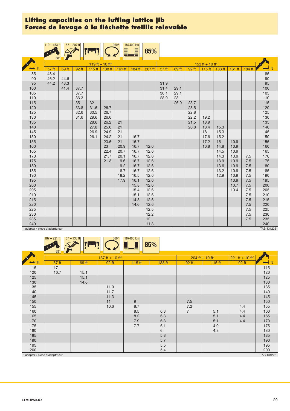$187 - 221$  ft  $57 - 138$  ft  $360^\circ$   $187400$  lbs

|                                | $119 - 153$ ft<br>68 <sup>°</sup> |       | $57 - 207$ ft |                 |            | $360^\circ$<br>L | 187400 lbs<br>Ĭ | 85%          |       |       |       |                 |              |              |        |                      |
|--------------------------------|-----------------------------------|-------|---------------|-----------------|------------|------------------|-----------------|--------------|-------|-------|-------|-----------------|--------------|--------------|--------|----------------------|
|                                |                                   |       |               | 119 ft + 10 ft* |            |                  |                 |              |       |       |       | 153 ft + 10 ft* |              |              |        |                      |
| ft                             | 57 ft                             | 69 ft | 92 ft         | 115 ft          | 138 ft     | $161$ ft         | 184 ft          | 207 ft       | 57 ft | 69 ft | 92 ft | 115 ft          | 138 ft       | 161 ft       | 184 ft | $\leftrightarrow$ ft |
| 85                             | 48.4                              |       |               |                 |            |                  |                 |              |       |       |       |                 |              |              |        | 85                   |
| 90                             | 46.2                              | 44.6  |               |                 |            |                  |                 |              |       |       |       |                 |              |              |        | $90\,$               |
| 95                             | 44.2                              | 43.3  |               |                 |            |                  |                 |              | 31.9  |       |       |                 |              |              |        | 95                   |
| 100                            |                                   | 41.4  | 37.7          |                 |            |                  |                 |              | 31.4  | 29.1  |       |                 |              |              |        | 100                  |
| 105                            |                                   |       | 37.7          |                 |            |                  |                 |              | 30.1  | 29.1  |       |                 |              |              |        | 105                  |
| 110                            |                                   |       | 36.3          |                 |            |                  |                 |              | 28.9  | 28    |       |                 |              |              |        | 110                  |
| 115                            |                                   |       | 35            | 32              |            |                  |                 |              |       | 26.9  | 23.7  |                 |              |              |        | 115                  |
| 120                            |                                   |       | 33.8          | 31.6            | 26.7       |                  |                 |              |       |       | 23.5  |                 |              |              |        | 120                  |
| 125                            |                                   |       | 32.6          | 30.5            | 26.7       |                  |                 |              |       |       | 22.8  |                 |              |              |        | 125                  |
| 130                            |                                   |       | 31.6          | 29.6            | 26.6       |                  |                 |              |       |       | 22.2  | 19.2            |              |              |        | 130                  |
| 135                            |                                   |       |               | 28.6            | 26.2       | 21               |                 |              |       |       | 21.5  | 18.9            |              |              |        | 135                  |
| 140                            |                                   |       |               | 27.8            | 25.6       | 21               |                 |              |       |       | 20.8  | 18.4            | 15.3         |              |        | 140                  |
| 145                            |                                   |       |               | 26.9            | 24.9       | 21               |                 |              |       |       |       | 18              | 15.3         |              |        | 145                  |
| 150                            |                                   |       |               | 26.1            | 24.2       | 21               | 16.7            |              |       |       |       | 17.6            | 15.2         |              |        | 150                  |
| 155                            |                                   |       |               |                 | 23.6<br>23 | 21<br>20.9       | 16.7<br>16.7    |              |       |       |       | 17.2            | 15           | 10.9         |        | 155                  |
| 160                            |                                   |       |               |                 | 22.4       | 20.7             | 16.7            | 12.6         |       |       |       | 16.8            | 14.8<br>14.5 | 10.9<br>10.9 |        | 160                  |
| 165<br>170                     |                                   |       |               |                 | 21.7       | 20.1             | 16.7            | 12.6<br>12.6 |       |       |       |                 | 14.3         | 10.9         | 7.5    | 165<br>170           |
| 175                            |                                   |       |               |                 | 21.3       | 19.6             | 16.7            | 12.6         |       |       |       |                 | 13.9         | 10.9         | 7.5    | 175                  |
| 180                            |                                   |       |               |                 |            | 19.2             | 16.7            | 12.6         |       |       |       |                 | 13.6         | 10.9         | 7.5    | 180                  |
| 185                            |                                   |       |               |                 |            | 18.7             | 16.7            | 12.6         |       |       |       |                 | 13.2         | 10.9         | 7.5    | 185                  |
| 190                            |                                   |       |               |                 |            | 18.2             | 16.5            | 12.6         |       |       |       |                 | 12.9         | 10.9         | 7.5    | 190                  |
| 195                            |                                   |       |               |                 |            | 17.9             | 16.1            | 12.6         |       |       |       |                 |              | 10.9         | 7.5    | 195                  |
| 200                            |                                   |       |               |                 |            |                  | 15.8            | 12.6         |       |       |       |                 |              | 10.7         | 7.5    | 200                  |
| 205                            |                                   |       |               |                 |            |                  | 15.4            | 12.6         |       |       |       |                 |              | 10.4         | 7.5    | 205                  |
| 210                            |                                   |       |               |                 |            |                  | 15.1            | 12.6         |       |       |       |                 |              |              | 7.5    | 210                  |
| 215                            |                                   |       |               |                 |            |                  | 14.8            | 12.6         |       |       |       |                 |              |              | 7.5    | 215                  |
| 220                            |                                   |       |               |                 |            |                  | 14.6            | 12.6         |       |       |       |                 |              |              | 7.5    | 220                  |
| 225                            |                                   |       |               |                 |            |                  |                 | 12.5         |       |       |       |                 |              |              | 7.5    | 225                  |
| 230                            |                                   |       |               |                 |            |                  |                 | 12.2         |       |       |       |                 |              |              | 7.5    | 230                  |
| 235                            |                                   |       |               |                 |            |                  |                 | 12           |       |       |       |                 |              |              | 7.5    | 235                  |
| 240                            |                                   |       |               |                 |            |                  |                 | 11.8         |       |       |       |                 |              |              |        | 240                  |
| * adapter / pièce d'adaptateur |                                   |       |               |                 |            |                  |                 |              |       |       |       |                 |              |              |        | TAB 131223           |

|     |                              |       |                 | <u>i j</u> | 85%    |                   |          |                   |            |
|-----|------------------------------|-------|-----------------|------------|--------|-------------------|----------|-------------------|------------|
|     | $68^\circ$                   |       |                 |            |        |                   |          |                   |            |
|     |                              |       | 187 ft + 10 ft* |            |        | $204$ ft + 10 ft* |          | $221$ ft + 10 ft* |            |
|     | 57 ft                        | 69 ft | 92 ft           | 115 ft     | 138 ft | 92 ft             | $115$ ft | 92 ft             |            |
| 115 | 17                           |       |                 |            |        |                   |          |                   | 115<br>120 |
| 120 | 16.7                         | 15.1  |                 |            |        |                   |          |                   |            |
| 125 |                              | 15.1  |                 |            |        |                   |          |                   | 125        |
| 130 |                              | 14.6  |                 |            |        |                   |          |                   | 130        |
| 135 |                              |       | 11.9            |            |        |                   |          |                   | 135        |
| 140 |                              |       | 11.7            |            |        |                   |          |                   | 140        |
| 145 |                              |       | 11.3            |            |        |                   |          |                   | 145        |
| 150 |                              |       | 11              | 9          |        | 7.5               |          |                   | 150        |
| 155 |                              |       | 10.6            | 8.7        |        | 7.2               |          | 4.4               | 155        |
| 160 |                              |       |                 | 8.5        | 6.3    | $\overline{7}$    | 5.1      | 4.4               | 160        |
| 165 |                              |       |                 | 8.2        | 6.3    |                   | 5.1      | 4.4               | 165        |
| 170 |                              |       |                 | 7.9        | 6.3    |                   | 5.1      | 4.4               | 170        |
| 175 |                              |       |                 | 7.7        | 6.1    |                   | 4.9      |                   | 175        |
| 180 |                              |       |                 |            | 6      |                   | 4.8      |                   | 180        |
| 185 |                              |       |                 |            | 5.8    |                   |          |                   | 185        |
| 190 |                              |       |                 |            | 5.7    |                   |          |                   | 190        |
| 195 |                              |       |                 |            | 5.5    |                   |          |                   | 195        |
| 200 |                              |       |                 |            | 5.4    |                   |          |                   | 200        |
|     | adapter / pièce d'adaptateur |       |                 |            |        |                   |          |                   | TAB 131223 |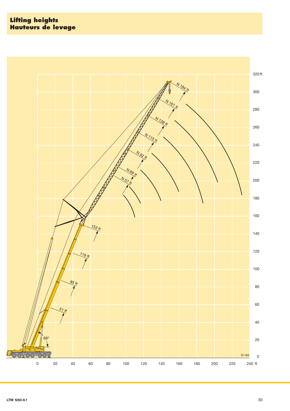**Lifting heights Hauteurs de levage**

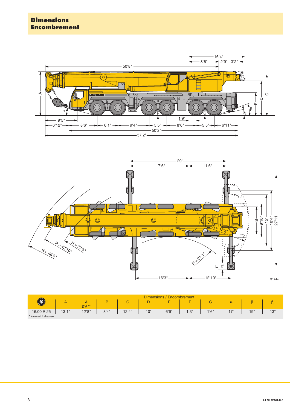### **Dimensions Encombrement**





|                     | <b>Dimensions</b><br>Encombrement |          |       |                               |     |       |                           |       |          |              |            |
|---------------------|-----------------------------------|----------|-------|-------------------------------|-----|-------|---------------------------|-------|----------|--------------|------------|
|                     |                                   | $0'6"$ * | B     | $\overline{\phantom{0}}$<br>U | ◡   | -     | <b>The Contract State</b> |       | $\alpha$ |              |            |
| 16.00 R 25          | 13'1''                            | 12'8''   | 8'4'' | 12'4"                         | 10' | 6'9'' | 1'3''                     | 1'6'' | 17°      | $19^{\circ}$ | $13^\circ$ |
| * lowered / abaissé |                                   |          |       |                               |     |       |                           |       |          |              |            |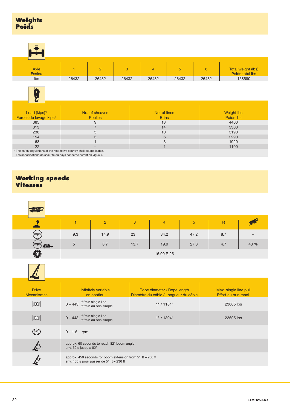| 這                                                                                                                                                         |                |                |       |                |       |                |                                       |  |
|-----------------------------------------------------------------------------------------------------------------------------------------------------------|----------------|----------------|-------|----------------|-------|----------------|---------------------------------------|--|
|                                                                                                                                                           |                |                |       |                |       |                |                                       |  |
| Axle<br><b>Essieu</b>                                                                                                                                     | 1              | $\overline{2}$ | 3     | $\overline{4}$ | 5     | $6\phantom{1}$ | Total weight (lbs)<br>Poids total lbs |  |
| Ibs                                                                                                                                                       | 26432          | 26432          | 26432 | 26432          | 26432 | 26432          | 158590                                |  |
| ٠<br>Load (kips) <sup>1)</sup>                                                                                                                            |                | No. of sheaves |       | No. of lines   |       |                | <b>Weight lbs</b>                     |  |
| Forces de levage kips <sup>1)</sup>                                                                                                                       |                | <b>Poulies</b> |       | <b>Brins</b>   |       |                | Poids lbs                             |  |
| 385                                                                                                                                                       |                | 9              |       | 18             |       |                | 4400                                  |  |
| 313                                                                                                                                                       | $\overline{7}$ |                |       | 14             |       |                | 3300                                  |  |
| 238                                                                                                                                                       | 5              |                |       | 10             |       |                | 3190                                  |  |
| 154                                                                                                                                                       | 3              |                |       | 6              |       |                | 2290                                  |  |
| 68                                                                                                                                                        |                |                |       | 3              |       |                | 1920                                  |  |
| 22                                                                                                                                                        |                | -              |       | $\overline{1}$ |       |                | 1100                                  |  |
| <sup>1)</sup> The safety regulations of the respective country shall be applicable.<br>Les spécifications de sécurité du pays concerné seront en vigueur. |                |                |       |                |       |                |                                       |  |

### **Working speeds Vitesses**

| <b>124 G</b>   |                 |                |      |                |                 |                |      |
|----------------|-----------------|----------------|------|----------------|-----------------|----------------|------|
|                |                 | $\overline{2}$ | 3    | $\overline{4}$ | $5\phantom{.0}$ | $\overline{R}$ | ے ک  |
| (mph)          | 9.3             | 14.9           | 23   | 34.2           | 47.2            | 8.7            | -    |
| (mph<br>£.     | $5\phantom{.0}$ | 8.7            | 13.7 | 19.9           | 27.3            | 4.7            | 43 % |
| $\circledcirc$ |                 |                |      | 16.00 R 25     |                 |                |      |

| <b>Drive</b><br><b>Mécanismes</b>      | infinitely variable<br>en continu                                                                               | Rope diameter / Rope length<br>Diamètre du câble / Longueur du câble | Max. single line pull<br>Effort au brin maxi. |
|----------------------------------------|-----------------------------------------------------------------------------------------------------------------|----------------------------------------------------------------------|-----------------------------------------------|
| $\mathbb{E}$                           | ft/min single line<br>$0 - 443$<br>ft/min au brin simple                                                        | 1" / 1181'                                                           | 23605 lbs                                     |
| $\mathbb{Z}$                           | ft/min single line<br>$0 - 443$<br>ft/min au brin simple                                                        | 1" / 1394'                                                           | 23605 lbs                                     |
| $\left( \frac{360^{\circ}}{2} \right)$ | $0 - 1.6$ rpm                                                                                                   |                                                                      |                                               |
|                                        | approx. 60 seconds to reach 82° boom angle<br>env. 60 s jusqu'à 82°                                             |                                                                      |                                               |
|                                        | approx. 450 seconds for boom extension from $51$ ft $-$ 236 ft<br>env. $450$ s pour passer de $51$ ft $-236$ ft |                                                                      |                                               |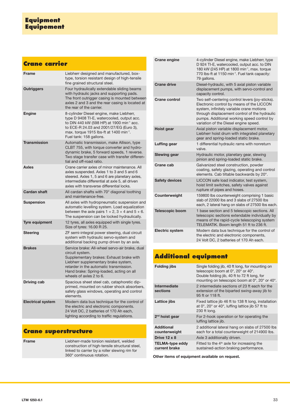## **Crane carrier**

| <b>Frame</b>             | Liebherr designed and manufactured, box-<br>type, torsion resistant design of high-tensile<br>fine grained structural steel.                                                                                                                                                 |
|--------------------------|------------------------------------------------------------------------------------------------------------------------------------------------------------------------------------------------------------------------------------------------------------------------------|
| <b>Outriggers</b>        | Four hydraulically extendable sliding beams<br>with hydraulic jacks and supporting pads.<br>The front outrigger casing is mounted between<br>axles 2 and 3 and the rear casing is located at<br>the rear of the carrier.                                                     |
| <b>Engine</b>            | 8-cylinder Diesel engine, make Liebherr,<br>type D 9408 TI-E, watercooled, output acc.<br>to DIN 440 kW (598 HP) at 1900 min <sup>-1</sup> acc.<br>to ECE-R 24.03 and 2001/27/EG (Euro 3),<br>max. torque 1915 lbs-ft at 1400 min <sup>-1</sup> .<br>Fuel tank: 158 gallons. |
| <b>Transmission</b>      | Automatic transmission, make Allison, type<br>CLBT 755, with torque converter and hydro-<br>dynamic brake, 5 forward speeds, 1 reverse.<br>Two stage transfer case with transfer differen-<br>tial and off-road ratio.                                                       |
| <b>Axles</b>             | Crane carrier axles of minor maintenance. All<br>axles suspended. Axles 1 to 3 and 5 and 6<br>steered. Axles 1, 5 and 6 are planetary axles,<br>intermediate differential at axle 5, all driven<br>axles with transverse differential locks.                                 |
| <b>Cardan shaft</b>      | All cardan shafts with 70° diagonal toothing<br>and maintenance-free.                                                                                                                                                                                                        |
| <b>Suspension</b>        | All axles with hydropneumatic suspension and<br>automatic levelling system. Load equalization<br>between the axle pairs $1 + 2$ , $3 + 4$ and $5 + 6$ .<br>The suspension can be locked hydraulically.                                                                       |
| <b>Tyre equipment</b>    | 12 tyres, all axles equipped with single tyres.<br>Size of tyres: 16.00 R 25.                                                                                                                                                                                                |
| <b>Steering</b>          | ZF semi-integral power steering, dual circuit<br>system with hydraulic servo-system and<br>additional backing pump driven by an axle.                                                                                                                                        |
| <b>Brakes</b>            | Service brake: All-wheel servo-air brake, dual<br>circuit system.<br>Supplementary brakes: Exhaust brake with<br>Liebherr supplementary brake system,<br>retarder in the automatic transmission.<br>Hand brake: Spring-loaded, acting on all<br>wheels of axles 2 to 6.      |
| <b>Driving cab</b>       | Spacious sheet steel cab, cataphoretic dip-<br>primed, mounted on rubber shock absorbers,<br>safety glass windows, operating and control<br>elements.                                                                                                                        |
| <b>Electrical system</b> | Modern data bus technique for the control of<br>the electric and electronic components.<br>24 Volt DC, 2 batteries of 170 Ah each,<br>lighting according to traffic regulations.                                                                                             |

## **Crane superstructure**

| Frame | Liebherr-made torsion resistant, welded        |
|-------|------------------------------------------------|
|       | construction of high-tensile structural steel, |
|       | linked to carrier by a roller slewing rim for  |
|       | 360° continuous rotation.                      |

| <b>Crane engine</b>    | 4-cylinder Diesel engine, make Liebherr, type<br>D 924 TI-E, watercooled, output acc. to DIN<br>180 kW (245 HP) at 1800 min <sup>-1</sup> , max. torque<br>770 lbs-ft at 1150 min <sup>-1</sup> . Fuel tank capacity:<br>79 gallons.                                              |
|------------------------|-----------------------------------------------------------------------------------------------------------------------------------------------------------------------------------------------------------------------------------------------------------------------------------|
| <b>Crane drive</b>     | Diesel-hydraulic, with 5 axial piston variable<br>displacement pumps, with servo-control and<br>capacity control.                                                                                                                                                                 |
| Crane control          | Two self-centering control levers (joy-sticks).<br>Electronic control by means of the LICCON<br>system, infinitely variable crane motions<br>through displacement control of the hydraulic<br>pumps. Additional working speed control by<br>variation of the Diesel engine speed. |
| <b>Hoist gear</b>      | Axial piston variable displacement motor,<br>Liebherr hoist drum with integrated planetary<br>gear and spring-loaded static brake.                                                                                                                                                |
| Luffing gear           | 1 differential hydraulic rams with nonreturn<br>valve.                                                                                                                                                                                                                            |
| <b>Slewing gear</b>    | Hydraulic motor, planetary gear, slewing<br>pinion and spring-loaded static brake.                                                                                                                                                                                                |
| Crane cab              | Galvanized steel construction, powder<br>coating, safety glazing, operating and control<br>elements. Cab tiltable backwards by 20°.                                                                                                                                               |
| <b>Safety devices</b>  | LICCON safe load indicator, test system,<br>hoist limit switches, safety valves against<br>rupture of pipes and hoses.                                                                                                                                                            |
| Counterweight          | 159800 lbs counterweight comprising 1 basic<br>slab of 22000 lbs and 3 slabs of 27500 lbs<br>each, 2 lateral hang on slabs of 27500 lbs each.                                                                                                                                     |
| <b>Telescopic boom</b> | 1 base section and 5 telescopic sections. All<br>telescopic sections extendable individually by<br>means of the rapid-cycle telescoping system<br>TELEMATIK. Boom length 51 ft to 236 ft.                                                                                         |
| <b>Electric system</b> | Modern data bus technique for the control of<br>the electric and electronic components,<br>24 Volt DC, 2 batteries of 170 Ah each.                                                                                                                                                |

# **Additional equipment**

| <b>Folding jibs</b>                     | Single folding jib, 40 ft long, for mounting on<br>telescopic boom at 0°, 20° or 40°.<br>Double folding jib, 40 ft to 72 ft long, for<br>mounting on telescopic boom at 0°, 20° or 40°. |
|-----------------------------------------|-----------------------------------------------------------------------------------------------------------------------------------------------------------------------------------------|
| Intermediate<br>sections                | 2 intermediate sections of 23 ft each for the<br>extension of the biparted swing-away jib to<br>95 ft or 118 ft.                                                                        |
| Lattice jibs                            | Fixed lattice jib 46 ft to 138 ft long, installation<br>at $0^\circ$ , 20 $^\circ$ or 40 $^\circ$ , luffing lattice jib 57 ft to<br>230 ft long.                                        |
| $2nd$ hoist gear                        | For 2-hook operation or for operating the<br>luffing lattice <i>jib</i> .                                                                                                               |
| <b>Additional</b><br>counterweight      | 2 additional lateral hang on slabs of 27500 lbs<br>each for a total counterweight of 214900 lbs.                                                                                        |
| Drive $12 \times 8$                     | Axle 3 additionally driven.                                                                                                                                                             |
| <b>TELMA-type eddy</b><br>current brake | Fitted to the $4th$ axle for increasing the<br>sustained-action braking performance.                                                                                                    |

**Other items of equipment available on request.**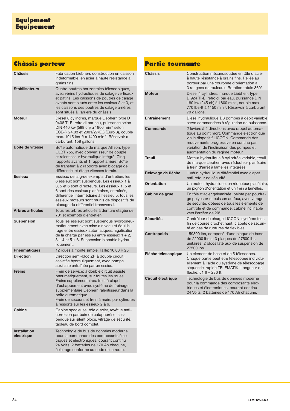# **Châssis porteur**

| <b>Châssis</b>                    | Fabrication Liebherr, construction en caisson<br>indéformable, en acier à haute résistance à<br>grains fins.                                                                                                                                                                                                                            |
|-----------------------------------|-----------------------------------------------------------------------------------------------------------------------------------------------------------------------------------------------------------------------------------------------------------------------------------------------------------------------------------------|
| <b>Stabilisateurs</b>             | Quatre poutres horizontales télescopiques,<br>avec vérins hydrauliques de calage verticaux<br>et patins. Les caissons de poutres de calage<br>avants sont situés entre les essieux 2 et 3, et<br>les caissons des poutres de calage arrières<br>sont situés à l'arrière du châssis.                                                     |
| <b>Moteur</b>                     | Diesel 8 cylindres, marque Liebherr, type D<br>9408 TI-E, refroidi par eau, puissance selon<br>DIN 440 kw (598 ch) à 1900 min <sup>-1</sup> selon<br>ECE-R 24.03 et 2001/27/EG (Euro 3), couple<br>max. 1915 lbs-ft à 1400 min <sup>-1</sup> . Réservoir à<br>carburant: 158 gallons.                                                   |
| Boîte de vitesse                  | Boîte automatique de marque Allison, type<br>CLBT 755, avec convertisseur de couple<br>et ralentisseur hydraulique intégré. Cinq<br>rapports avants et 1 rapport arrière. Boîte<br>de transfert à 2 rapports avec blocage de<br>différentiel et étage vitesses terrain.                                                                 |
| <b>Essieux</b>                    | Essieux de la grue exempts d'entretien, les<br>6 essieux sont suspendus. Les essieux 1 à<br>3, 5 et 6 sont directeurs. Les essieux 1, 5 et<br>6 sont des essieux planétaires, entraînés,<br>différentiel intermédiaire à l'essieu 5, tous les<br>essieux moteurs sont munis de dispositifs de<br>blocage du différentiel transversal.   |
| Arbres articulés                  | Tous les arbres articulés à denture étagée de<br>70° et exempts d'entretien.                                                                                                                                                                                                                                                            |
| <b>Suspension</b>                 | Tous les essieux sont suspendus hydropneu-<br>matiquement avec mise à niveau et équilib-<br>rage entre essieux automatiques. Egalisation<br>de la charge par essieu entre essieux $1 + 2$ ,<br>3 + 4 et 5 + 6. Suspension blocable hydrau-<br>liquement.                                                                                |
| <b>Pneumatiques</b>               | 12 roues à monte simple. Taille: 16.00 R 25                                                                                                                                                                                                                                                                                             |
| <b>Direction</b>                  | Direction semi-bloc ZF, à double circuit,<br>assistée hydrauliquement, avec pompe<br>auxiliaire entraînée par un essieu.                                                                                                                                                                                                                |
| <b>Freins</b>                     | Frein de service: à double circuit assisté<br>pneumatiquement, sur toutes les roues.<br>Freins supplémentaires: frein à clapet<br>d'échappement avec système de freinage<br>supplémentaire Liebherr, ralentisseur dans la<br>boîte automatique.<br>Frein de secours et frein à main: par cylindres<br>à ressorts sur les essieux 2 à 6. |
| Cabine                            | Cabine spacieuse, tôle d'acier, revêtue anti-<br>corrosion par bain de cataphorèse, sus-<br>pendue sur silent blocs, vitrage de sécurité,<br>tableau de bord complet.                                                                                                                                                                   |
| <b>Installation</b><br>électriaue | Technologie de bus de données moderne<br>pour la commande des composants élec-<br>triques et électroniques, courant continu<br>24 Volts, 2 batteries de 170 Ah chacune,<br>éclairage conforme au code de la route.                                                                                                                      |

## **Partie tournante**

| <b>Châssis</b>            | Construction mécanosoudée en tôle d'acier<br>à haute résistance à grains fins. Reliée au<br>porteur par une couronne d'orientation à<br>3 rangées de rouleaux. Rotation totale 360°.                                                                        |
|---------------------------|-------------------------------------------------------------------------------------------------------------------------------------------------------------------------------------------------------------------------------------------------------------|
| <b>Moteur</b>             | Diesel 4 cylindres, marque Liebherr, type<br>D 924 TI-E, refroidi par eau, puissance DIN<br>180 kw (245 ch) à 1800 min <sup>-1</sup> , couple max.<br>770 lbs-ft à 1150 min <sup>-1</sup> . Réservoir à carburant:<br>79 gallons.                           |
| Entraînement              | Diesel hydraulique à 3 pompes à débit variable<br>servo commandées à réqulation de puissance.                                                                                                                                                               |
| Commande                  | 2 leviers à 4 directions avec rappel automa-<br>tique au point mort. Commande électronique<br>via le dispositif LICCON. Commande des<br>mouvements progressive en continu par<br>variation de l'inclinaison des pompes et<br>augmentation du régime moteur. |
| <b>Treuil</b>             | Moteur hydraulique à cylindrée variable, treuil<br>de marque Liebherr avec réducteur planétaire<br>à frein d'arrêt à lamelles intégrées.                                                                                                                    |
| Relevage de flèche        | 1 vérin hydraulique différentiel avec clapet<br>anti-retour de sécurité.                                                                                                                                                                                    |
| <b>Orientation</b>        | Un moteur hydraulique, un réducteur planétaire,<br>un pignon d'orientation et un frein à lamelles.                                                                                                                                                          |
| Cabine de grue            | En tôle d'acier galvanisée, peinte par poudra-<br>ge polyester et cuisson au four, avec vitrage<br>de sécurité, dôtées de tous les éléments de<br>contrôle et de commande, cabine inclinable<br>vers l'arrière de 20°.                                      |
| <b>Sécurités</b>          | Contrôleur de charge LICCON, système test,<br>fin de course crochet haut, clapets de sécuri-<br>té en cas de ruptures de flexibles.                                                                                                                         |
| <b>Contrepoids</b>        | 159800 lbs, composé d'une plaque de base<br>de 22000 lbs et 3 plaques de 27500 lbs<br>unitaires, 2 blocs latéraux de suspension de<br>27500 lbs.                                                                                                            |
| Flèche télescopique       | Un élément de base et de 5 télescopes.<br>Chaque partie peut être télescopée individu-<br>ellement à l'aide du système de télescopage<br>séquentiel rapide TELEMATIK. Longueur de<br>flèche: 51 ft - 236 ft.                                                |
| <b>Circuit électrique</b> | Technologie de bus de données moderne<br>pour la commande des composants élec-<br>triques et électroniques, courant continu<br>24 Volts, 2 batteries de 170 Ah chacune.                                                                                     |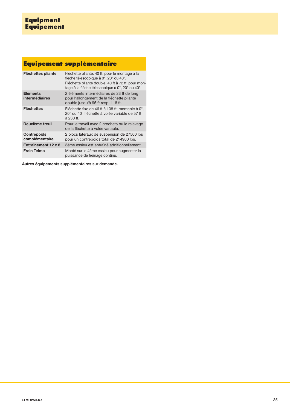# **Equipement supplémentaire**

| Fléchettes pliante                   | Fléchette pliante, 40 ft, pour le montage à la<br>flèche télescopique à 0°, 20° ou 40°.<br>Fléchette pliante double, 40 ft à 72 ft, pour mon-<br>tage à la flèche télescopique à 0°, 20° ou 40°. |
|--------------------------------------|--------------------------------------------------------------------------------------------------------------------------------------------------------------------------------------------------|
| <b>Eléments</b><br>intermédiaires    | 2 éléments intermédiaires de 23 ft de long<br>pour l'allongement de la fléchette pliante<br>double jusqu'à 95 ft resp. 118 ft.                                                                   |
| <b>Fléchettes</b>                    | Fléchette fixe de 46 ft à 138 ft; montable à 0°,<br>20° ou 40° fléchette à volée variable de 57 ft<br>à 230 ft.                                                                                  |
| Deuxième treuil                      | Pour le travail avec 2 crochets ou le relevage<br>de la fléchette à volée variable.                                                                                                              |
| <b>Contrepoids</b><br>complémentaire | 2 blocs latéraux de suspension de 27500 lbs<br>pour un contrepoids total de 214900 lbs.                                                                                                          |
| Entraînement 12 x 8                  | 3ème essieu est entraîné additionnellement.                                                                                                                                                      |
| Frein Telma                          | Monté sur le 4ème essieu pour augmenter la<br>puissance de freinage continu.                                                                                                                     |

**Autres équipements supplémentaires sur demande.**